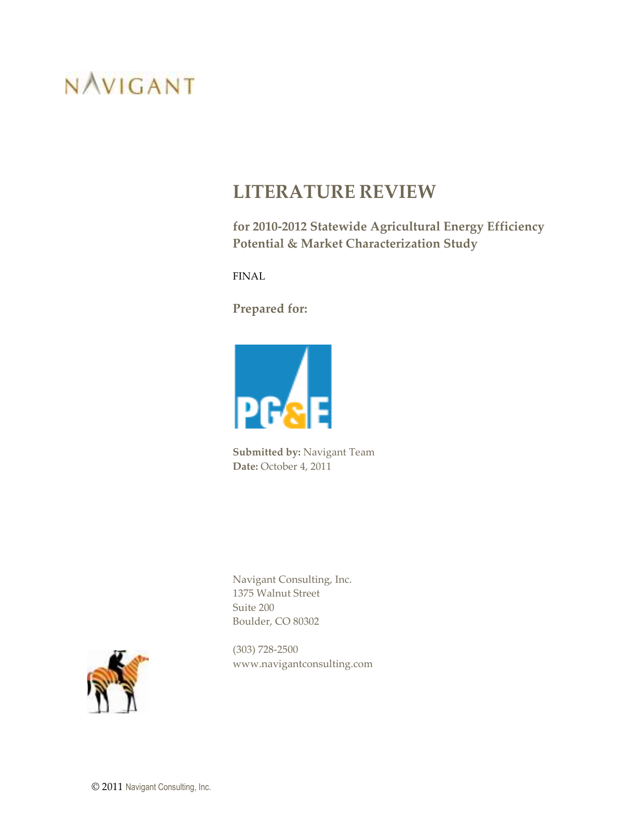# **LITERATURE REVIEW**

**for 2010-2012 Statewide Agricultural Energy Efficiency Potential & Market Characterization Study** 

FINAL

**Prepared for:** 



**Submitted by:** Navigant Team **Date:** October 4, 2011

Navigant Consulting, Inc. 1375 Walnut Street Suite 200 Boulder, CO 80302



(303) 728-2500 www.navigantconsulting.com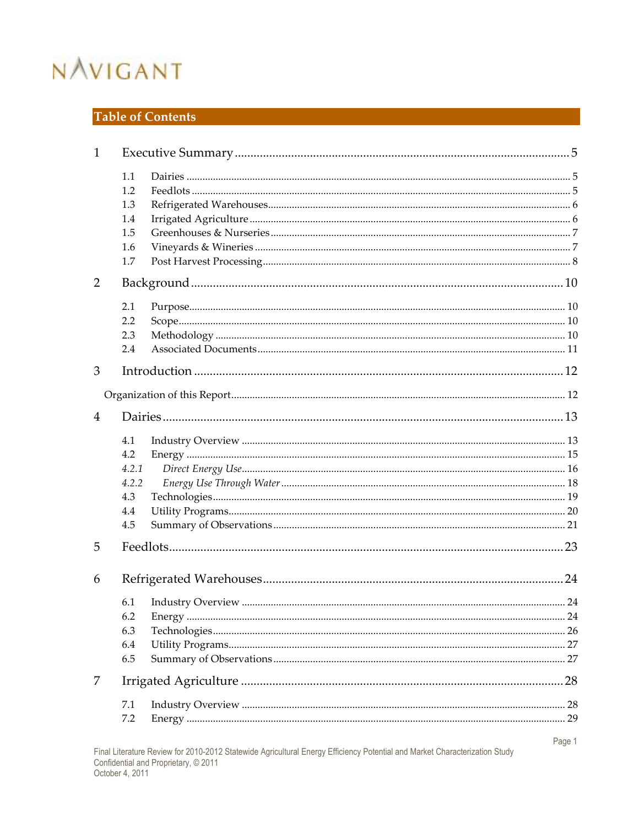# Table of Contents

| $\mathbf{1}$ |       |        |
|--------------|-------|--------|
|              | 1.1   |        |
|              | 1.2   |        |
|              | 1.3   |        |
|              | 1.4   |        |
|              | 1.5   |        |
|              | 1.6   |        |
|              | 1.7   |        |
| 2            |       |        |
|              | 2.1   |        |
|              | 2.2   |        |
|              | 2.3   |        |
|              | 2.4   |        |
| 3            |       |        |
|              |       |        |
| 4            |       |        |
|              | 4.1   |        |
|              | 4.2   |        |
|              | 4.2.1 |        |
|              | 4.2.2 |        |
|              | 4.3   |        |
|              | 4.4   |        |
|              | 4.5   |        |
| 5            |       |        |
|              |       |        |
| 6            |       |        |
|              | 6.1   |        |
|              | 6.2   |        |
|              | 6.3   |        |
|              | 6.4   |        |
|              | 6.5   |        |
| 7            |       |        |
|              | 7.1   |        |
|              | 7.2   |        |
|              |       | Page 1 |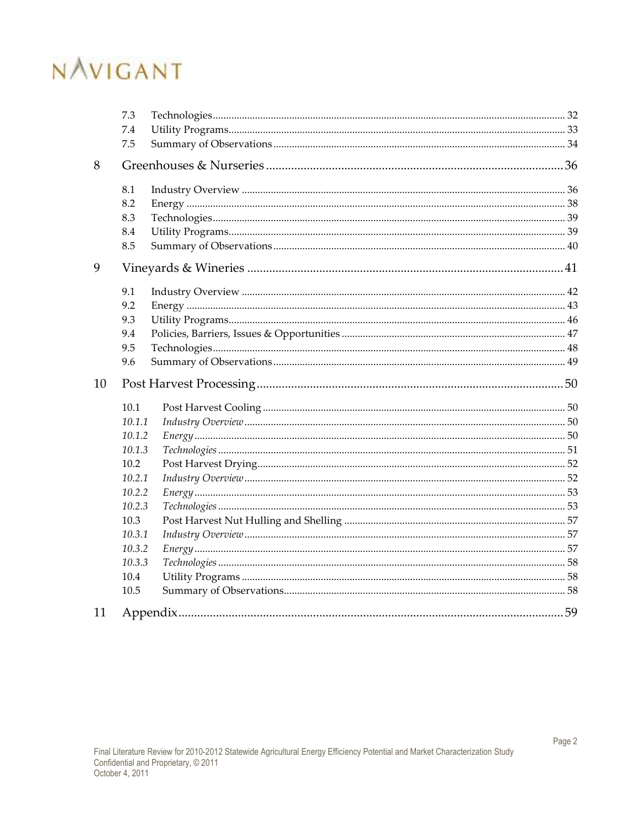|    | 7.3    |  |  |  |  |  |
|----|--------|--|--|--|--|--|
|    | 7.4    |  |  |  |  |  |
|    | 7.5    |  |  |  |  |  |
| 8  |        |  |  |  |  |  |
|    | 8.1    |  |  |  |  |  |
|    | 8.2    |  |  |  |  |  |
|    | 8.3    |  |  |  |  |  |
|    | 8.4    |  |  |  |  |  |
|    | 8.5    |  |  |  |  |  |
| 9  |        |  |  |  |  |  |
|    | 9.1    |  |  |  |  |  |
|    | 9.2    |  |  |  |  |  |
|    | 9.3    |  |  |  |  |  |
|    | 9.4    |  |  |  |  |  |
|    | 9.5    |  |  |  |  |  |
|    | 9.6    |  |  |  |  |  |
| 10 |        |  |  |  |  |  |
|    | 10.1   |  |  |  |  |  |
|    | 10.1.1 |  |  |  |  |  |
|    | 10.1.2 |  |  |  |  |  |
|    | 10.1.3 |  |  |  |  |  |
|    | 10.2   |  |  |  |  |  |
|    | 10.2.1 |  |  |  |  |  |
|    | 10.2.2 |  |  |  |  |  |
|    | 10.2.3 |  |  |  |  |  |
|    | 10.3   |  |  |  |  |  |
|    | 10.3.1 |  |  |  |  |  |
|    | 10.3.2 |  |  |  |  |  |
|    | 10.3.3 |  |  |  |  |  |
|    | 10.4   |  |  |  |  |  |
|    | 10.5   |  |  |  |  |  |
| 11 |        |  |  |  |  |  |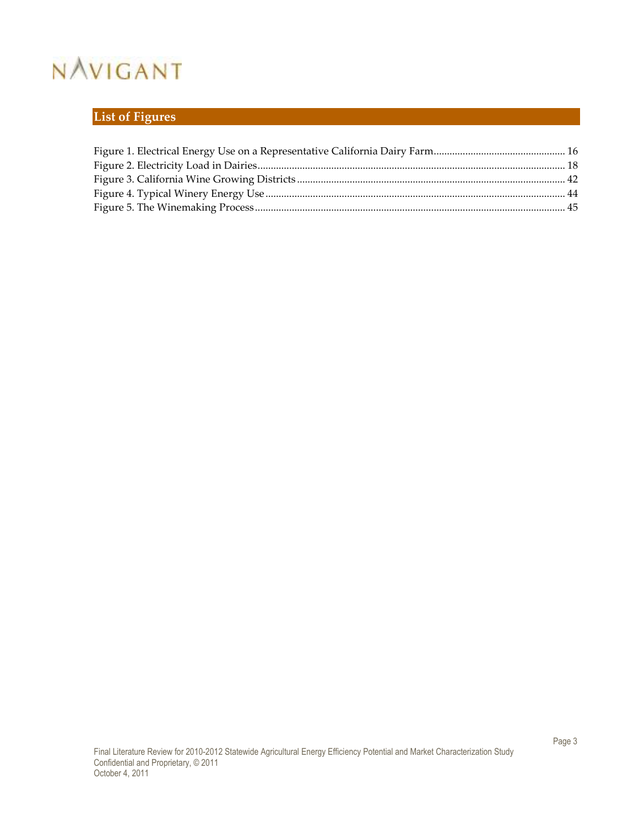# **List of Figures**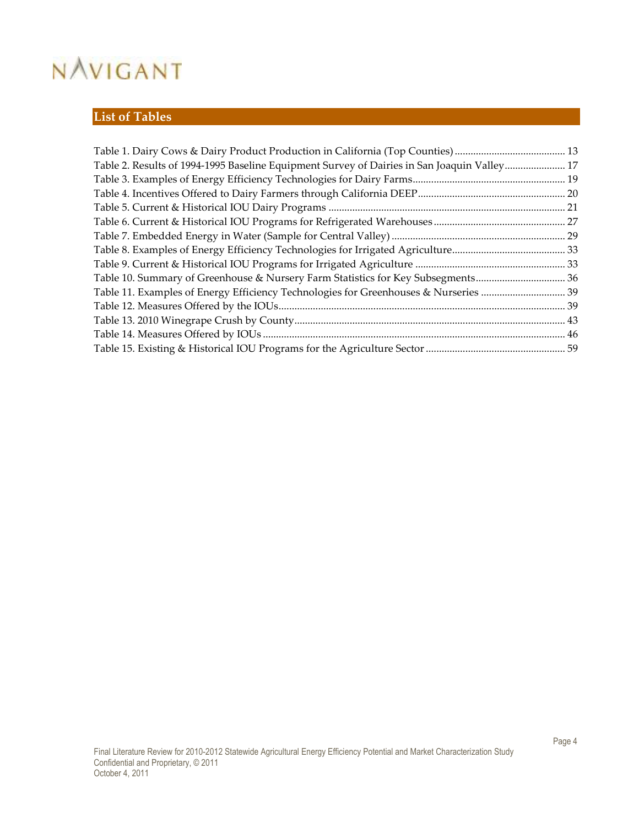# **List of Tables**

| Table 2. Results of 1994-1995 Baseline Equipment Survey of Dairies in San Joaquin Valley 17 |  |
|---------------------------------------------------------------------------------------------|--|
|                                                                                             |  |
|                                                                                             |  |
|                                                                                             |  |
|                                                                                             |  |
|                                                                                             |  |
|                                                                                             |  |
|                                                                                             |  |
| Table 10. Summary of Greenhouse & Nursery Farm Statistics for Key Subsegments 36            |  |
| Table 11. Examples of Energy Efficiency Technologies for Greenhouses & Nurseries  39        |  |
|                                                                                             |  |
|                                                                                             |  |
|                                                                                             |  |
|                                                                                             |  |
|                                                                                             |  |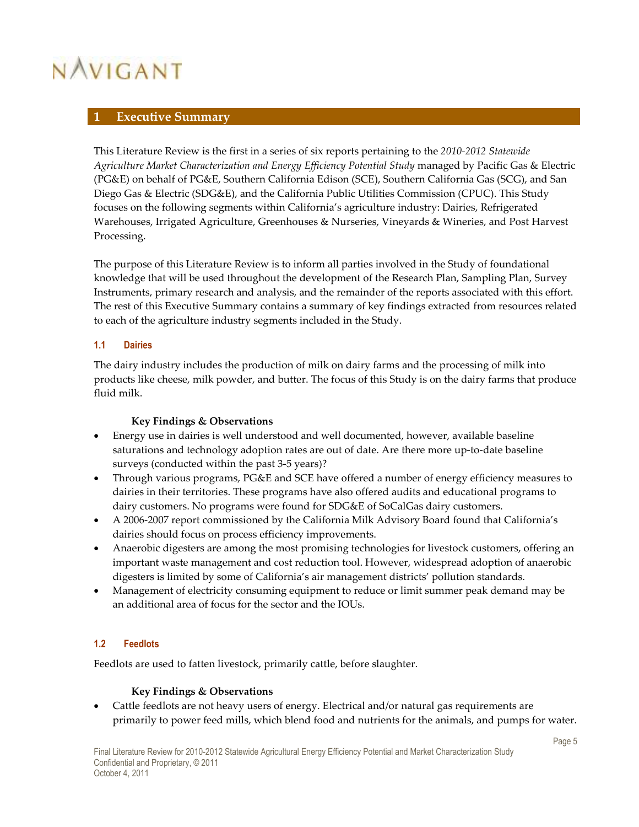### **1 Executive Summary**

This Literature Review is the first in a series of six reports pertaining to the *2010-2012 Statewide Agriculture Market Characterization and Energy Efficiency Potential Study* managed by Pacific Gas & Electric (PG&E) on behalf of PG&E, Southern California Edison (SCE), Southern California Gas (SCG), and San Diego Gas & Electric (SDG&E), and the California Public Utilities Commission (CPUC). This Study focuses on the following segments within California's agriculture industry: Dairies, Refrigerated Warehouses, Irrigated Agriculture, Greenhouses & Nurseries, Vineyards & Wineries, and Post Harvest Processing.

The purpose of this Literature Review is to inform all parties involved in the Study of foundational knowledge that will be used throughout the development of the Research Plan, Sampling Plan, Survey Instruments, primary research and analysis, and the remainder of the reports associated with this effort. The rest of this Executive Summary contains a summary of key findings extracted from resources related to each of the agriculture industry segments included in the Study.

### **1.1 Dairies**

The dairy industry includes the production of milk on dairy farms and the processing of milk into products like cheese, milk powder, and butter. The focus of this Study is on the dairy farms that produce fluid milk.

#### **Key Findings & Observations**

- Energy use in dairies is well understood and well documented, however, available baseline saturations and technology adoption rates are out of date. Are there more up-to-date baseline surveys (conducted within the past 3-5 years)?
- Through various programs, PG&E and SCE have offered a number of energy efficiency measures to dairies in their territories. These programs have also offered audits and educational programs to dairy customers. No programs were found for SDG&E of SoCalGas dairy customers.
- A 2006-2007 report commissioned by the California Milk Advisory Board found that California's dairies should focus on process efficiency improvements.
- Anaerobic digesters are among the most promising technologies for livestock customers, offering an important waste management and cost reduction tool. However, widespread adoption of anaerobic digesters is limited by some of California's air management districts' pollution standards.
- Management of electricity consuming equipment to reduce or limit summer peak demand may be an additional area of focus for the sector and the IOUs.

#### **1.2 Feedlots**

Feedlots are used to fatten livestock, primarily cattle, before slaughter.

#### **Key Findings & Observations**

• Cattle feedlots are not heavy users of energy. Electrical and/or natural gas requirements are primarily to power feed mills, which blend food and nutrients for the animals, and pumps for water.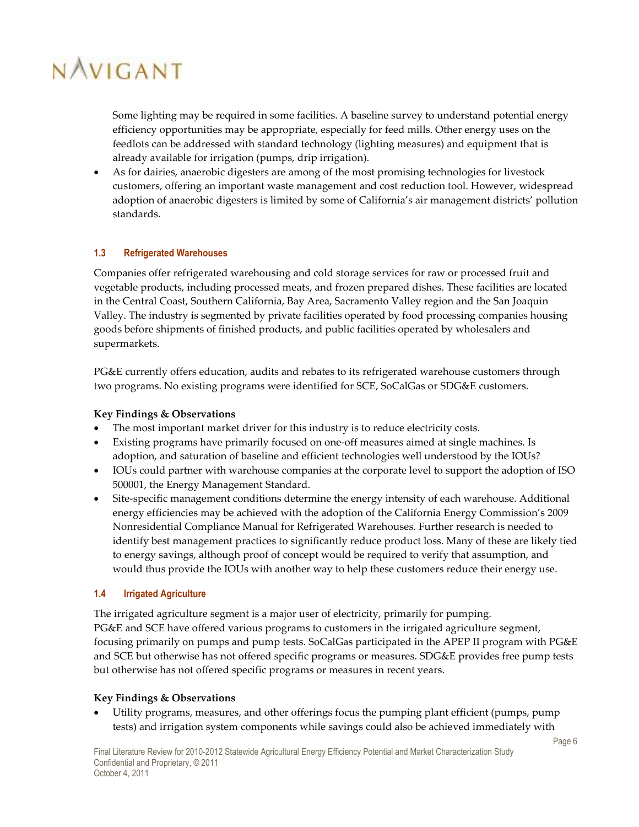Some lighting may be required in some facilities. A baseline survey to understand potential energy efficiency opportunities may be appropriate, especially for feed mills. Other energy uses on the feedlots can be addressed with standard technology (lighting measures) and equipment that is already available for irrigation (pumps, drip irrigation).

• As for dairies, anaerobic digesters are among of the most promising technologies for livestock customers, offering an important waste management and cost reduction tool. However, widespread adoption of anaerobic digesters is limited by some of California's air management districts' pollution standards.

### **1.3 Refrigerated Warehouses**

Companies offer refrigerated warehousing and cold storage services for raw or processed fruit and vegetable products, including processed meats, and frozen prepared dishes. These facilities are located in the Central Coast, Southern California, Bay Area, Sacramento Valley region and the San Joaquin Valley. The industry is segmented by private facilities operated by food processing companies housing goods before shipments of finished products, and public facilities operated by wholesalers and supermarkets.

PG&E currently offers education, audits and rebates to its refrigerated warehouse customers through two programs. No existing programs were identified for SCE, SoCalGas or SDG&E customers.

#### **Key Findings & Observations**

- The most important market driver for this industry is to reduce electricity costs.
- Existing programs have primarily focused on one-off measures aimed at single machines. Is adoption, and saturation of baseline and efficient technologies well understood by the IOUs?
- IOUs could partner with warehouse companies at the corporate level to support the adoption of ISO 500001, the Energy Management Standard.
- Site-specific management conditions determine the energy intensity of each warehouse. Additional energy efficiencies may be achieved with the adoption of the California Energy Commission's 2009 Nonresidential Compliance Manual for Refrigerated Warehouses. Further research is needed to identify best management practices to significantly reduce product loss. Many of these are likely tied to energy savings, although proof of concept would be required to verify that assumption, and would thus provide the IOUs with another way to help these customers reduce their energy use.

#### **1.4 Irrigated Agriculture**

The irrigated agriculture segment is a major user of electricity, primarily for pumping. PG&E and SCE have offered various programs to customers in the irrigated agriculture segment, focusing primarily on pumps and pump tests. SoCalGas participated in the APEP II program with PG&E and SCE but otherwise has not offered specific programs or measures. SDG&E provides free pump tests but otherwise has not offered specific programs or measures in recent years.

#### **Key Findings & Observations**

• Utility programs, measures, and other offerings focus the pumping plant efficient (pumps, pump tests) and irrigation system components while savings could also be achieved immediately with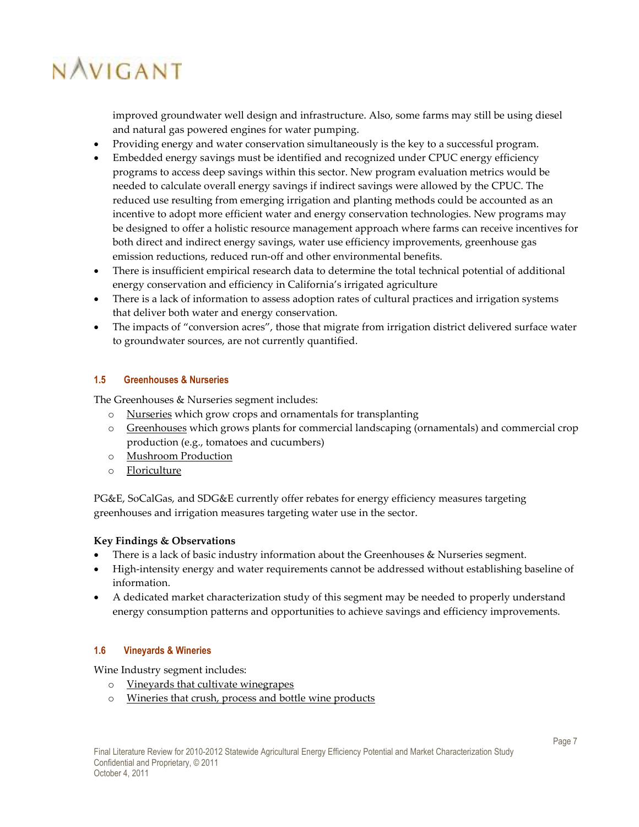improved groundwater well design and infrastructure. Also, some farms may still be using diesel and natural gas powered engines for water pumping.

- Providing energy and water conservation simultaneously is the key to a successful program.
- Embedded energy savings must be identified and recognized under CPUC energy efficiency programs to access deep savings within this sector. New program evaluation metrics would be needed to calculate overall energy savings if indirect savings were allowed by the CPUC. The reduced use resulting from emerging irrigation and planting methods could be accounted as an incentive to adopt more efficient water and energy conservation technologies. New programs may be designed to offer a holistic resource management approach where farms can receive incentives for both direct and indirect energy savings, water use efficiency improvements, greenhouse gas emission reductions, reduced run-off and other environmental benefits.
- There is insufficient empirical research data to determine the total technical potential of additional energy conservation and efficiency in California's irrigated agriculture
- There is a lack of information to assess adoption rates of cultural practices and irrigation systems that deliver both water and energy conservation.
- The impacts of "conversion acres", those that migrate from irrigation district delivered surface water to groundwater sources, are not currently quantified.

#### **1.5 Greenhouses & Nurseries**

The Greenhouses & Nurseries segment includes:

- o Nurseries which grow crops and ornamentals for transplanting
- o Greenhouses which grows plants for commercial landscaping (ornamentals) and commercial crop production (e.g., tomatoes and cucumbers)
- o Mushroom Production
- o Floriculture

PG&E, SoCalGas, and SDG&E currently offer rebates for energy efficiency measures targeting greenhouses and irrigation measures targeting water use in the sector.

#### **Key Findings & Observations**

- There is a lack of basic industry information about the Greenhouses & Nurseries segment.
- High-intensity energy and water requirements cannot be addressed without establishing baseline of information.
- A dedicated market characterization study of this segment may be needed to properly understand energy consumption patterns and opportunities to achieve savings and efficiency improvements.

#### **1.6 Vineyards & Wineries**

Wine Industry segment includes:

- o Vineyards that cultivate winegrapes
- o Wineries that crush, process and bottle wine products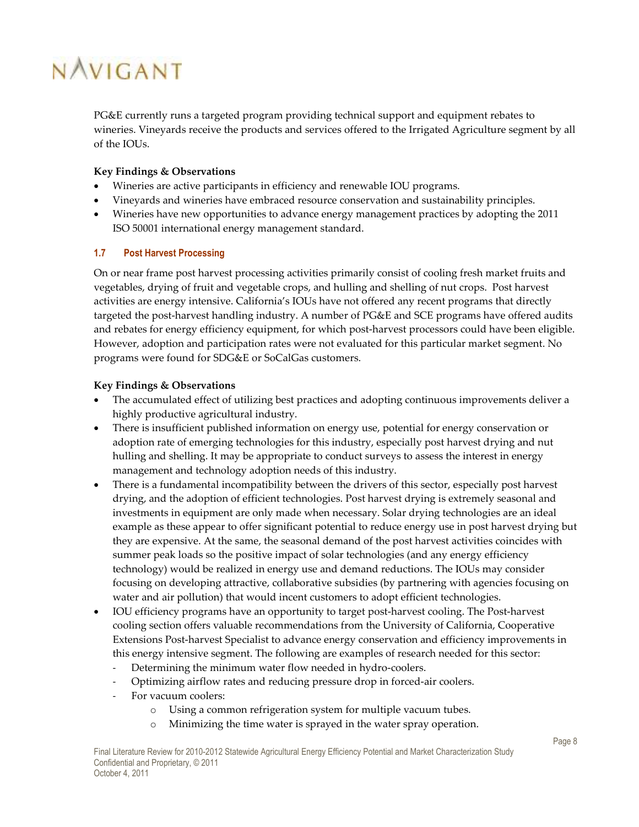PG&E currently runs a targeted program providing technical support and equipment rebates to wineries. Vineyards receive the products and services offered to the Irrigated Agriculture segment by all of the IOUs.

### **Key Findings & Observations**

- Wineries are active participants in efficiency and renewable IOU programs.
- Vineyards and wineries have embraced resource conservation and sustainability principles.
- Wineries have new opportunities to advance energy management practices by adopting the 2011 ISO 50001 international energy management standard.

### **1.7 Post Harvest Processing**

On or near frame post harvest processing activities primarily consist of cooling fresh market fruits and vegetables, drying of fruit and vegetable crops, and hulling and shelling of nut crops. Post harvest activities are energy intensive. California's IOUs have not offered any recent programs that directly targeted the post-harvest handling industry. A number of PG&E and SCE programs have offered audits and rebates for energy efficiency equipment, for which post-harvest processors could have been eligible. However, adoption and participation rates were not evaluated for this particular market segment. No programs were found for SDG&E or SoCalGas customers.

### **Key Findings & Observations**

- The accumulated effect of utilizing best practices and adopting continuous improvements deliver a highly productive agricultural industry.
- There is insufficient published information on energy use, potential for energy conservation or adoption rate of emerging technologies for this industry, especially post harvest drying and nut hulling and shelling. It may be appropriate to conduct surveys to assess the interest in energy management and technology adoption needs of this industry.
- There is a fundamental incompatibility between the drivers of this sector, especially post harvest drying, and the adoption of efficient technologies. Post harvest drying is extremely seasonal and investments in equipment are only made when necessary. Solar drying technologies are an ideal example as these appear to offer significant potential to reduce energy use in post harvest drying but they are expensive. At the same, the seasonal demand of the post harvest activities coincides with summer peak loads so the positive impact of solar technologies (and any energy efficiency technology) would be realized in energy use and demand reductions. The IOUs may consider focusing on developing attractive, collaborative subsidies (by partnering with agencies focusing on water and air pollution) that would incent customers to adopt efficient technologies.
- IOU efficiency programs have an opportunity to target post-harvest cooling. The Post-harvest cooling section offers valuable recommendations from the University of California, Cooperative Extensions Post-harvest Specialist to advance energy conservation and efficiency improvements in this energy intensive segment. The following are examples of research needed for this sector:
	- Determining the minimum water flow needed in hydro-coolers.
	- Optimizing airflow rates and reducing pressure drop in forced-air coolers.
	- For vacuum coolers:
		- o Using a common refrigeration system for multiple vacuum tubes.
		- Minimizing the time water is sprayed in the water spray operation.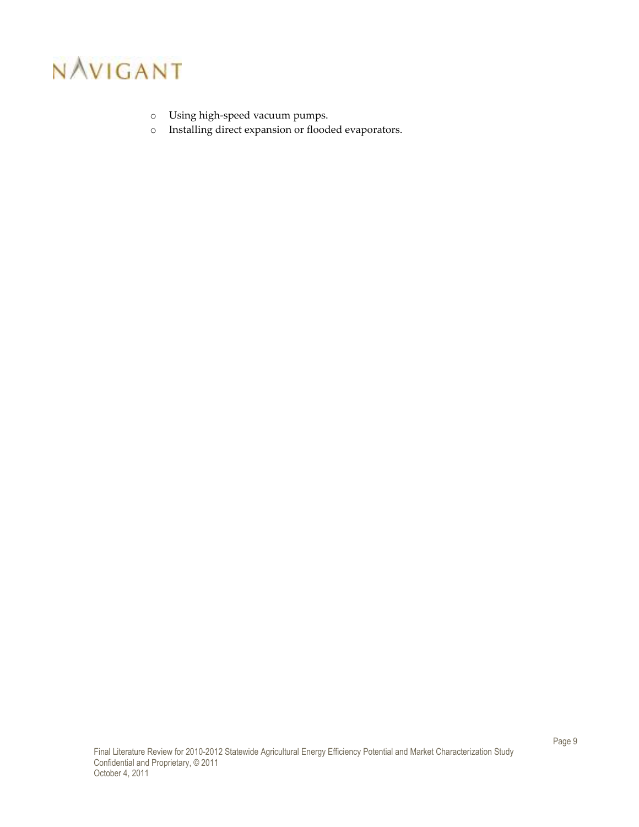

- o Using high-speed vacuum pumps.
- o Installing direct expansion or flooded evaporators.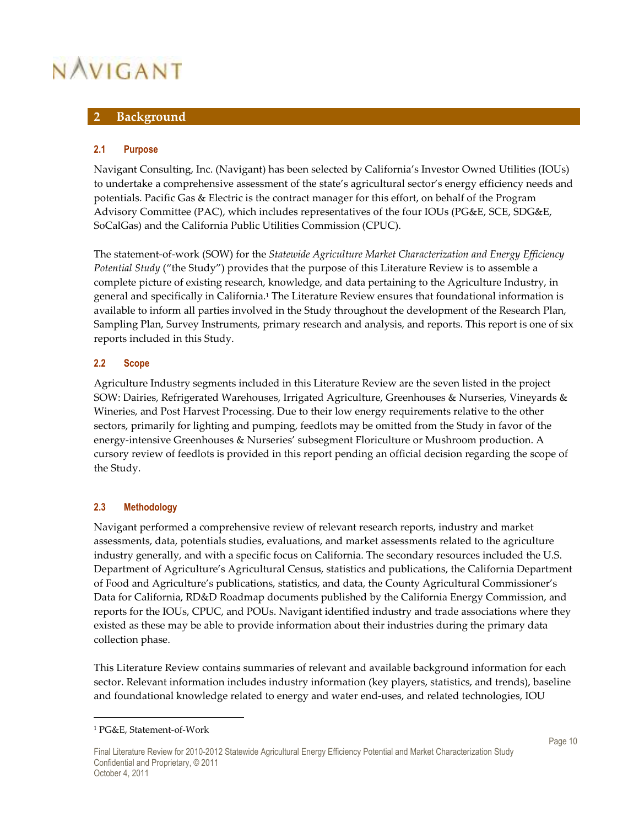### **2 Background**

#### **2.1 Purpose**

Navigant Consulting, Inc. (Navigant) has been selected by California's Investor Owned Utilities (IOUs) to undertake a comprehensive assessment of the state's agricultural sector's energy efficiency needs and potentials. Pacific Gas & Electric is the contract manager for this effort, on behalf of the Program Advisory Committee (PAC), which includes representatives of the four IOUs (PG&E, SCE, SDG&E, SoCalGas) and the California Public Utilities Commission (CPUC).

The statement-of-work (SOW) for the *Statewide Agriculture Market Characterization and Energy Efficiency Potential Study* ("the Study") provides that the purpose of this Literature Review is to assemble a complete picture of existing research, knowledge, and data pertaining to the Agriculture Industry, in general and specifically in California.<sup>1</sup> The Literature Review ensures that foundational information is available to inform all parties involved in the Study throughout the development of the Research Plan, Sampling Plan, Survey Instruments, primary research and analysis, and reports. This report is one of six reports included in this Study.

#### **2.2 Scope**

Agriculture Industry segments included in this Literature Review are the seven listed in the project SOW: Dairies, Refrigerated Warehouses, Irrigated Agriculture, Greenhouses & Nurseries, Vineyards & Wineries, and Post Harvest Processing. Due to their low energy requirements relative to the other sectors, primarily for lighting and pumping, feedlots may be omitted from the Study in favor of the energy-intensive Greenhouses & Nurseries' subsegment Floriculture or Mushroom production. A cursory review of feedlots is provided in this report pending an official decision regarding the scope of the Study.

#### **2.3 Methodology**

Navigant performed a comprehensive review of relevant research reports, industry and market assessments, data, potentials studies, evaluations, and market assessments related to the agriculture industry generally, and with a specific focus on California. The secondary resources included the U.S. Department of Agriculture's Agricultural Census, statistics and publications, the California Department of Food and Agriculture's publications, statistics, and data, the County Agricultural Commissioner's Data for California, RD&D Roadmap documents published by the California Energy Commission, and reports for the IOUs, CPUC, and POUs. Navigant identified industry and trade associations where they existed as these may be able to provide information about their industries during the primary data collection phase.

This Literature Review contains summaries of relevant and available background information for each sector. Relevant information includes industry information (key players, statistics, and trends), baseline and foundational knowledge related to energy and water end-uses, and related technologies, IOU

<sup>1</sup> PG&E, Statement-of-Work

Final Literature Review for 2010-2012 Statewide Agricultural Energy Efficiency Potential and Market Characterization Study Confidential and Proprietary, © 2011 October 4, 2011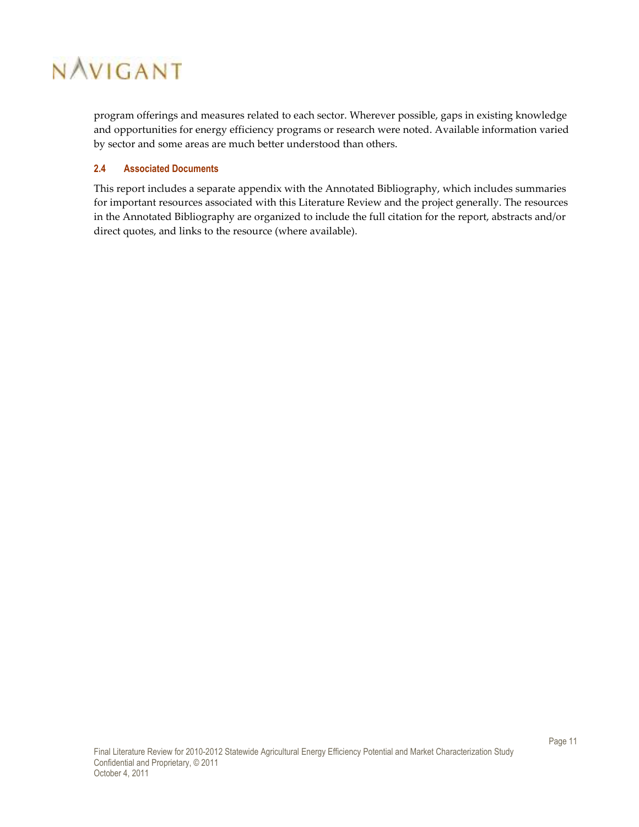program offerings and measures related to each sector. Wherever possible, gaps in existing knowledge and opportunities for energy efficiency programs or research were noted. Available information varied by sector and some areas are much better understood than others.

### **2.4 Associated Documents**

This report includes a separate appendix with the Annotated Bibliography, which includes summaries for important resources associated with this Literature Review and the project generally. The resources in the Annotated Bibliography are organized to include the full citation for the report, abstracts and/or direct quotes, and links to the resource (where available).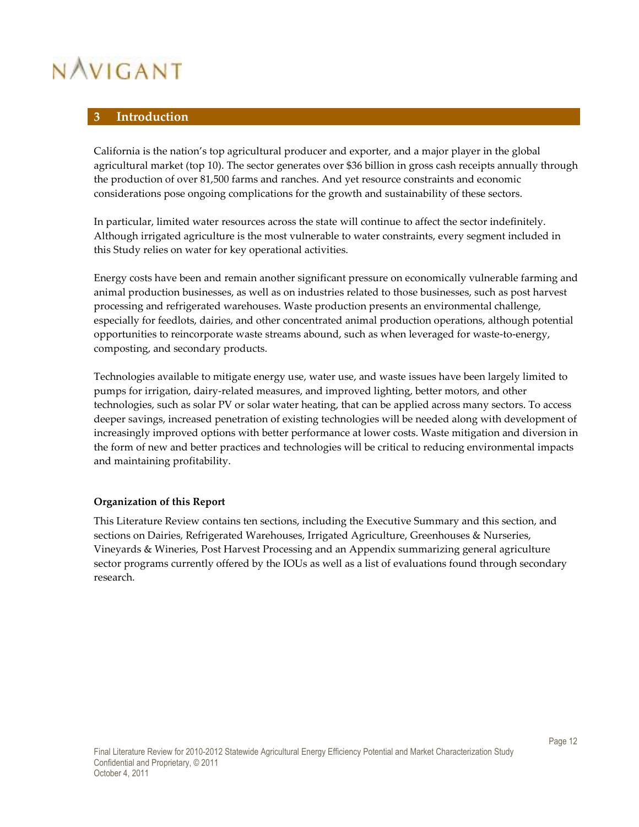# **3 Introduction**

California is the nation's top agricultural producer and exporter, and a major player in the global agricultural market (top 10). The sector generates over \$36 billion in gross cash receipts annually through the production of over 81,500 farms and ranches. And yet resource constraints and economic considerations pose ongoing complications for the growth and sustainability of these sectors.

In particular, limited water resources across the state will continue to affect the sector indefinitely. Although irrigated agriculture is the most vulnerable to water constraints, every segment included in this Study relies on water for key operational activities.

Energy costs have been and remain another significant pressure on economically vulnerable farming and animal production businesses, as well as on industries related to those businesses, such as post harvest processing and refrigerated warehouses. Waste production presents an environmental challenge, especially for feedlots, dairies, and other concentrated animal production operations, although potential opportunities to reincorporate waste streams abound, such as when leveraged for waste-to-energy, composting, and secondary products.

Technologies available to mitigate energy use, water use, and waste issues have been largely limited to pumps for irrigation, dairy-related measures, and improved lighting, better motors, and other technologies, such as solar PV or solar water heating, that can be applied across many sectors. To access deeper savings, increased penetration of existing technologies will be needed along with development of increasingly improved options with better performance at lower costs. Waste mitigation and diversion in the form of new and better practices and technologies will be critical to reducing environmental impacts and maintaining profitability.

#### **Organization of this Report**

This Literature Review contains ten sections, including the Executive Summary and this section, and sections on Dairies, Refrigerated Warehouses, Irrigated Agriculture, Greenhouses & Nurseries, Vineyards & Wineries, Post Harvest Processing and an Appendix summarizing general agriculture sector programs currently offered by the IOUs as well as a list of evaluations found through secondary research.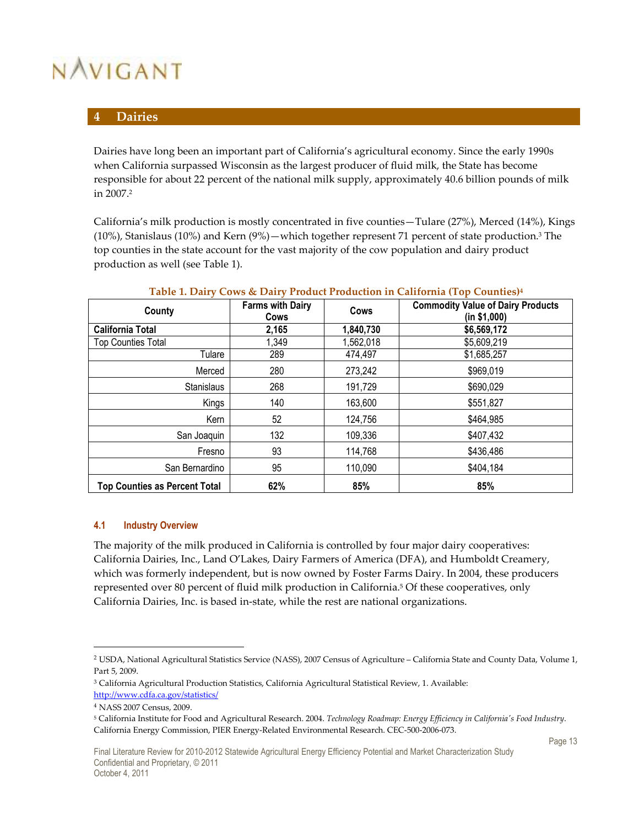# **4 Dairies**

Dairies have long been an important part of California's agricultural economy. Since the early 1990s when California surpassed Wisconsin as the largest producer of fluid milk, the State has become responsible for about 22 percent of the national milk supply, approximately 40.6 billion pounds of milk in 2007.<sup>2</sup>

California's milk production is mostly concentrated in five counties—Tulare (27%), Merced (14%), Kings (10%), Stanislaus (10%) and Kern (9%)—which together represent 71 percent of state production.<sup>3</sup> The top counties in the state account for the vast majority of the cow population and dairy product production as well (see Table 1).

| County                               | <b>Farms with Dairy</b><br>Cows | Cows      | <b>Commodity Value of Dairy Products</b><br>(in \$1,000) |
|--------------------------------------|---------------------------------|-----------|----------------------------------------------------------|
| <b>California Total</b>              | 2,165                           | 1,840,730 | \$6,569,172                                              |
| <b>Top Counties Total</b>            | 1,349                           | 1,562,018 | \$5,609,219                                              |
| Tulare                               | 289                             | 474,497   | \$1,685,257                                              |
| Merced                               | 280                             | 273,242   | \$969,019                                                |
| <b>Stanislaus</b>                    | 268                             | 191,729   | \$690,029                                                |
| Kings                                | 140                             | 163,600   | \$551,827                                                |
| Kern                                 | 52                              | 124,756   | \$464,985                                                |
| San Joaquin                          | 132                             | 109,336   | \$407,432                                                |
| Fresno                               | 93                              | 114,768   | \$436,486                                                |
| San Bernardino                       | 95                              | 110,090   | \$404,184                                                |
| <b>Top Counties as Percent Total</b> | 62%                             | 85%       | 85%                                                      |

#### **Table 1. Dairy Cows & Dairy Product Production in California (Top Counties)<sup>4</sup>**

#### **4.1 Industry Overview**

The majority of the milk produced in California is controlled by four major dairy cooperatives: California Dairies, Inc., Land O'Lakes, Dairy Farmers of America (DFA), and Humboldt Creamery, which was formerly independent, but is now owned by Foster Farms Dairy. In 2004, these producers represented over 80 percent of fluid milk production in California.<sup>5</sup> Of these cooperatives, only California Dairies, Inc. is based in-state, while the rest are national organizations.

 $\overline{a}$ 

<sup>2</sup> USDA, National Agricultural Statistics Service (NASS), 2007 Census of Agriculture – California State and County Data, Volume 1, Part 5, 2009.

<sup>3</sup> California Agricultural Production Statistics, California Agricultural Statistical Review, 1. Available: http://www.cdfa.ca.gov/statistics/

<sup>4</sup> NASS 2007 Census, 2009.

<sup>5</sup> California Institute for Food and Agricultural Research. 2004. *Technology Roadmap: Energy Efficiency in California's Food Industry*. California Energy Commission, PIER Energy-Related Environmental Research. CEC-500-2006-073.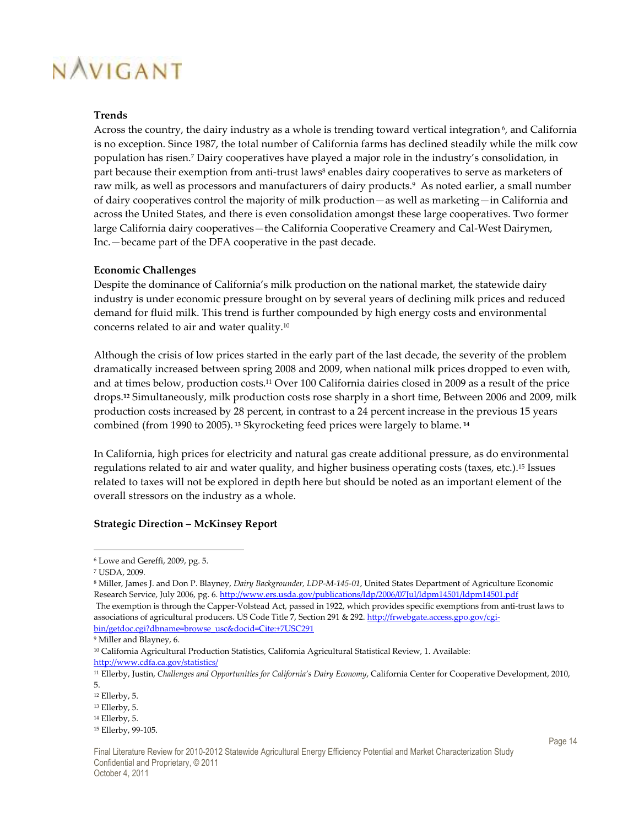#### **Trends**

Across the country, the dairy industry as a whole is trending toward vertical integration<sup> $6$ </sup>, and California is no exception. Since 1987, the total number of California farms has declined steadily while the milk cow population has risen.<sup>7</sup> Dairy cooperatives have played a major role in the industry's consolidation, in part because their exemption from anti-trust laws<sup>8</sup> enables dairy cooperatives to serve as marketers of raw milk, as well as processors and manufacturers of dairy products.<sup>9</sup> As noted earlier, a small number of dairy cooperatives control the majority of milk production—as well as marketing—in California and across the United States, and there is even consolidation amongst these large cooperatives. Two former large California dairy cooperatives—the California Cooperative Creamery and Cal-West Dairymen, Inc.—became part of the DFA cooperative in the past decade.

#### **Economic Challenges**

Despite the dominance of California's milk production on the national market, the statewide dairy industry is under economic pressure brought on by several years of declining milk prices and reduced demand for fluid milk. This trend is further compounded by high energy costs and environmental concerns related to air and water quality.<sup>10</sup>

Although the crisis of low prices started in the early part of the last decade, the severity of the problem dramatically increased between spring 2008 and 2009, when national milk prices dropped to even with, and at times below, production costs.11 Over 100 California dairies closed in 2009 as a result of the price drops.**12** Simultaneously, milk production costs rose sharply in a short time, Between 2006 and 2009, milk production costs increased by 28 percent, in contrast to a 24 percent increase in the previous 15 years combined (from 1990 to 2005).**<sup>13</sup>** Skyrocketing feed prices were largely to blame.**<sup>14</sup>**

In California, high prices for electricity and natural gas create additional pressure, as do environmental regulations related to air and water quality, and higher business operating costs (taxes, etc.).15 Issues related to taxes will not be explored in depth here but should be noted as an important element of the overall stressors on the industry as a whole.

#### **Strategic Direction – McKinsey Report**

<sup>6</sup> Lowe and Gereffi, 2009, pg. 5.

<sup>7</sup> USDA, 2009.

<sup>8</sup> Miller, James J. and Don P. Blayney, *Dairy Backgrounder, LDP-M-145-01*, United States Department of Agriculture Economic Research Service, July 2006, pg. 6. http://www.ers.usda.gov/publications/ldp/2006/07Jul/ldpm14501/ldpm14501.pdf The exemption is through the Capper-Volstead Act, passed in 1922, which provides specific exemptions from anti-trust laws to associations of agricultural producers. US Code Title 7, Section 291 & 292. http://frwebgate.access.gpo.gov/cgi-

bin/getdoc.cgi?dbname=browse\_usc&docid=Cite:+7USC291 9 Miller and Blayney, 6.

<sup>10</sup> California Agricultural Production Statistics, California Agricultural Statistical Review, 1. Available: http://www.cdfa.ca.gov/statistics/

<sup>11</sup> Ellerby, Justin, *Challenges and Opportunities for California's Dairy Economy*, California Center for Cooperative Development, 2010, 5.

<sup>12</sup> Ellerby, 5.

<sup>13</sup> Ellerby, 5.

<sup>14</sup> Ellerby, 5.

<sup>15</sup> Ellerby, 99-105.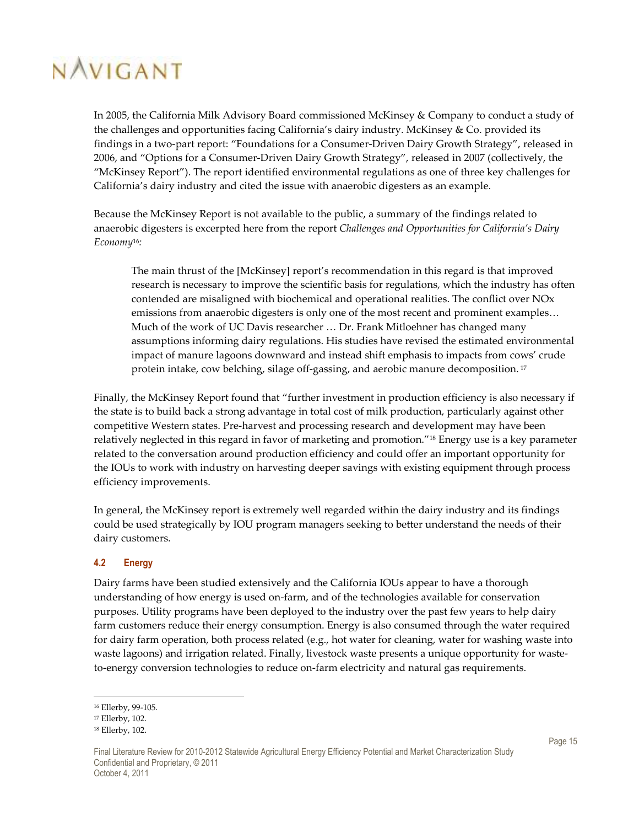In 2005, the California Milk Advisory Board commissioned McKinsey & Company to conduct a study of the challenges and opportunities facing California's dairy industry. McKinsey & Co. provided its findings in a two-part report: "Foundations for a Consumer-Driven Dairy Growth Strategy", released in 2006, and "Options for a Consumer-Driven Dairy Growth Strategy", released in 2007 (collectively, the "McKinsey Report"). The report identified environmental regulations as one of three key challenges for California's dairy industry and cited the issue with anaerobic digesters as an example.

Because the McKinsey Report is not available to the public, a summary of the findings related to anaerobic digesters is excerpted here from the report *Challenges and Opportunities for California's Dairy Economy*16*:*

The main thrust of the [McKinsey] report's recommendation in this regard is that improved research is necessary to improve the scientific basis for regulations, which the industry has often contended are misaligned with biochemical and operational realities. The conflict over NOx emissions from anaerobic digesters is only one of the most recent and prominent examples… Much of the work of UC Davis researcher … Dr. Frank Mitloehner has changed many assumptions informing dairy regulations. His studies have revised the estimated environmental impact of manure lagoons downward and instead shift emphasis to impacts from cows' crude protein intake, cow belching, silage off-gassing, and aerobic manure decomposition.<sup>17</sup>

Finally, the McKinsey Report found that "further investment in production efficiency is also necessary if the state is to build back a strong advantage in total cost of milk production, particularly against other competitive Western states. Pre-harvest and processing research and development may have been relatively neglected in this regard in favor of marketing and promotion."18 Energy use is a key parameter related to the conversation around production efficiency and could offer an important opportunity for the IOUs to work with industry on harvesting deeper savings with existing equipment through process efficiency improvements.

In general, the McKinsey report is extremely well regarded within the dairy industry and its findings could be used strategically by IOU program managers seeking to better understand the needs of their dairy customers.

#### **4.2 Energy**

Dairy farms have been studied extensively and the California IOUs appear to have a thorough understanding of how energy is used on-farm, and of the technologies available for conservation purposes. Utility programs have been deployed to the industry over the past few years to help dairy farm customers reduce their energy consumption. Energy is also consumed through the water required for dairy farm operation, both process related (e.g., hot water for cleaning, water for washing waste into waste lagoons) and irrigation related. Finally, livestock waste presents a unique opportunity for wasteto-energy conversion technologies to reduce on-farm electricity and natural gas requirements.

<sup>16</sup> Ellerby, 99-105.

<sup>17</sup> Ellerby, 102.

<sup>18</sup> Ellerby, 102.

Final Literature Review for 2010-2012 Statewide Agricultural Energy Efficiency Potential and Market Characterization Study Confidential and Proprietary, © 2011 October 4, 2011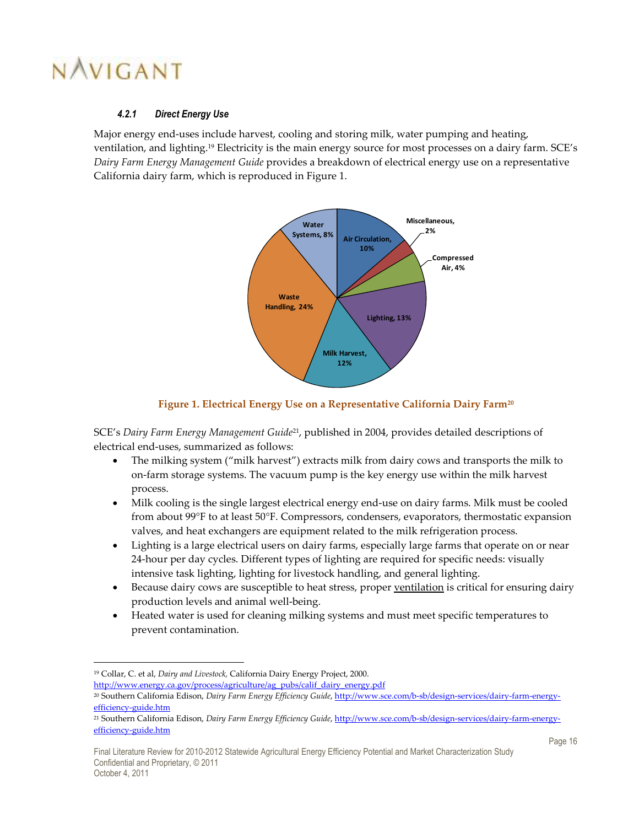$\overline{a}$ 

### *4.2.1 Direct Energy Use*

Major energy end-uses include harvest, cooling and storing milk, water pumping and heating, ventilation, and lighting.19 Electricity is the main energy source for most processes on a dairy farm. SCE's *Dairy Farm Energy Management Guide* provides a breakdown of electrical energy use on a representative California dairy farm, which is reproduced in Figure 1.



### **Figure 1. Electrical Energy Use on a Representative California Dairy Farm<sup>20</sup>**

SCE's *Dairy Farm Energy Management Guide*21, published in 2004, provides detailed descriptions of electrical end-uses, summarized as follows:

- The milking system ("milk harvest") extracts milk from dairy cows and transports the milk to on-farm storage systems. The vacuum pump is the key energy use within the milk harvest process.
- Milk cooling is the single largest electrical energy end-use on dairy farms. Milk must be cooled from about 99°F to at least 50°F. Compressors, condensers, evaporators, thermostatic expansion valves, and heat exchangers are equipment related to the milk refrigeration process.
- Lighting is a large electrical users on dairy farms, especially large farms that operate on or near 24-hour per day cycles. Different types of lighting are required for specific needs: visually intensive task lighting, lighting for livestock handling, and general lighting.
- Because dairy cows are susceptible to heat stress, proper ventilation is critical for ensuring dairy production levels and animal well-being.
- Heated water is used for cleaning milking systems and must meet specific temperatures to prevent contamination.

<sup>19</sup> Collar, C. et al, *Dairy and Livestock,* California Dairy Energy Project, 2000. http://www.energy.ca.gov/process/agriculture/ag\_pubs/calif\_dairy\_energy.pdf

<sup>20</sup> Southern California Edison, *Dairy Farm Energy Efficiency Guide*, http://www.sce.com/b-sb/design-services/dairy-farm-energyefficiency-guide.htm

<sup>21</sup> Southern California Edison, *Dairy Farm Energy Efficiency Guide*, http://www.sce.com/b-sb/design-services/dairy-farm-energyefficiency-guide.htm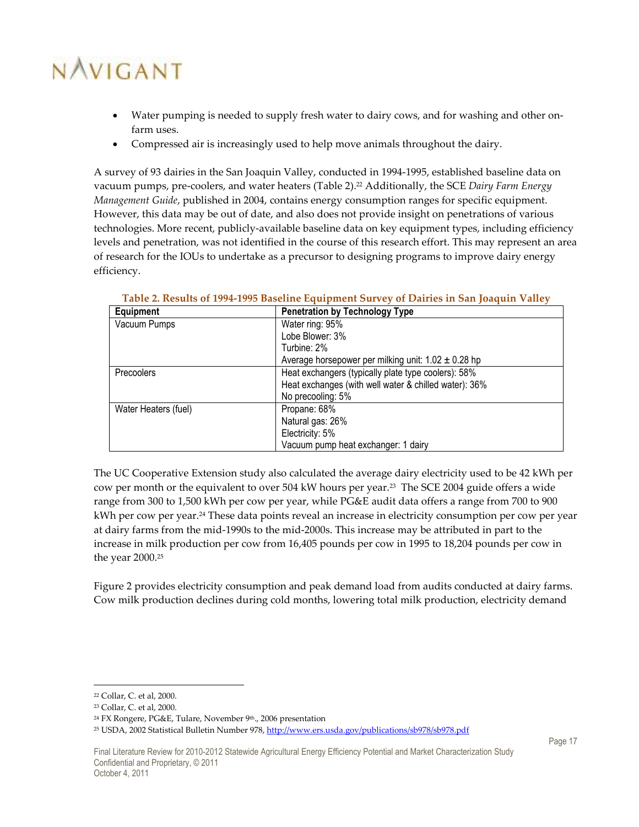- Water pumping is needed to supply fresh water to dairy cows, and for washing and other onfarm uses.
- Compressed air is increasingly used to help move animals throughout the dairy.

A survey of 93 dairies in the San Joaquin Valley, conducted in 1994-1995, established baseline data on vacuum pumps, pre-coolers, and water heaters (Table 2).22 Additionally, the SCE *Dairy Farm Energy Management Guide*, published in 2004, contains energy consumption ranges for specific equipment. However, this data may be out of date, and also does not provide insight on penetrations of various technologies. More recent, publicly-available baseline data on key equipment types, including efficiency levels and penetration, was not identified in the course of this research effort. This may represent an area of research for the IOUs to undertake as a precursor to designing programs to improve dairy energy efficiency.

| Equipment            | <b>Penetration by Technology Type</b>                   |  |
|----------------------|---------------------------------------------------------|--|
| Vacuum Pumps         | Water ring: 95%                                         |  |
|                      | Lobe Blower: 3%                                         |  |
|                      | Turbine: 2%                                             |  |
|                      | Average horsepower per milking unit: $1.02 \pm 0.28$ hp |  |
| Precoolers           | Heat exchangers (typically plate type coolers): 58%     |  |
|                      | Heat exchanges (with well water & chilled water): 36%   |  |
|                      | No precooling: 5%                                       |  |
| Water Heaters (fuel) | Propane: 68%                                            |  |
|                      | Natural gas: 26%                                        |  |
|                      | Electricity: 5%                                         |  |
|                      | Vacuum pump heat exchanger: 1 dairy                     |  |

# **Table 2. Results of 1994-1995 Baseline Equipment Survey of Dairies in San Joaquin Valley**

The UC Cooperative Extension study also calculated the average dairy electricity used to be 42 kWh per cow per month or the equivalent to over 504 kW hours per year.23 The SCE 2004 guide offers a wide range from 300 to 1,500 kWh per cow per year, while PG&E audit data offers a range from 700 to 900 kWh per cow per year.<sup>24</sup> These data points reveal an increase in electricity consumption per cow per year at dairy farms from the mid-1990s to the mid-2000s. This increase may be attributed in part to the increase in milk production per cow from 16,405 pounds per cow in 1995 to 18,204 pounds per cow in the year 2000.<sup>25</sup>

Figure 2 provides electricity consumption and peak demand load from audits conducted at dairy farms. Cow milk production declines during cold months, lowering total milk production, electricity demand

<sup>22</sup> Collar, C. et al, 2000.

<sup>23</sup> Collar, C. et al, 2000.

<sup>&</sup>lt;sup>24</sup> FX Rongere, PG&E, Tulare, November 9<sup>th</sup>., 2006 presentation

<sup>&</sup>lt;sup>25</sup> USDA, 2002 Statistical Bulletin Number 978, http://www.ers.usda.gov/publications/sb978/sb978.pdf

Final Literature Review for 2010-2012 Statewide Agricultural Energy Efficiency Potential and Market Characterization Study Confidential and Proprietary, © 2011 October 4, 2011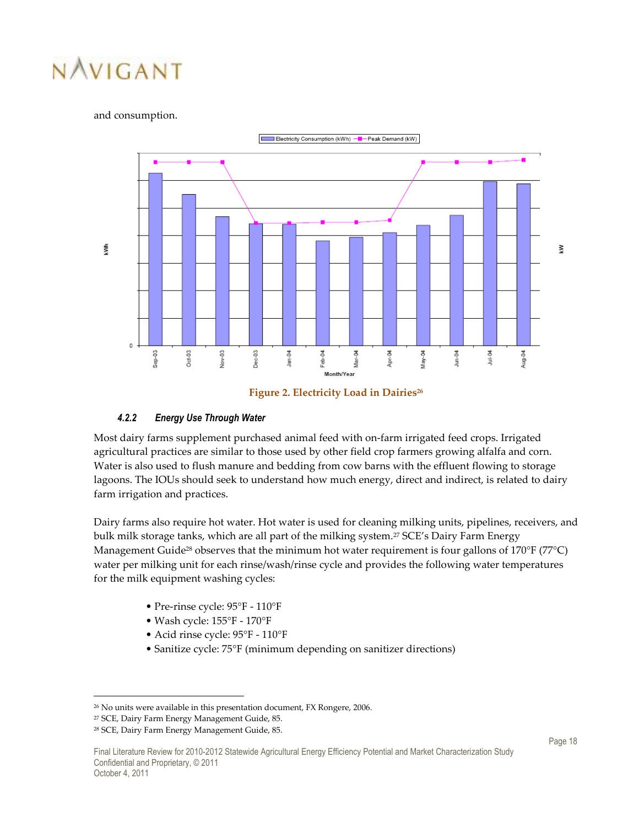#### and consumption.





#### *4.2.2 Energy Use Through Water*

Most dairy farms supplement purchased animal feed with on-farm irrigated feed crops. Irrigated agricultural practices are similar to those used by other field crop farmers growing alfalfa and corn. Water is also used to flush manure and bedding from cow barns with the effluent flowing to storage lagoons. The IOUs should seek to understand how much energy, direct and indirect, is related to dairy farm irrigation and practices.

Dairy farms also require hot water. Hot water is used for cleaning milking units, pipelines, receivers, and bulk milk storage tanks, which are all part of the milking system.<sup>27</sup> SCE's Dairy Farm Energy Management Guide<sup>28</sup> observes that the minimum hot water requirement is four gallons of  $170^{\circ}$ F ( $77^{\circ}$ C) water per milking unit for each rinse/wash/rinse cycle and provides the following water temperatures for the milk equipment washing cycles:

- Pre-rinse cycle: 95°F 110°F
- Wash cycle: 155°F 170°F
- Acid rinse cycle: 95°F 110°F
- Sanitize cycle: 75°F (minimum depending on sanitizer directions)

<sup>26</sup> No units were available in this presentation document, FX Rongere, 2006.

<sup>27</sup> SCE, Dairy Farm Energy Management Guide, 85.

<sup>28</sup> SCE, Dairy Farm Energy Management Guide, 85.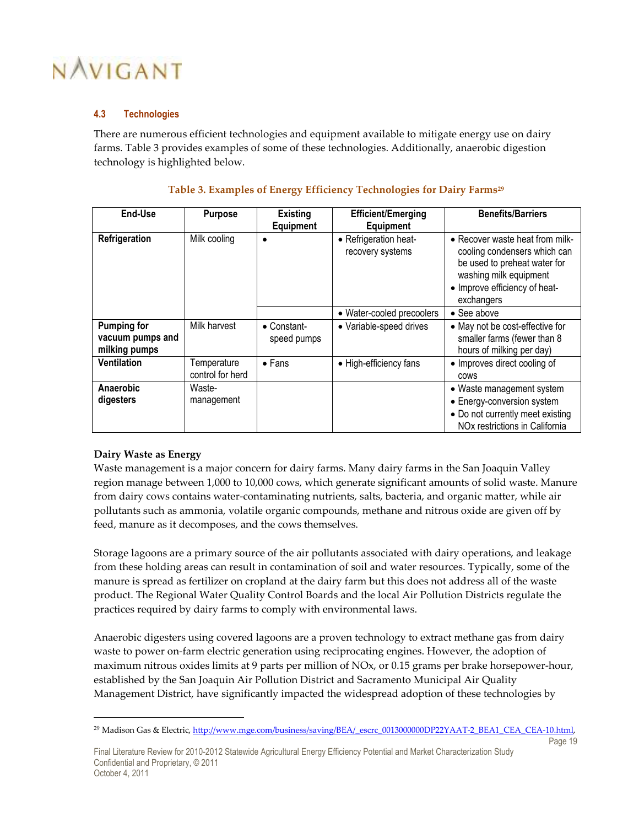### **4.3 Technologies**

There are numerous efficient technologies and equipment available to mitigate energy use on dairy farms. Table 3 provides examples of some of these technologies. Additionally, anaerobic digestion technology is highlighted below.

| End-Use                                                 | <b>Purpose</b>                  | <b>Existing</b>            | <b>Efficient/Emerging</b>                 | <b>Benefits/Barriers</b>                                                                                                                                                 |
|---------------------------------------------------------|---------------------------------|----------------------------|-------------------------------------------|--------------------------------------------------------------------------------------------------------------------------------------------------------------------------|
|                                                         |                                 | <b>Equipment</b>           | <b>Equipment</b>                          |                                                                                                                                                                          |
| Refrigeration                                           | Milk cooling                    | $\bullet$                  | • Refrigeration heat-<br>recovery systems | • Recover waste heat from milk-<br>cooling condensers which can<br>be used to preheat water for<br>washing milk equipment<br>• Improve efficiency of heat-<br>exchangers |
|                                                         |                                 |                            | • Water-cooled precoolers                 | $\bullet$ See above                                                                                                                                                      |
| <b>Pumping for</b><br>vacuum pumps and<br>milking pumps | Milk harvest                    | • Constant-<br>speed pumps | • Variable-speed drives                   | • May not be cost-effective for<br>smaller farms (fewer than 8<br>hours of milking per day)                                                                              |
| <b>Ventilation</b>                                      | Temperature<br>control for herd | $\bullet$ Fans             | • High-efficiency fans                    | • Improves direct cooling of<br><b>COWS</b>                                                                                                                              |
| Anaerobic<br>digesters                                  | Waste-<br>management            |                            |                                           | • Waste management system<br>• Energy-conversion system<br>• Do not currently meet existing<br>NO <sub>x</sub> restrictions in California                                |

### **Table 3. Examples of Energy Efficiency Technologies for Dairy Farms<sup>29</sup>**

# **Dairy Waste as Energy**

-

Waste management is a major concern for dairy farms. Many dairy farms in the San Joaquin Valley region manage between 1,000 to 10,000 cows, which generate significant amounts of solid waste. Manure from dairy cows contains water-contaminating nutrients, salts, bacteria, and organic matter, while air pollutants such as ammonia, volatile organic compounds, methane and nitrous oxide are given off by feed, manure as it decomposes, and the cows themselves.

Storage lagoons are a primary source of the air pollutants associated with dairy operations, and leakage from these holding areas can result in contamination of soil and water resources. Typically, some of the manure is spread as fertilizer on cropland at the dairy farm but this does not address all of the waste product. The Regional Water Quality Control Boards and the local Air Pollution Districts regulate the practices required by dairy farms to comply with environmental laws.

Anaerobic digesters using covered lagoons are a proven technology to extract methane gas from dairy waste to power on-farm electric generation using reciprocating engines. However, the adoption of maximum nitrous oxides limits at 9 parts per million of NOx, or 0.15 grams per brake horsepower-hour, established by the San Joaquin Air Pollution District and Sacramento Municipal Air Quality Management District, have significantly impacted the widespread adoption of these technologies by

Page 19

Final Literature Review for 2010-2012 Statewide Agricultural Energy Efficiency Potential and Market Characterization Study Confidential and Proprietary, © 2011 October 4, 2011

<sup>&</sup>lt;sup>29</sup> Madison Gas & Electric, http://www.mge.com/business/saving/BEA/\_escrc\_0013000000DP22YAAT-2\_BEA1\_CEA\_CEA-10.html,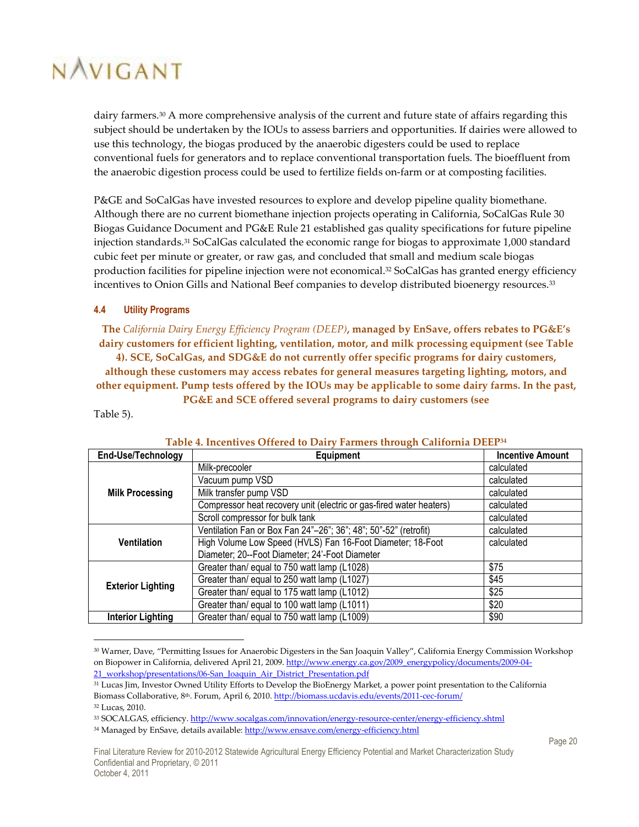dairy farmers.<sup>30</sup> A more comprehensive analysis of the current and future state of affairs regarding this subject should be undertaken by the IOUs to assess barriers and opportunities. If dairies were allowed to use this technology, the biogas produced by the anaerobic digesters could be used to replace conventional fuels for generators and to replace conventional transportation fuels. The bioeffluent from the anaerobic digestion process could be used to fertilize fields on-farm or at composting facilities.

P&GE and SoCalGas have invested resources to explore and develop pipeline quality biomethane. Although there are no current biomethane injection projects operating in California, SoCalGas Rule 30 Biogas Guidance Document and PG&E Rule 21 established gas quality specifications for future pipeline injection standards.31 SoCalGas calculated the economic range for biogas to approximate 1,000 standard cubic feet per minute or greater, or raw gas, and concluded that small and medium scale biogas production facilities for pipeline injection were not economical.<sup>32</sup> SoCalGas has granted energy efficiency incentives to Onion Gills and National Beef companies to develop distributed bioenergy resources.<sup>33</sup>

#### **4.4 Utility Programs**

**The** *California Dairy Energy Efficiency Program (DEEP)***, managed by EnSave, offers rebates to PG&E's dairy customers for efficient lighting, ventilation, motor, and milk processing equipment (see Table 4). SCE, SoCalGas, and SDG&E do not currently offer specific programs for dairy customers, although these customers may access rebates for general measures targeting lighting, motors, and other equipment. Pump tests offered by the IOUs may be applicable to some dairy farms. In the past, PG&E and SCE offered several programs to dairy customers (see** 

Table 5).

-

| End-Use/Technology       | Equipment                                                           | <b>Incentive Amount</b> |
|--------------------------|---------------------------------------------------------------------|-------------------------|
|                          | Milk-precooler                                                      | calculated              |
|                          | Vacuum pump VSD                                                     | calculated              |
| <b>Milk Processing</b>   | Milk transfer pump VSD                                              | calculated              |
|                          | Compressor heat recovery unit (electric or gas-fired water heaters) | calculated              |
|                          | Scroll compressor for bulk tank                                     | calculated              |
|                          | Ventilation Fan or Box Fan 24"-26"; 36"; 48"; 50"-52" (retrofit)    | calculated              |
| <b>Ventilation</b>       | High Volume Low Speed (HVLS) Fan 16-Foot Diameter; 18-Foot          | calculated              |
|                          | Diameter; 20--Foot Diameter; 24'-Foot Diameter                      |                         |
|                          | Greater than/ equal to 750 watt lamp (L1028)                        | \$75                    |
| <b>Exterior Lighting</b> | Greater than/ equal to 250 watt lamp (L1027)                        | \$45                    |
|                          | Greater than/ equal to 175 watt lamp (L1012)                        | \$25                    |
|                          | Greater than/ equal to 100 watt lamp (L1011)                        | \$20                    |
| <b>Interior Lighting</b> | Greater than/ equal to 750 watt lamp (L1009)                        | \$90                    |

#### **Table 4. Incentives Offered to Dairy Farmers through California DEEP<sup>34</sup>**

<sup>30</sup> Warner, Dave, "Permitting Issues for Anaerobic Digesters in the San Joaquin Valley", California Energy Commission Workshop on Biopower in California, delivered April 21, 2009. http://www.energy.ca.gov/2009\_energypolicy/documents/2009-04-21\_workshop/presentations/06-San\_Joaquin\_Air\_District\_Presentation.pdf

<sup>&</sup>lt;sup>31</sup> Lucas Jim, Investor Owned Utility Efforts to Develop the BioEnergy Market, a power point presentation to the California Biomass Collaborative, 8<sup>th</sup>. Forum, April 6, 2010. http://biomass.ucdavis.edu/events/2011-cec-forum/ <sup>32</sup> Lucas, 2010.

<sup>33</sup> SOCALGAS, efficiency. http://www.socalgas.com/innovation/energy-resource-center/energy-efficiency.shtml

<sup>&</sup>lt;sup>34</sup> Managed by EnSave, details available: http://www.ensave.com/energy-efficiency.html

Final Literature Review for 2010-2012 Statewide Agricultural Energy Efficiency Potential and Market Characterization Study Confidential and Proprietary, © 2011 October 4, 2011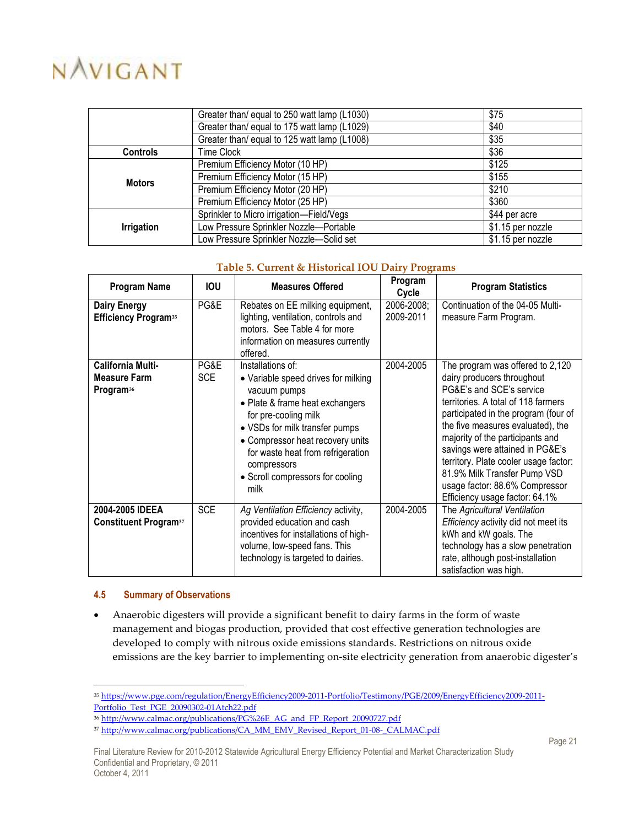|                   | Greater than/ equal to 250 watt lamp (L1030) | \$75              |
|-------------------|----------------------------------------------|-------------------|
|                   | Greater than/ equal to 175 watt lamp (L1029) | \$40              |
|                   | Greater than/ equal to 125 watt lamp (L1008) | \$35              |
| <b>Controls</b>   | <b>Time Clock</b>                            | \$36              |
|                   | Premium Efficiency Motor (10 HP)             | \$125             |
| <b>Motors</b>     | Premium Efficiency Motor (15 HP)             | \$155             |
|                   | Premium Efficiency Motor (20 HP)             | \$210             |
|                   | Premium Efficiency Motor (25 HP)             | \$360             |
|                   | Sprinkler to Micro irrigation-Field/Vegs     | \$44 per acre     |
| <b>Irrigation</b> | Low Pressure Sprinkler Nozzle-Portable       | \$1.15 per nozzle |
|                   | Low Pressure Sprinkler Nozzle-Solid set      | \$1.15 per nozzle |

#### **Table 5. Current & Historical IOU Dairy Programs**

| <b>Program Name</b><br><b>IOU</b>                                 |                    | <b>Measures Offered</b>                                                                                                                                                                                                                                                                                   | Program<br>Cycle        | <b>Program Statistics</b>                                                                                                                                                                                                                                                                                                                                                                                                          |
|-------------------------------------------------------------------|--------------------|-----------------------------------------------------------------------------------------------------------------------------------------------------------------------------------------------------------------------------------------------------------------------------------------------------------|-------------------------|------------------------------------------------------------------------------------------------------------------------------------------------------------------------------------------------------------------------------------------------------------------------------------------------------------------------------------------------------------------------------------------------------------------------------------|
| <b>Dairy Energy</b><br><b>Efficiency Program</b> <sup>35</sup>    | PG&E               | Rebates on EE milking equipment,<br>lighting, ventilation, controls and<br>motors. See Table 4 for more<br>information on measures currently<br>offered.                                                                                                                                                  | 2006-2008;<br>2009-2011 | Continuation of the 04-05 Multi-<br>measure Farm Program.                                                                                                                                                                                                                                                                                                                                                                          |
| California Multi-<br><b>Measure Farm</b><br>Program <sup>36</sup> | PG&E<br><b>SCE</b> | Installations of:<br>• Variable speed drives for milking<br>vacuum pumps<br>• Plate & frame heat exchangers<br>for pre-cooling milk<br>• VSDs for milk transfer pumps<br>• Compressor heat recovery units<br>for waste heat from refrigeration<br>compressors<br>• Scroll compressors for cooling<br>milk | 2004-2005               | The program was offered to 2,120<br>dairy producers throughout<br>PG&E's and SCE's service<br>territories. A total of 118 farmers<br>participated in the program (four of<br>the five measures evaluated), the<br>majority of the participants and<br>savings were attained in PG&E's<br>territory. Plate cooler usage factor:<br>81.9% Milk Transfer Pump VSD<br>usage factor: 88.6% Compressor<br>Efficiency usage factor: 64.1% |
| 2004-2005 IDEEA<br><b>Constituent Program</b> <sup>37</sup>       | <b>SCE</b>         | Ag Ventilation Efficiency activity,<br>provided education and cash<br>incentives for installations of high-<br>volume, low-speed fans. This<br>technology is targeted to dairies.                                                                                                                         | 2004-2005               | The Agricultural Ventilation<br>Efficiency activity did not meet its<br>kWh and kW goals. The<br>technology has a slow penetration<br>rate, although post-installation<br>satisfaction was high.                                                                                                                                                                                                                                   |

#### **4.5 Summary of Observations**

• Anaerobic digesters will provide a significant benefit to dairy farms in the form of waste management and biogas production, provided that cost effective generation technologies are developed to comply with nitrous oxide emissions standards. Restrictions on nitrous oxide emissions are the key barrier to implementing on-site electricity generation from anaerobic digester's

<sup>35</sup> https://www.pge.com/regulation/EnergyEfficiency2009-2011-Portfolio/Testimony/PGE/2009/EnergyEfficiency2009-2011- Portfolio\_Test\_PGE\_20090302-01Atch22.pdf

<sup>&</sup>lt;sup>36</sup> http://www.calmac.org/publications/PG%26E\_AG\_and\_FP\_Report\_20090727.pdf

<sup>&</sup>lt;sup>37</sup> http://www.calmac.org/publications/CA\_MM\_EMV\_Revised\_Report\_01-08-\_CALMAC.pdf

Final Literature Review for 2010-2012 Statewide Agricultural Energy Efficiency Potential and Market Characterization Study Confidential and Proprietary, © 2011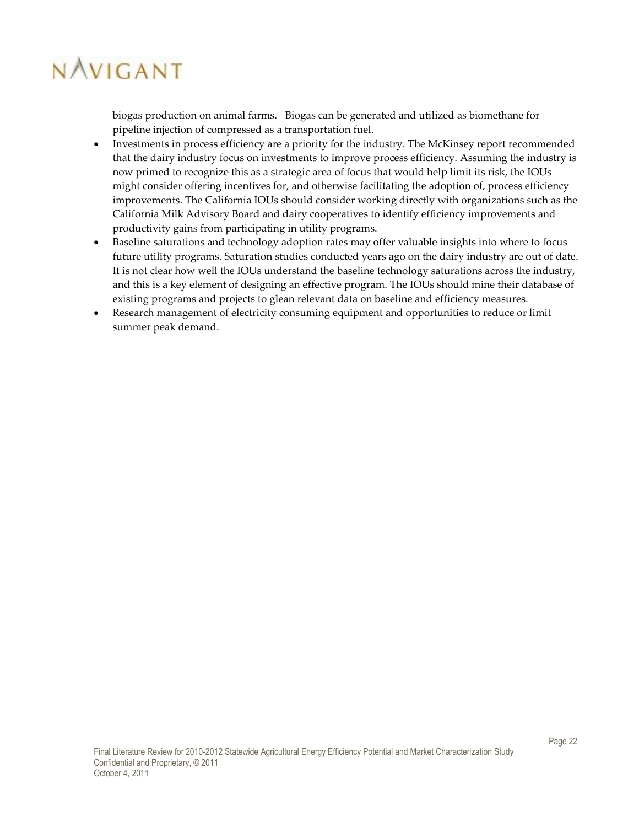biogas production on animal farms. Biogas can be generated and utilized as biomethane for pipeline injection of compressed as a transportation fuel.

- Investments in process efficiency are a priority for the industry. The McKinsey report recommended that the dairy industry focus on investments to improve process efficiency. Assuming the industry is now primed to recognize this as a strategic area of focus that would help limit its risk, the IOUs might consider offering incentives for, and otherwise facilitating the adoption of, process efficiency improvements. The California IOUs should consider working directly with organizations such as the California Milk Advisory Board and dairy cooperatives to identify efficiency improvements and productivity gains from participating in utility programs.
- Baseline saturations and technology adoption rates may offer valuable insights into where to focus future utility programs. Saturation studies conducted years ago on the dairy industry are out of date. It is not clear how well the IOUs understand the baseline technology saturations across the industry, and this is a key element of designing an effective program. The IOUs should mine their database of existing programs and projects to glean relevant data on baseline and efficiency measures.
- Research management of electricity consuming equipment and opportunities to reduce or limit summer peak demand.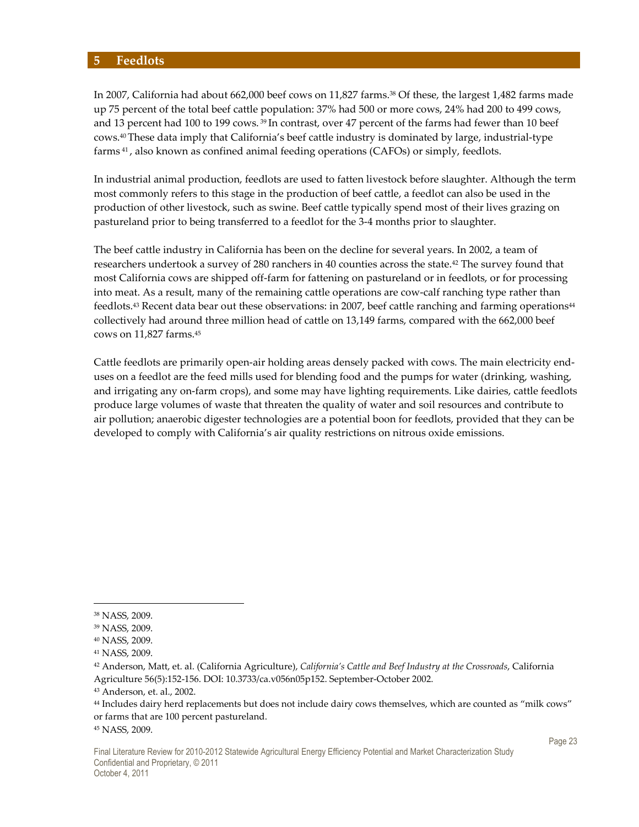#### **5 Feedlots**

In 2007, California had about 662,000 beef cows on 11,827 farms.<sup>38</sup> Of these, the largest 1,482 farms made up 75 percent of the total beef cattle population: 37% had 500 or more cows, 24% had 200 to 499 cows, and 13 percent had 100 to 199 cows.<sup>39</sup> In contrast, over 47 percent of the farms had fewer than 10 beef cows.40 These data imply that California's beef cattle industry is dominated by large, industrial-type farms 41 , also known as confined animal feeding operations (CAFOs) or simply, feedlots.

In industrial animal production, feedlots are used to fatten livestock before slaughter. Although the term most commonly refers to this stage in the production of beef cattle, a feedlot can also be used in the production of other livestock, such as swine. Beef cattle typically spend most of their lives grazing on pastureland prior to being transferred to a feedlot for the 3-4 months prior to slaughter.

The beef cattle industry in California has been on the decline for several years. In 2002, a team of researchers undertook a survey of 280 ranchers in 40 counties across the state.42 The survey found that most California cows are shipped off-farm for fattening on pastureland or in feedlots, or for processing into meat. As a result, many of the remaining cattle operations are cow-calf ranching type rather than feedlots.<sup>43</sup> Recent data bear out these observations: in 2007, beef cattle ranching and farming operations<sup>44</sup> collectively had around three million head of cattle on 13,149 farms, compared with the 662,000 beef cows on 11,827 farms.<sup>45</sup>

Cattle feedlots are primarily open-air holding areas densely packed with cows. The main electricity enduses on a feedlot are the feed mills used for blending food and the pumps for water (drinking, washing, and irrigating any on-farm crops), and some may have lighting requirements. Like dairies, cattle feedlots produce large volumes of waste that threaten the quality of water and soil resources and contribute to air pollution; anaerobic digester technologies are a potential boon for feedlots, provided that they can be developed to comply with California's air quality restrictions on nitrous oxide emissions.

 $\overline{a}$ 

45 NASS, 2009.

<sup>38</sup> NASS, 2009.

<sup>39</sup> NASS, 2009.

<sup>40</sup> NASS, 2009.

<sup>41</sup> NASS, 2009.

<sup>42</sup> Anderson, Matt, et. al. (California Agriculture), *California's Cattle and Beef Industry at the Crossroads*, California Agriculture 56(5):152-156. DOI: 10.3733/ca.v056n05p152. September-October 2002.

<sup>43</sup> Anderson, et. al., 2002.

<sup>44</sup> Includes dairy herd replacements but does not include dairy cows themselves, which are counted as "milk cows" or farms that are 100 percent pastureland.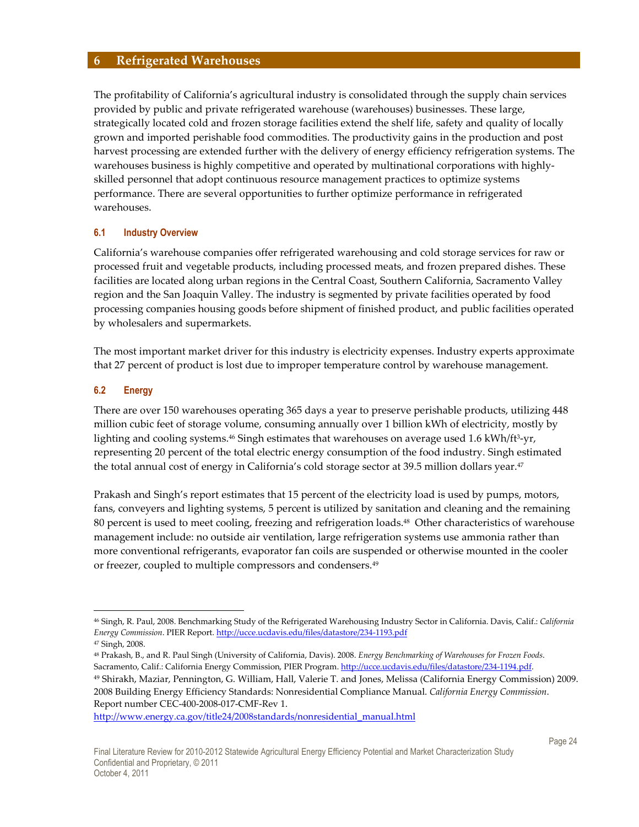### **6 Refrigerated Warehouses**

The profitability of California's agricultural industry is consolidated through the supply chain services provided by public and private refrigerated warehouse (warehouses) businesses. These large, strategically located cold and frozen storage facilities extend the shelf life, safety and quality of locally grown and imported perishable food commodities. The productivity gains in the production and post harvest processing are extended further with the delivery of energy efficiency refrigeration systems. The warehouses business is highly competitive and operated by multinational corporations with highlyskilled personnel that adopt continuous resource management practices to optimize systems performance. There are several opportunities to further optimize performance in refrigerated warehouses.

#### **6.1 Industry Overview**

California's warehouse companies offer refrigerated warehousing and cold storage services for raw or processed fruit and vegetable products, including processed meats, and frozen prepared dishes. These facilities are located along urban regions in the Central Coast, Southern California, Sacramento Valley region and the San Joaquin Valley. The industry is segmented by private facilities operated by food processing companies housing goods before shipment of finished product, and public facilities operated by wholesalers and supermarkets.

The most important market driver for this industry is electricity expenses. Industry experts approximate that 27 percent of product is lost due to improper temperature control by warehouse management.

#### **6.2 Energy**

There are over 150 warehouses operating 365 days a year to preserve perishable products, utilizing 448 million cubic feet of storage volume, consuming annually over 1 billion kWh of electricity, mostly by lighting and cooling systems.46 Singh estimates that warehouses on average used 1.6 kWh/ft<sup>3</sup> -yr, representing 20 percent of the total electric energy consumption of the food industry. Singh estimated the total annual cost of energy in California's cold storage sector at 39.5 million dollars year.<sup>47</sup>

Prakash and Singh's report estimates that 15 percent of the electricity load is used by pumps, motors, fans, conveyers and lighting systems, 5 percent is utilized by sanitation and cleaning and the remaining 80 percent is used to meet cooling, freezing and refrigeration loads.48 Other characteristics of warehouse management include: no outside air ventilation, large refrigeration systems use ammonia rather than more conventional refrigerants, evaporator fan coils are suspended or otherwise mounted in the cooler or freezer, coupled to multiple compressors and condensers.<sup>49</sup>

 $\overline{a}$ 

<sup>48</sup> Prakash, B., and R. Paul Singh (University of California, Davis). 2008. *Energy Benchmarking of Warehouses for Frozen Foods*. Sacramento, Calif.: California Energy Commission, PIER Program. http://ucce.ucdavis.edu/files/datastore/234-1194.pdf.

http://www.energy.ca.gov/title24/2008standards/nonresidential\_manual.html

<sup>46</sup> Singh, R. Paul, 2008. Benchmarking Study of the Refrigerated Warehousing Industry Sector in California. Davis, Calif.: *California Energy Commission*. PIER Report. http://ucce.ucdavis.edu/files/datastore/234-1193.pdf

<sup>47</sup> Singh, 2008.

<sup>49</sup> Shirakh, Maziar, Pennington, G. William, Hall, Valerie T. and Jones, Melissa (California Energy Commission) 2009. 2008 Building Energy Efficiency Standards: Nonresidential Compliance Manual. *California Energy Commission*. Report number CEC-400-2008-017-CMF-Rev 1.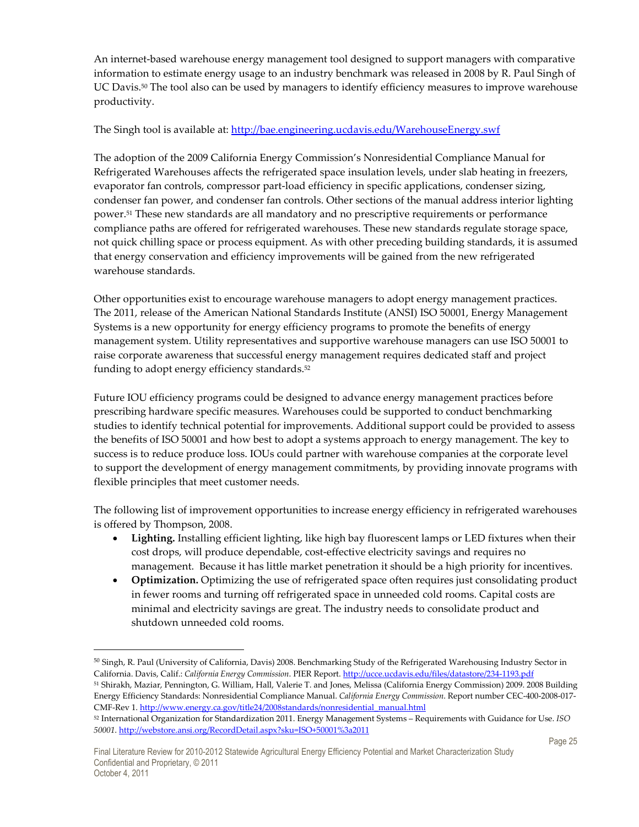An internet-based warehouse energy management tool designed to support managers with comparative information to estimate energy usage to an industry benchmark was released in 2008 by R. Paul Singh of UC Davis.<sup>50</sup> The tool also can be used by managers to identify efficiency measures to improve warehouse productivity.

### The Singh tool is available at: http://bae.engineering.ucdavis.edu/WarehouseEnergy.swf

The adoption of the 2009 California Energy Commission's Nonresidential Compliance Manual for Refrigerated Warehouses affects the refrigerated space insulation levels, under slab heating in freezers, evaporator fan controls, compressor part-load efficiency in specific applications, condenser sizing, condenser fan power, and condenser fan controls. Other sections of the manual address interior lighting power.51 These new standards are all mandatory and no prescriptive requirements or performance compliance paths are offered for refrigerated warehouses. These new standards regulate storage space, not quick chilling space or process equipment. As with other preceding building standards, it is assumed that energy conservation and efficiency improvements will be gained from the new refrigerated warehouse standards.

Other opportunities exist to encourage warehouse managers to adopt energy management practices. The 2011, release of the American National Standards Institute (ANSI) ISO 50001, Energy Management Systems is a new opportunity for energy efficiency programs to promote the benefits of energy management system. Utility representatives and supportive warehouse managers can use ISO 50001 to raise corporate awareness that successful energy management requires dedicated staff and project funding to adopt energy efficiency standards.<sup>52</sup>

Future IOU efficiency programs could be designed to advance energy management practices before prescribing hardware specific measures. Warehouses could be supported to conduct benchmarking studies to identify technical potential for improvements. Additional support could be provided to assess the benefits of ISO 50001 and how best to adopt a systems approach to energy management. The key to success is to reduce produce loss. IOUs could partner with warehouse companies at the corporate level to support the development of energy management commitments, by providing innovate programs with flexible principles that meet customer needs.

The following list of improvement opportunities to increase energy efficiency in refrigerated warehouses is offered by Thompson, 2008.

- **Lighting.** Installing efficient lighting, like high bay fluorescent lamps or LED fixtures when their cost drops, will produce dependable, cost-effective electricity savings and requires no management. Because it has little market penetration it should be a high priority for incentives.
- **Optimization.** Optimizing the use of refrigerated space often requires just consolidating product in fewer rooms and turning off refrigerated space in unneeded cold rooms. Capital costs are minimal and electricity savings are great. The industry needs to consolidate product and shutdown unneeded cold rooms.

Energy Efficiency Standards: Nonresidential Compliance Manual. *California Energy Commission*. Report number CEC-400-2008-017- CMF-Rev 1. http://www.energy.ca.gov/title24/2008standards/nonresidential\_manual.html

 $50$  Singh, R. Paul (University of California, Davis) 2008. Benchmarking Study of the Refrigerated Warehousing Industry Sector in California. Davis, Calif.: *California Energy Commission*. PIER Report. http://ucce.ucdavis.edu/files/datastore/234-1193.pdf <sup>51</sup> Shirakh, Maziar, Pennington, G. William, Hall, Valerie T. and Jones, Melissa (California Energy Commission) 2009. 2008 Building

<sup>52</sup> International Organization for Standardization 2011. Energy Management Systems – Requirements with Guidance for Use. *ISO 50001*. http://webstore.ansi.org/RecordDetail.aspx?sku=ISO+50001%3a2011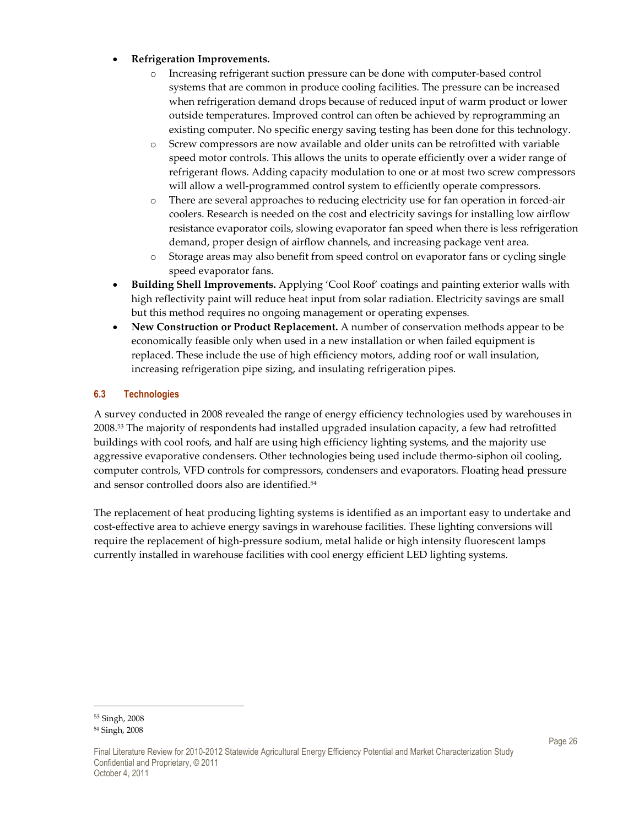### • **Refrigeration Improvements.**

- o Increasing refrigerant suction pressure can be done with computer-based control systems that are common in produce cooling facilities. The pressure can be increased when refrigeration demand drops because of reduced input of warm product or lower outside temperatures. Improved control can often be achieved by reprogramming an existing computer. No specific energy saving testing has been done for this technology.
- o Screw compressors are now available and older units can be retrofitted with variable speed motor controls. This allows the units to operate efficiently over a wider range of refrigerant flows. Adding capacity modulation to one or at most two screw compressors will allow a well-programmed control system to efficiently operate compressors.
- o There are several approaches to reducing electricity use for fan operation in forced-air coolers. Research is needed on the cost and electricity savings for installing low airflow resistance evaporator coils, slowing evaporator fan speed when there is less refrigeration demand, proper design of airflow channels, and increasing package vent area.
- o Storage areas may also benefit from speed control on evaporator fans or cycling single speed evaporator fans.
- **Building Shell Improvements.** Applying 'Cool Roof' coatings and painting exterior walls with high reflectivity paint will reduce heat input from solar radiation. Electricity savings are small but this method requires no ongoing management or operating expenses.
- **New Construction or Product Replacement.** A number of conservation methods appear to be economically feasible only when used in a new installation or when failed equipment is replaced. These include the use of high efficiency motors, adding roof or wall insulation, increasing refrigeration pipe sizing, and insulating refrigeration pipes.

# **6.3 Technologies**

A survey conducted in 2008 revealed the range of energy efficiency technologies used by warehouses in 2008.53 The majority of respondents had installed upgraded insulation capacity, a few had retrofitted buildings with cool roofs, and half are using high efficiency lighting systems, and the majority use aggressive evaporative condensers. Other technologies being used include thermo-siphon oil cooling, computer controls, VFD controls for compressors, condensers and evaporators. Floating head pressure and sensor controlled doors also are identified.<sup>54</sup>

The replacement of heat producing lighting systems is identified as an important easy to undertake and cost-effective area to achieve energy savings in warehouse facilities. These lighting conversions will require the replacement of high-pressure sodium, metal halide or high intensity fluorescent lamps currently installed in warehouse facilities with cool energy efficient LED lighting systems.

<sup>53</sup> Singh, 2008 54 Singh, 2008

Final Literature Review for 2010-2012 Statewide Agricultural Energy Efficiency Potential and Market Characterization Study Confidential and Proprietary, © 2011 October 4, 2011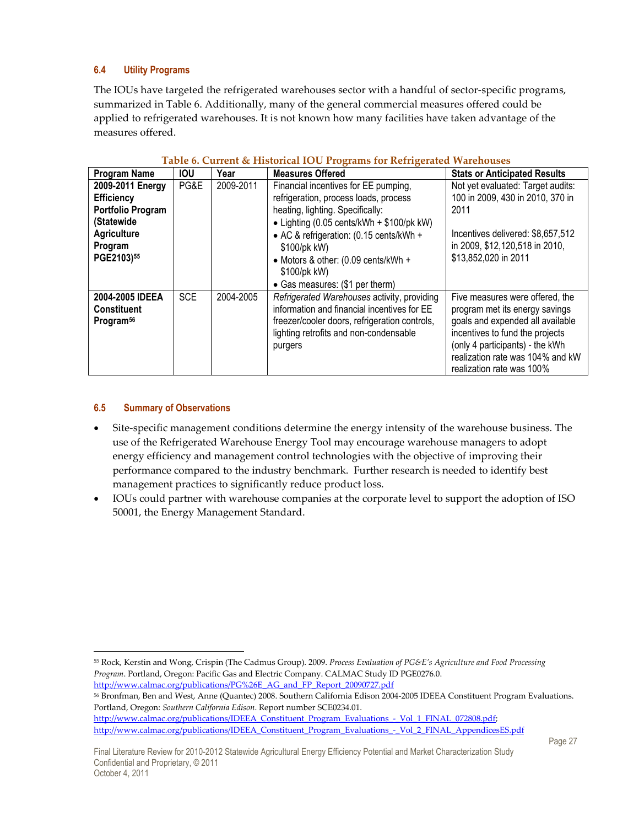### **6.4 Utility Programs**

The IOUs have targeted the refrigerated warehouses sector with a handful of sector-specific programs, summarized in Table 6. Additionally, many of the general commercial measures offered could be applied to refrigerated warehouses. It is not known how many facilities have taken advantage of the measures offered.

| <b>Program Name</b>                                                                                                            | <b>IOU</b> | Year      | <b>Measures Offered</b>                                                                                                                                                                                                                                                                                                             | <b>Stats or Anticipated Results</b>                                                                                                                                                                                                          |
|--------------------------------------------------------------------------------------------------------------------------------|------------|-----------|-------------------------------------------------------------------------------------------------------------------------------------------------------------------------------------------------------------------------------------------------------------------------------------------------------------------------------------|----------------------------------------------------------------------------------------------------------------------------------------------------------------------------------------------------------------------------------------------|
| 2009-2011 Energy<br><b>Efficiency</b><br><b>Portfolio Program</b><br>(Statewide<br><b>Agriculture</b><br>Program<br>PGE2103)55 | PG&E       | 2009-2011 | Financial incentives for EE pumping,<br>refrigeration, process loads, process<br>heating, lighting. Specifically:<br>• Lighting $(0.05 \text{ cents/kWh} + $100/\text{pk kW})$<br>• AC & refrigeration: (0.15 cents/kWh +<br>\$100/pk kW)<br>• Motors & other: (0.09 cents/kWh +<br>\$100/pk kW)<br>• Gas measures: (\$1 per therm) | Not yet evaluated: Target audits:<br>100 in 2009, 430 in 2010, 370 in<br>2011<br>Incentives delivered: \$8,657,512<br>in 2009, \$12,120,518 in 2010,<br>\$13,852,020 in 2011                                                                 |
| 2004-2005 IDEEA<br><b>Constituent</b><br>Program <sup>56</sup>                                                                 | <b>SCE</b> | 2004-2005 | Refrigerated Warehouses activity, providing<br>information and financial incentives for EE<br>freezer/cooler doors, refrigeration controls,<br>lighting retrofits and non-condensable<br>purgers                                                                                                                                    | Five measures were offered, the<br>program met its energy savings<br>goals and expended all available<br>incentives to fund the projects<br>(only 4 participants) - the kWh<br>realization rate was 104% and kW<br>realization rate was 100% |

#### **Table 6. Current & Historical IOU Programs for Refrigerated Warehouses**

### **6.5 Summary of Observations**

- Site-specific management conditions determine the energy intensity of the warehouse business. The use of the Refrigerated Warehouse Energy Tool may encourage warehouse managers to adopt energy efficiency and management control technologies with the objective of improving their performance compared to the industry benchmark. Further research is needed to identify best management practices to significantly reduce product loss.
- IOUs could partner with warehouse companies at the corporate level to support the adoption of ISO 50001, the Energy Management Standard.

 $\overline{a}$ <sup>55</sup> Rock, Kerstin and Wong, Crispin (The Cadmus Group). 2009. *Process Evaluation of PG&E's Agriculture and Food Processing Program*. Portland, Oregon: Pacific Gas and Electric Company. CALMAC Study ID PGE0276.0. http://www.calmac.org/publications/PG%26E\_AG\_and\_FP\_Report\_20090727.pdf

<sup>56</sup> Bronfman, Ben and West, Anne (Quantec) 2008. Southern California Edison 2004-2005 IDEEA Constituent Program Evaluations. Portland, Oregon: *Southern California Edison*. Report number SCE0234.01. http://www.calmac.org/publications/IDEEA\_Constituent\_Program\_Evaluations\_-\_Vol\_1\_FINAL\_072808.pdf;

http://www.calmac.org/publications/IDEEA\_Constituent\_Program\_Evaluations\_-\_Vol\_2\_FINAL\_AppendicesES.pdf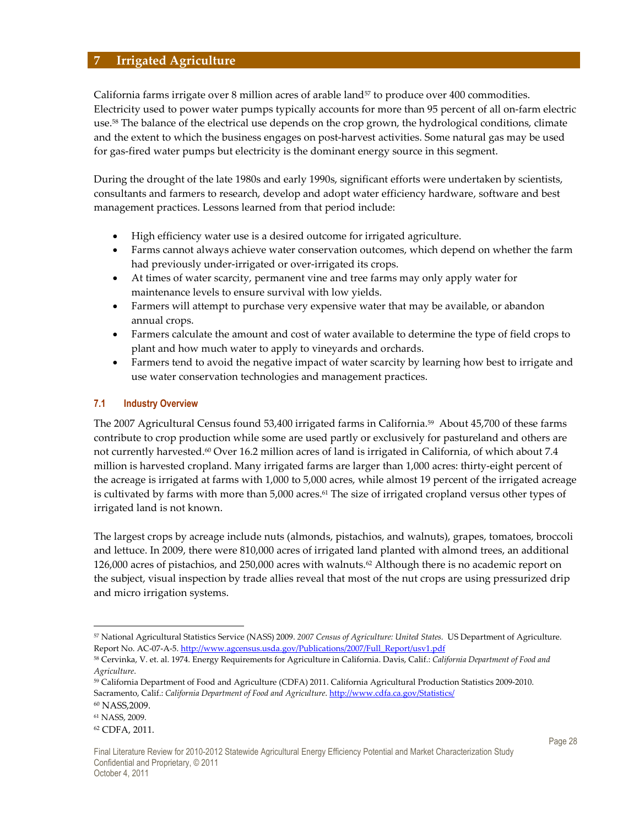# **7 Irrigated Agriculture**

California farms irrigate over 8 million acres of arable land<sup>57</sup> to produce over 400 commodities. Electricity used to power water pumps typically accounts for more than 95 percent of all on-farm electric use.<sup>58</sup> The balance of the electrical use depends on the crop grown, the hydrological conditions, climate and the extent to which the business engages on post-harvest activities. Some natural gas may be used for gas-fired water pumps but electricity is the dominant energy source in this segment.

During the drought of the late 1980s and early 1990s, significant efforts were undertaken by scientists, consultants and farmers to research, develop and adopt water efficiency hardware, software and best management practices. Lessons learned from that period include:

- High efficiency water use is a desired outcome for irrigated agriculture.
- Farms cannot always achieve water conservation outcomes, which depend on whether the farm had previously under-irrigated or over-irrigated its crops.
- At times of water scarcity, permanent vine and tree farms may only apply water for maintenance levels to ensure survival with low yields.
- Farmers will attempt to purchase very expensive water that may be available, or abandon annual crops.
- Farmers calculate the amount and cost of water available to determine the type of field crops to plant and how much water to apply to vineyards and orchards.
- Farmers tend to avoid the negative impact of water scarcity by learning how best to irrigate and use water conservation technologies and management practices.

#### **7.1 Industry Overview**

The 2007 Agricultural Census found 53,400 irrigated farms in California.59 About 45,700 of these farms contribute to crop production while some are used partly or exclusively for pastureland and others are not currently harvested.<sup>60</sup> Over 16.2 million acres of land is irrigated in California, of which about 7.4 million is harvested cropland. Many irrigated farms are larger than 1,000 acres: thirty-eight percent of the acreage is irrigated at farms with 1,000 to 5,000 acres, while almost 19 percent of the irrigated acreage is cultivated by farms with more than 5,000 acres.<sup>61</sup> The size of irrigated cropland versus other types of irrigated land is not known.

The largest crops by acreage include nuts (almonds, pistachios, and walnuts), grapes, tomatoes, broccoli and lettuce. In 2009, there were 810,000 acres of irrigated land planted with almond trees, an additional  $126,000$  acres of pistachios, and  $250,000$  acres with walnuts.<sup>62</sup> Although there is no academic report on the subject, visual inspection by trade allies reveal that most of the nut crops are using pressurized drip and micro irrigation systems.

<sup>57</sup> National Agricultural Statistics Service (NASS) 2009. *2007 Census of Agriculture: United States*. US Department of Agriculture. Report No. AC-07-A-5. http://www.agcensus.usda.gov/Publications/2007/Full\_Report/usv1.pdf

<sup>58</sup> Cervinka, V. et. al. 1974. Energy Requirements for Agriculture in California. Davis, Calif.: *California Department of Food and Agriculture*.

<sup>59</sup> California Department of Food and Agriculture (CDFA) 2011. California Agricultural Production Statistics 2009-2010. Sacramento, Calif.: *California Department of Food and Agriculture*. http://www.cdfa.ca.gov/Statistics/

<sup>60</sup> NASS,2009.

<sup>61</sup> NASS, 2009.

<sup>62</sup> CDFA, 2011.

Final Literature Review for 2010-2012 Statewide Agricultural Energy Efficiency Potential and Market Characterization Study Confidential and Proprietary, © 2011 October 4, 2011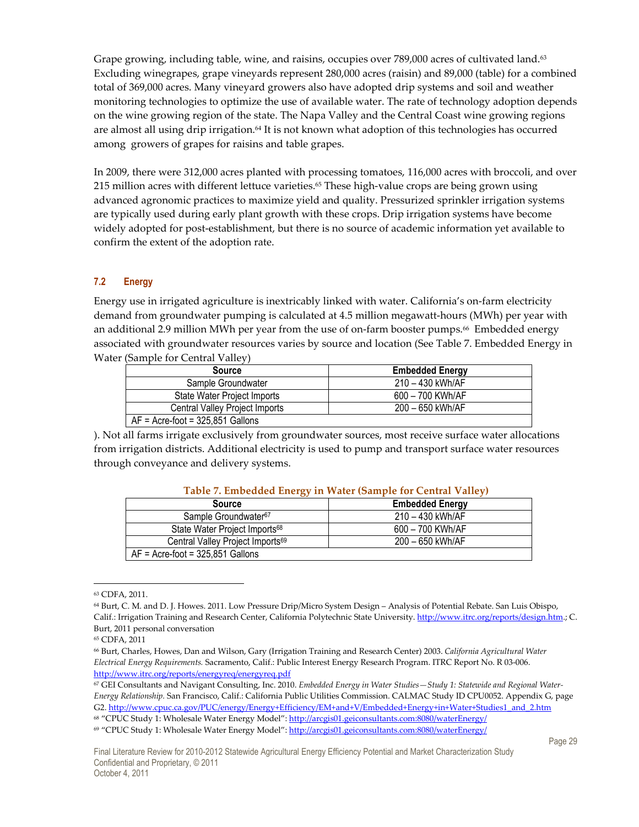Grape growing, including table, wine, and raisins, occupies over 789,000 acres of cultivated land.<sup>63</sup> Excluding winegrapes, grape vineyards represent 280,000 acres (raisin) and 89,000 (table) for a combined total of 369,000 acres. Many vineyard growers also have adopted drip systems and soil and weather monitoring technologies to optimize the use of available water. The rate of technology adoption depends on the wine growing region of the state. The Napa Valley and the Central Coast wine growing regions are almost all using drip irrigation.<sup>64</sup> It is not known what adoption of this technologies has occurred among growers of grapes for raisins and table grapes.

In 2009, there were 312,000 acres planted with processing tomatoes, 116,000 acres with broccoli, and over 215 million acres with different lettuce varieties.<sup>65</sup> These high-value crops are being grown using advanced agronomic practices to maximize yield and quality. Pressurized sprinkler irrigation systems are typically used during early plant growth with these crops. Drip irrigation systems have become widely adopted for post-establishment, but there is no source of academic information yet available to confirm the extent of the adoption rate.

#### **7.2 Energy**

Energy use in irrigated agriculture is inextricably linked with water. California's on-farm electricity demand from groundwater pumping is calculated at 4.5 million megawatt-hours (MWh) per year with an additional 2.9 million MWh per year from the use of on-farm booster pumps.<sup>66</sup> Embedded energy associated with groundwater resources varies by source and location (See Table 7. Embedded Energy in Water (Sample for Central Valley)

| <b>Source</b>                       | <b>Embedded Energy</b> |  |  |  |
|-------------------------------------|------------------------|--|--|--|
| Sample Groundwater                  | 210 - 430 kWh/AF       |  |  |  |
| State Water Project Imports         | 600 - 700 KWh/AF       |  |  |  |
| Central Valley Project Imports      | 200 - 650 kWh/AF       |  |  |  |
| $AF = Acre$ -foot = 325,851 Gallons |                        |  |  |  |

). Not all farms irrigate exclusively from groundwater sources, most receive surface water allocations from irrigation districts. Additional electricity is used to pump and transport surface water resources through conveyance and delivery systems.

| Table 7. Embedded Energy In Water (Sample for Central Valley) |                        |  |  |  |
|---------------------------------------------------------------|------------------------|--|--|--|
| <b>Source</b>                                                 | <b>Embedded Energy</b> |  |  |  |
| Sample Groundwater <sup>67</sup>                              | 210 - 430 kWh/AF       |  |  |  |
| State Water Project Imports <sup>68</sup>                     | 600 - 700 KWh/AF       |  |  |  |
| Central Valley Project Imports <sup>69</sup>                  | 200 - 650 kWh/AF       |  |  |  |
| $AF = Acre$ -foot = 325,851 Gallons                           |                        |  |  |  |

### **Table 7. Embedded Energy in Water (Sample for Central Valley)**

<sup>63</sup> CDFA, 2011.

<sup>64</sup> Burt, C. M. and D. J. Howes. 2011. Low Pressure Drip/Micro System Design – Analysis of Potential Rebate. San Luis Obispo, Calif.: Irrigation Training and Research Center, California Polytechnic State University. http://www.itrc.org/reports/design.htm.; C. Burt, 2011 personal conversation

<sup>65</sup> CDFA, 2011

<sup>66</sup> Burt, Charles, Howes, Dan and Wilson, Gary (Irrigation Training and Research Center) 2003. *California Agricultural Water Electrical Energy Requirements.* Sacramento, Calif.: Public Interest Energy Research Program. ITRC Report No. R 03-006. http://www.itrc.org/reports/energyreq/energyreq.pdf

<sup>67</sup> GEI Consultants and Navigant Consulting, Inc. 2010. *Embedded Energy in Water Studies—Study 1: Statewide and Regional Water-Energy Relationship.* San Francisco, Calif.: California Public Utilities Commission. CALMAC Study ID CPU0052. Appendix G, page G2. http://www.cpuc.ca.gov/PUC/energy/Energy+Efficiency/EM+and+V/Embedded+Energy+in+Water+Studies1\_and\_2.htm <sup>68</sup> "CPUC Study 1: Wholesale Water Energy Model": http://arcgis01.geiconsultants.com:8080/waterEnergy/

<sup>69</sup> "CPUC Study 1: Wholesale Water Energy Model": http://arcgis01.geiconsultants.com:8080/waterEnergy/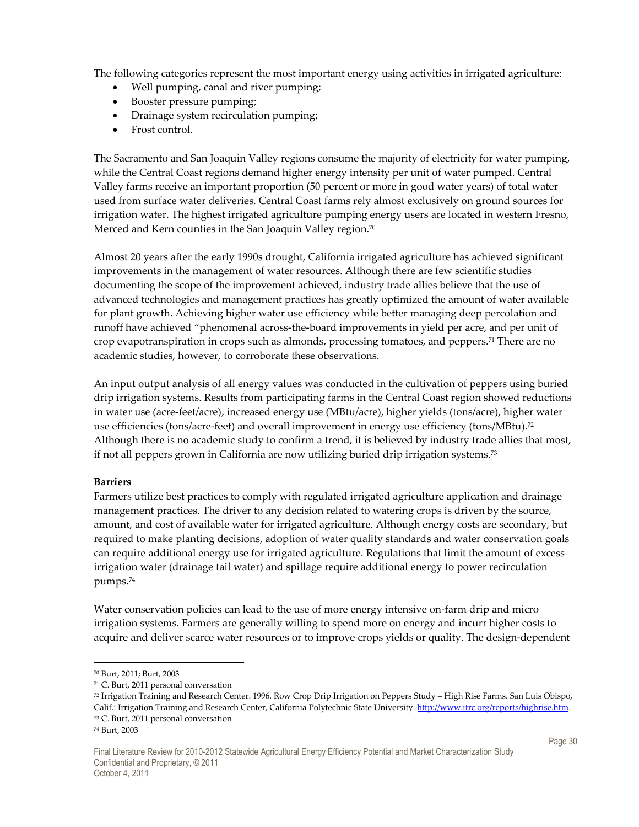The following categories represent the most important energy using activities in irrigated agriculture:

- Well pumping, canal and river pumping;
- Booster pressure pumping;
- Drainage system recirculation pumping;
- Frost control.

The Sacramento and San Joaquin Valley regions consume the majority of electricity for water pumping, while the Central Coast regions demand higher energy intensity per unit of water pumped. Central Valley farms receive an important proportion (50 percent or more in good water years) of total water used from surface water deliveries. Central Coast farms rely almost exclusively on ground sources for irrigation water. The highest irrigated agriculture pumping energy users are located in western Fresno, Merced and Kern counties in the San Joaquin Valley region. $^{\rm 70}$ 

Almost 20 years after the early 1990s drought, California irrigated agriculture has achieved significant improvements in the management of water resources. Although there are few scientific studies documenting the scope of the improvement achieved, industry trade allies believe that the use of advanced technologies and management practices has greatly optimized the amount of water available for plant growth. Achieving higher water use efficiency while better managing deep percolation and runoff have achieved "phenomenal across-the-board improvements in yield per acre, and per unit of crop evapotranspiration in crops such as almonds, processing tomatoes, and peppers.<sup>71</sup> There are no academic studies, however, to corroborate these observations.

An input output analysis of all energy values was conducted in the cultivation of peppers using buried drip irrigation systems. Results from participating farms in the Central Coast region showed reductions in water use (acre-feet/acre), increased energy use (MBtu/acre), higher yields (tons/acre), higher water use efficiencies (tons/acre-feet) and overall improvement in energy use efficiency (tons/MBtu). $^{72}$ Although there is no academic study to confirm a trend, it is believed by industry trade allies that most, if not all peppers grown in California are now utilizing buried drip irrigation systems.<sup>73</sup>

#### **Barriers**

Farmers utilize best practices to comply with regulated irrigated agriculture application and drainage management practices. The driver to any decision related to watering crops is driven by the source, amount, and cost of available water for irrigated agriculture. Although energy costs are secondary, but required to make planting decisions, adoption of water quality standards and water conservation goals can require additional energy use for irrigated agriculture. Regulations that limit the amount of excess irrigation water (drainage tail water) and spillage require additional energy to power recirculation pumps.<sup>74</sup>

Water conservation policies can lead to the use of more energy intensive on-farm drip and micro irrigation systems. Farmers are generally willing to spend more on energy and incurr higher costs to acquire and deliver scarce water resources or to improve crops yields or quality. The design-dependent

<sup>70</sup> Burt, 2011; Burt, 2003

<sup>71</sup> C. Burt, 2011 personal conversation

<sup>72</sup> Irrigation Training and Research Center. 1996. Row Crop Drip Irrigation on Peppers Study – High Rise Farms. San Luis Obispo, Calif.: Irrigation Training and Research Center, California Polytechnic State University. http://www.itrc.org/reports/highrise.htm. <sup>73</sup> C. Burt, 2011 personal conversation

<sup>74</sup> Burt, 2003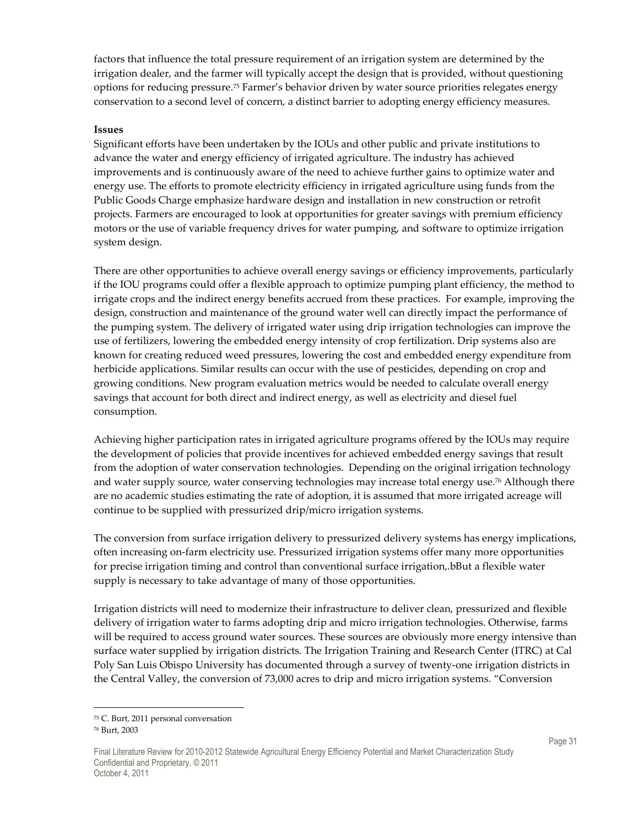factors that influence the total pressure requirement of an irrigation system are determined by the irrigation dealer, and the farmer will typically accept the design that is provided, without questioning options for reducing pressure.75 Farmer's behavior driven by water source priorities relegates energy conservation to a second level of concern, a distinct barrier to adopting energy efficiency measures.

#### **Issues**

Significant efforts have been undertaken by the IOUs and other public and private institutions to advance the water and energy efficiency of irrigated agriculture. The industry has achieved improvements and is continuously aware of the need to achieve further gains to optimize water and energy use. The efforts to promote electricity efficiency in irrigated agriculture using funds from the Public Goods Charge emphasize hardware design and installation in new construction or retrofit projects. Farmers are encouraged to look at opportunities for greater savings with premium efficiency motors or the use of variable frequency drives for water pumping, and software to optimize irrigation system design.

There are other opportunities to achieve overall energy savings or efficiency improvements, particularly if the IOU programs could offer a flexible approach to optimize pumping plant efficiency, the method to irrigate crops and the indirect energy benefits accrued from these practices. For example, improving the design, construction and maintenance of the ground water well can directly impact the performance of the pumping system. The delivery of irrigated water using drip irrigation technologies can improve the use of fertilizers, lowering the embedded energy intensity of crop fertilization. Drip systems also are known for creating reduced weed pressures, lowering the cost and embedded energy expenditure from herbicide applications. Similar results can occur with the use of pesticides, depending on crop and growing conditions. New program evaluation metrics would be needed to calculate overall energy savings that account for both direct and indirect energy, as well as electricity and diesel fuel consumption.

Achieving higher participation rates in irrigated agriculture programs offered by the IOUs may require the development of policies that provide incentives for achieved embedded energy savings that result from the adoption of water conservation technologies. Depending on the original irrigation technology and water supply source, water conserving technologies may increase total energy use.76 Although there are no academic studies estimating the rate of adoption, it is assumed that more irrigated acreage will continue to be supplied with pressurized drip/micro irrigation systems.

The conversion from surface irrigation delivery to pressurized delivery systems has energy implications, often increasing on-farm electricity use. Pressurized irrigation systems offer many more opportunities for precise irrigation timing and control than conventional surface irrigation,.bBut a flexible water supply is necessary to take advantage of many of those opportunities.

Irrigation districts will need to modernize their infrastructure to deliver clean, pressurized and flexible delivery of irrigation water to farms adopting drip and micro irrigation technologies. Otherwise, farms will be required to access ground water sources. These sources are obviously more energy intensive than surface water supplied by irrigation districts. The Irrigation Training and Research Center (ITRC) at Cal Poly San Luis Obispo University has documented through a survey of twenty-one irrigation districts in the Central Valley, the conversion of 73,000 acres to drip and micro irrigation systems. "Conversion

 $\overline{a}$ 

<sup>75</sup> C. Burt, 2011 personal conversation

<sup>76</sup> Burt, 2003

Final Literature Review for 2010-2012 Statewide Agricultural Energy Efficiency Potential and Market Characterization Study Confidential and Proprietary, © 2011 October 4, 2011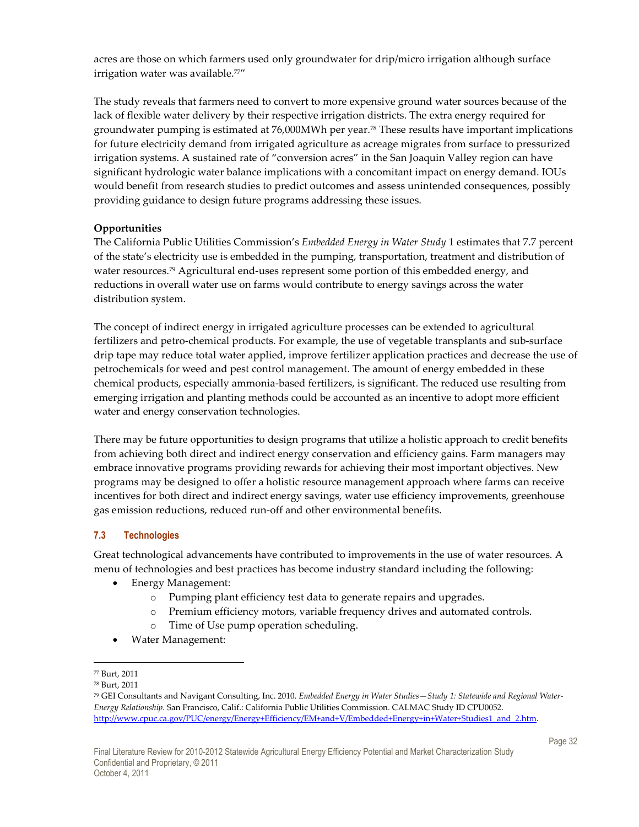acres are those on which farmers used only groundwater for drip/micro irrigation although surface irrigation water was available.<sup>77"</sup>

The study reveals that farmers need to convert to more expensive ground water sources because of the lack of flexible water delivery by their respective irrigation districts. The extra energy required for groundwater pumping is estimated at 76,000MWh per year.78 These results have important implications for future electricity demand from irrigated agriculture as acreage migrates from surface to pressurized irrigation systems. A sustained rate of "conversion acres" in the San Joaquin Valley region can have significant hydrologic water balance implications with a concomitant impact on energy demand. IOUs would benefit from research studies to predict outcomes and assess unintended consequences, possibly providing guidance to design future programs addressing these issues.

#### **Opportunities**

The California Public Utilities Commission's *Embedded Energy in Water Study* 1 estimates that 7.7 percent of the state's electricity use is embedded in the pumping, transportation, treatment and distribution of water resources.<sup>79</sup> Agricultural end-uses represent some portion of this embedded energy, and reductions in overall water use on farms would contribute to energy savings across the water distribution system.

The concept of indirect energy in irrigated agriculture processes can be extended to agricultural fertilizers and petro-chemical products. For example, the use of vegetable transplants and sub-surface drip tape may reduce total water applied, improve fertilizer application practices and decrease the use of petrochemicals for weed and pest control management. The amount of energy embedded in these chemical products, especially ammonia-based fertilizers, is significant. The reduced use resulting from emerging irrigation and planting methods could be accounted as an incentive to adopt more efficient water and energy conservation technologies.

There may be future opportunities to design programs that utilize a holistic approach to credit benefits from achieving both direct and indirect energy conservation and efficiency gains. Farm managers may embrace innovative programs providing rewards for achieving their most important objectives. New programs may be designed to offer a holistic resource management approach where farms can receive incentives for both direct and indirect energy savings, water use efficiency improvements, greenhouse gas emission reductions, reduced run-off and other environmental benefits.

#### **7.3 Technologies**

Great technological advancements have contributed to improvements in the use of water resources. A menu of technologies and best practices has become industry standard including the following:

- Energy Management:
	- o Pumping plant efficiency test data to generate repairs and upgrades.
	- o Premium efficiency motors, variable frequency drives and automated controls.
	- o Time of Use pump operation scheduling.
- Water Management:

 $\overline{a}$ <sup>77</sup> Burt, 2011

<sup>78</sup> Burt, 2011

<sup>79</sup> GEI Consultants and Navigant Consulting, Inc. 2010. *Embedded Energy in Water Studies—Study 1: Statewide and Regional Water-Energy Relationship.* San Francisco, Calif.: California Public Utilities Commission. CALMAC Study ID CPU0052. http://www.cpuc.ca.gov/PUC/energy/Energy+Efficiency/EM+and+V/Embedded+Energy+in+Water+Studies1\_and\_2.htm.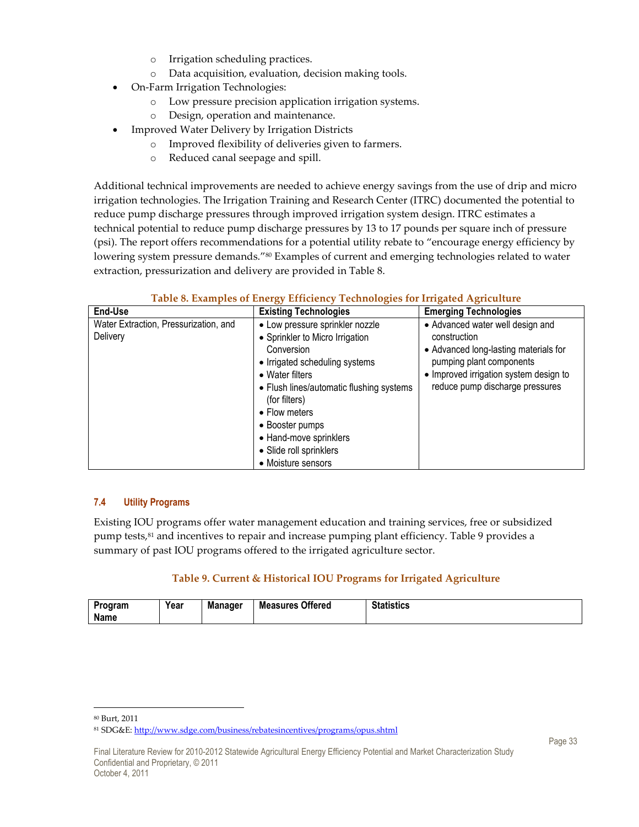- o Irrigation scheduling practices.
- o Data acquisition, evaluation, decision making tools.
- On-Farm Irrigation Technologies:
	- o Low pressure precision application irrigation systems.
	- o Design, operation and maintenance.
- Improved Water Delivery by Irrigation Districts
	- o Improved flexibility of deliveries given to farmers.
	- o Reduced canal seepage and spill.

Additional technical improvements are needed to achieve energy savings from the use of drip and micro irrigation technologies. The Irrigation Training and Research Center (ITRC) documented the potential to reduce pump discharge pressures through improved irrigation system design. ITRC estimates a technical potential to reduce pump discharge pressures by 13 to 17 pounds per square inch of pressure (psi). The report offers recommendations for a potential utility rebate to "encourage energy efficiency by lowering system pressure demands."<sup>80</sup> Examples of current and emerging technologies related to water extraction, pressurization and delivery are provided in Table 8.

| End-Use                                           | <b>Existing Technologies</b>                                                                                                                                                                                                                                                                                      | <b>Emerging Technologies</b>                                                                                                                                                                       |
|---------------------------------------------------|-------------------------------------------------------------------------------------------------------------------------------------------------------------------------------------------------------------------------------------------------------------------------------------------------------------------|----------------------------------------------------------------------------------------------------------------------------------------------------------------------------------------------------|
| Water Extraction, Pressurization, and<br>Delivery | • Low pressure sprinkler nozzle<br>• Sprinkler to Micro Irrigation<br>Conversion<br>• Irrigated scheduling systems<br>• Water filters<br>• Flush lines/automatic flushing systems<br>(for filters)<br>• Flow meters<br>• Booster pumps<br>• Hand-move sprinklers<br>• Slide roll sprinklers<br>• Moisture sensors | • Advanced water well design and<br>construction<br>• Advanced long-lasting materials for<br>pumping plant components<br>• Improved irrigation system design to<br>reduce pump discharge pressures |

#### **Table 8. Examples of Energy Efficiency Technologies for Irrigated Agriculture**

#### **7.4 Utility Programs**

Existing IOU programs offer water management education and training services, free or subsidized pump tests,<sup>81</sup> and incentives to repair and increase pumping plant efficiency. Table 9 provides a summary of past IOU programs offered to the irrigated agriculture sector.

#### **Table 9. Current & Historical IOU Programs for Irrigated Agriculture**

| <b>Manager</b><br>Year<br>Program<br>Name | <b>Measures</b><br><b>Offered</b> | <b>Statistics</b> |
|-------------------------------------------|-----------------------------------|-------------------|
|-------------------------------------------|-----------------------------------|-------------------|

<sup>80</sup> Burt, 2011

<sup>81</sup> SDG&E: http://www.sdge.com/business/rebatesincentives/programs/opus.shtml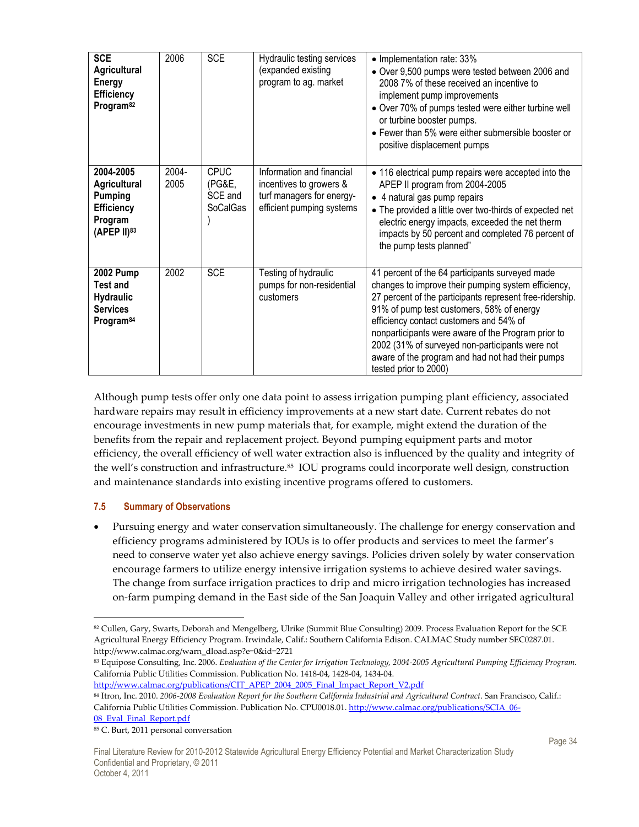| <b>SCE</b><br>Agricultural<br><b>Energy</b><br><b>Efficiency</b><br>Program <sup>82</sup>           | 2006          | <b>SCE</b>                                          | Hydraulic testing services<br>(expanded existing<br>program to ag. market                                      | • Implementation rate: 33%<br>• Over 9,500 pumps were tested between 2006 and<br>2008 7% of these received an incentive to<br>implement pump improvements<br>• Over 70% of pumps tested were either turbine well<br>or turbine booster pumps.<br>• Fewer than 5% were either submersible booster or<br>positive displacement pumps                                                                                                               |
|-----------------------------------------------------------------------------------------------------|---------------|-----------------------------------------------------|----------------------------------------------------------------------------------------------------------------|--------------------------------------------------------------------------------------------------------------------------------------------------------------------------------------------------------------------------------------------------------------------------------------------------------------------------------------------------------------------------------------------------------------------------------------------------|
| 2004-2005<br>Agricultural<br><b>Pumping</b><br>Efficiency<br>Program<br>(APEP II)83                 | 2004-<br>2005 | <b>CPUC</b><br>(PG&E,<br>SCE and<br><b>SoCalGas</b> | Information and financial<br>incentives to growers &<br>turf managers for energy-<br>efficient pumping systems | • 116 electrical pump repairs were accepted into the<br>APEP II program from 2004-2005<br>• 4 natural gas pump repairs<br>• The provided a little over two-thirds of expected net<br>electric energy impacts, exceeded the net therm<br>impacts by 50 percent and completed 76 percent of<br>the pump tests planned"                                                                                                                             |
| <b>2002 Pump</b><br><b>Test and</b><br><b>Hydraulic</b><br><b>Services</b><br>Program <sup>84</sup> | 2002          | <b>SCE</b>                                          | Testing of hydraulic<br>pumps for non-residential<br>customers                                                 | 41 percent of the 64 participants surveyed made<br>changes to improve their pumping system efficiency,<br>27 percent of the participants represent free-ridership.<br>91% of pump test customers, 58% of energy<br>efficiency contact customers and 54% of<br>nonparticipants were aware of the Program prior to<br>2002 (31% of surveyed non-participants were not<br>aware of the program and had not had their pumps<br>tested prior to 2000) |

Although pump tests offer only one data point to assess irrigation pumping plant efficiency, associated hardware repairs may result in efficiency improvements at a new start date. Current rebates do not encourage investments in new pump materials that, for example, might extend the duration of the benefits from the repair and replacement project. Beyond pumping equipment parts and motor efficiency, the overall efficiency of well water extraction also is influenced by the quality and integrity of the well's construction and infrastructure.85 IOU programs could incorporate well design, construction and maintenance standards into existing incentive programs offered to customers.

#### **7.5 Summary of Observations**

• Pursuing energy and water conservation simultaneously. The challenge for energy conservation and efficiency programs administered by IOUs is to offer products and services to meet the farmer's need to conserve water yet also achieve energy savings. Policies driven solely by water conservation encourage farmers to utilize energy intensive irrigation systems to achieve desired water savings. The change from surface irrigation practices to drip and micro irrigation technologies has increased on-farm pumping demand in the East side of the San Joaquin Valley and other irrigated agricultural

http://www.calmac.org/publications/CIT\_APEP\_2004\_2005\_Final\_Impact\_Report\_V2.pdf

<sup>-</sup><sup>82</sup> Cullen, Gary, Swarts, Deborah and Mengelberg, Ulrike (Summit Blue Consulting) 2009. Process Evaluation Report for the SCE Agricultural Energy Efficiency Program. Irwindale, Calif.: Southern California Edison. CALMAC Study number SEC0287.01. http://www.calmac.org/warn\_dload.asp?e=0&id=2721

<sup>83</sup> Equipose Consulting, Inc. 2006. *Evaluation of the Center for Irrigation Technology, 2004-2005 Agricultural Pumping Efficiency Program*. California Public Utilities Commission. Publication No. 1418-04, 1428-04, 1434-04.

<sup>84</sup> Itron, Inc. 2010. 2006-2008 Evaluation Report for the Southern California Industrial and Agricultural Contract. San Francisco, Calif.: California Public Utilities Commission. Publication No. CPU0018.01. http://www.calmac.org/publications/SCIA\_06-08 Eval Final Report.pdf

<sup>85</sup> C. Burt, 2011 personal conversation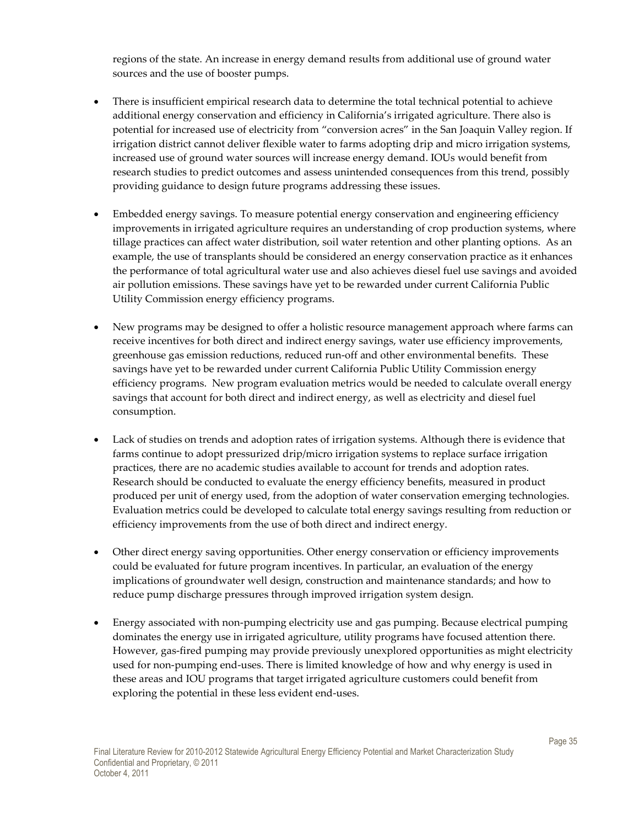regions of the state. An increase in energy demand results from additional use of ground water sources and the use of booster pumps.

- There is insufficient empirical research data to determine the total technical potential to achieve additional energy conservation and efficiency in California's irrigated agriculture. There also is potential for increased use of electricity from "conversion acres" in the San Joaquin Valley region. If irrigation district cannot deliver flexible water to farms adopting drip and micro irrigation systems, increased use of ground water sources will increase energy demand. IOUs would benefit from research studies to predict outcomes and assess unintended consequences from this trend, possibly providing guidance to design future programs addressing these issues.
- Embedded energy savings. To measure potential energy conservation and engineering efficiency improvements in irrigated agriculture requires an understanding of crop production systems, where tillage practices can affect water distribution, soil water retention and other planting options. As an example, the use of transplants should be considered an energy conservation practice as it enhances the performance of total agricultural water use and also achieves diesel fuel use savings and avoided air pollution emissions. These savings have yet to be rewarded under current California Public Utility Commission energy efficiency programs.
- New programs may be designed to offer a holistic resource management approach where farms can receive incentives for both direct and indirect energy savings, water use efficiency improvements, greenhouse gas emission reductions, reduced run-off and other environmental benefits. These savings have yet to be rewarded under current California Public Utility Commission energy efficiency programs. New program evaluation metrics would be needed to calculate overall energy savings that account for both direct and indirect energy, as well as electricity and diesel fuel consumption.
- Lack of studies on trends and adoption rates of irrigation systems. Although there is evidence that farms continue to adopt pressurized drip/micro irrigation systems to replace surface irrigation practices, there are no academic studies available to account for trends and adoption rates. Research should be conducted to evaluate the energy efficiency benefits, measured in product produced per unit of energy used, from the adoption of water conservation emerging technologies. Evaluation metrics could be developed to calculate total energy savings resulting from reduction or efficiency improvements from the use of both direct and indirect energy.
- Other direct energy saving opportunities. Other energy conservation or efficiency improvements could be evaluated for future program incentives. In particular, an evaluation of the energy implications of groundwater well design, construction and maintenance standards; and how to reduce pump discharge pressures through improved irrigation system design.
- Energy associated with non-pumping electricity use and gas pumping. Because electrical pumping dominates the energy use in irrigated agriculture, utility programs have focused attention there. However, gas-fired pumping may provide previously unexplored opportunities as might electricity used for non-pumping end-uses. There is limited knowledge of how and why energy is used in these areas and IOU programs that target irrigated agriculture customers could benefit from exploring the potential in these less evident end-uses.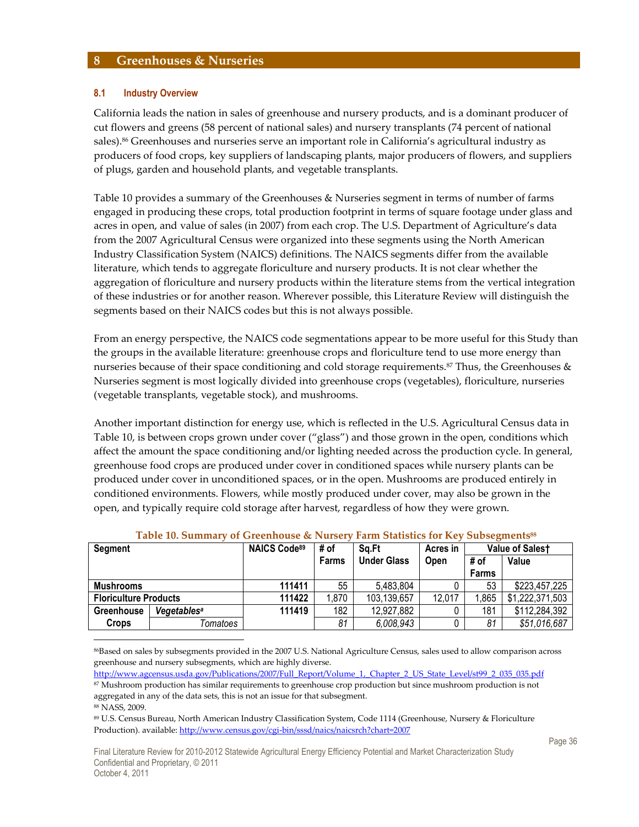#### **8 Greenhouses & Nurseries**

#### **8.1 Industry Overview**

California leads the nation in sales of greenhouse and nursery products, and is a dominant producer of cut flowers and greens (58 percent of national sales) and nursery transplants (74 percent of national sales).<sup>86</sup> Greenhouses and nurseries serve an important role in California's agricultural industry as producers of food crops, key suppliers of landscaping plants, major producers of flowers, and suppliers of plugs, garden and household plants, and vegetable transplants.

Table 10 provides a summary of the Greenhouses & Nurseries segment in terms of number of farms engaged in producing these crops, total production footprint in terms of square footage under glass and acres in open, and value of sales (in 2007) from each crop. The U.S. Department of Agriculture's data from the 2007 Agricultural Census were organized into these segments using the North American Industry Classification System (NAICS) definitions. The NAICS segments differ from the available literature, which tends to aggregate floriculture and nursery products. It is not clear whether the aggregation of floriculture and nursery products within the literature stems from the vertical integration of these industries or for another reason. Wherever possible, this Literature Review will distinguish the segments based on their NAICS codes but this is not always possible.

From an energy perspective, the NAICS code segmentations appear to be more useful for this Study than the groups in the available literature: greenhouse crops and floriculture tend to use more energy than nurseries because of their space conditioning and cold storage requirements.<sup>87</sup> Thus, the Greenhouses  $\&$ Nurseries segment is most logically divided into greenhouse crops (vegetables), floriculture, nurseries (vegetable transplants, vegetable stock), and mushrooms.

Another important distinction for energy use, which is reflected in the U.S. Agricultural Census data in Table 10, is between crops grown under cover ("glass") and those grown in the open, conditions which affect the amount the space conditioning and/or lighting needed across the production cycle. In general, greenhouse food crops are produced under cover in conditioned spaces while nursery plants can be produced under cover in unconditioned spaces, or in the open. Mushrooms are produced entirely in conditioned environments. Flowers, while mostly produced under cover, may also be grown in the open, and typically require cold storage after harvest, regardless of how they were grown.

| <b>Segment</b>               |                         | <b>NAICS Code89</b> | # of  | Sq.Ft              | Acres in    |              | Value of Salest |
|------------------------------|-------------------------|---------------------|-------|--------------------|-------------|--------------|-----------------|
|                              |                         |                     | Farms | <b>Under Glass</b> | <b>Open</b> | # of         | Value           |
|                              |                         |                     |       |                    |             | <b>Farms</b> |                 |
| <b>Mushrooms</b>             |                         | 111411              | 55    | 5,483,804          |             | 53           | \$223,457,225   |
| <b>Floriculture Products</b> |                         | 111422              | 1,870 | 103,139,657        | 12,017      | .865         | \$1,222,371,503 |
| <b>Greenhouse</b>            | Vegetables <sup>a</sup> | 111419              | 182   | 12,927,882         |             | 181          | \$112,284,392   |
| Crops                        | Tomatoes                |                     | 81    | 6,008,943          |             | 81           | \$51,016,687    |

| Table 10. Summary of Greenhouse & Nursery Farm Statistics for Key Subsegments <sup>88</sup> |  |  |
|---------------------------------------------------------------------------------------------|--|--|
|                                                                                             |  |  |

<sup>86</sup>Based on sales by subsegments provided in the 2007 U.S. National Agriculture Census, sales used to allow comparison across greenhouse and nursery subsegments, which are highly diverse.

http://www.agcensus.usda.gov/Publications/2007/Full\_Report/Volume\_1,\_Chapter\_2\_US\_State\_Level/st99\_2\_035\_035.pdf <sup>87</sup> Mushroom production has similar requirements to greenhouse crop production but since mushroom production is not aggregated in any of the data sets, this is not an issue for that subsegment.

<sup>88</sup> NASS, 2009.

<sup>89</sup> U.S. Census Bureau, North American Industry Classification System, Code 1114 (Greenhouse, Nursery & Floriculture Production). available: http://www.census.gov/cgi-bin/sssd/naics/naicsrch?chart=2007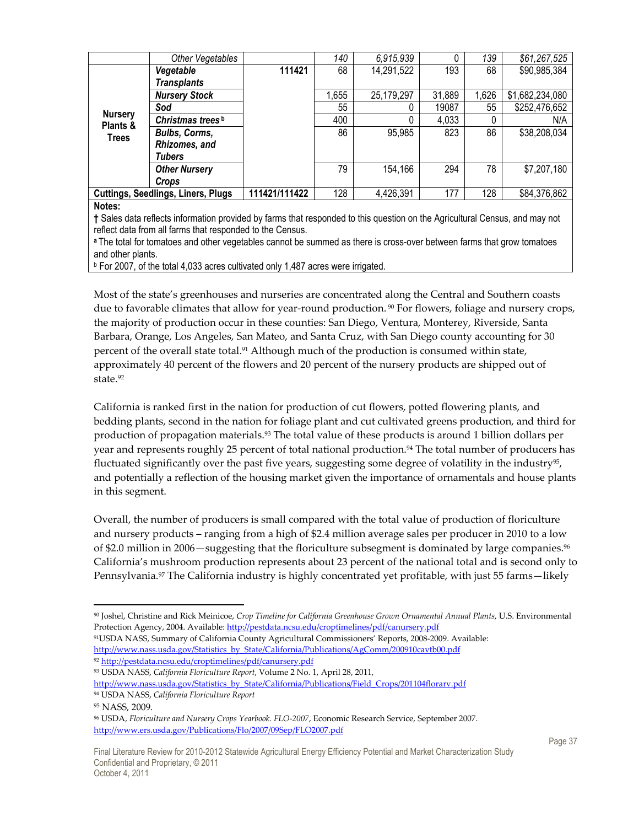|                                                                                                                             | Other Vegetables                                                                                                       |        | 140   | 6,915,939  |        | 139   | \$61,267,525    |
|-----------------------------------------------------------------------------------------------------------------------------|------------------------------------------------------------------------------------------------------------------------|--------|-------|------------|--------|-------|-----------------|
|                                                                                                                             | Vegetable                                                                                                              | 111421 | 68    | 14,291,522 | 193    | 68    | \$90,985,384    |
|                                                                                                                             | <b>Transplants</b>                                                                                                     |        |       |            |        |       |                 |
|                                                                                                                             | <b>Nursery Stock</b>                                                                                                   |        | 1,655 | 25,179,297 | 31,889 | 1,626 | \$1,682,234,080 |
|                                                                                                                             | Sod                                                                                                                    |        | 55    |            | 19087  | 55    | \$252,476,652   |
| <b>Nursery</b><br>Plants &                                                                                                  | Christmas trees <sup>b</sup>                                                                                           |        | 400   |            | 4,033  | 0     | N/A             |
| <b>Trees</b>                                                                                                                | <b>Bulbs, Corms,</b>                                                                                                   |        | 86    | 95,985     | 823    | 86    | \$38,208,034    |
|                                                                                                                             | Rhizomes, and                                                                                                          |        |       |            |        |       |                 |
|                                                                                                                             | Tubers                                                                                                                 |        |       |            |        |       |                 |
|                                                                                                                             | <b>Other Nursery</b>                                                                                                   |        | 79    | 154,166    | 294    | 78    | \$7,207,180     |
|                                                                                                                             | Crops                                                                                                                  |        |       |            |        |       |                 |
|                                                                                                                             | 111421/111422<br>128<br>4,426,391<br>177<br>128<br>\$84,376,862<br><b>Cuttings, Seedlings, Liners, Plugs</b>           |        |       |            |        |       |                 |
| Notes:                                                                                                                      |                                                                                                                        |        |       |            |        |       |                 |
| † Sales data reflects information provided by farms that responded to this question on the Agricultural Census, and may not |                                                                                                                        |        |       |            |        |       |                 |
| reflect data from all farms that responded to the Census.                                                                   |                                                                                                                        |        |       |            |        |       |                 |
|                                                                                                                             | a The total for tomatoes and other vegetables cannot be summed as there is cross-over between farms that grow tomatoes |        |       |            |        |       |                 |

The total for tomatoes and other vegetables cannot be summed as there is cross-over between farms that grow tomatoes and other plants.

b For 2007, of the total 4,033 acres cultivated only 1,487 acres were irrigated.

Most of the state's greenhouses and nurseries are concentrated along the Central and Southern coasts due to favorable climates that allow for year-round production. <sup>90</sup> For flowers, foliage and nursery crops, the majority of production occur in these counties: San Diego, Ventura, Monterey, Riverside, Santa Barbara, Orange, Los Angeles, San Mateo, and Santa Cruz, with San Diego county accounting for 30 percent of the overall state total.<sup>91</sup> Although much of the production is consumed within state, approximately 40 percent of the flowers and 20 percent of the nursery products are shipped out of state.<sup>92</sup>

California is ranked first in the nation for production of cut flowers, potted flowering plants, and bedding plants, second in the nation for foliage plant and cut cultivated greens production, and third for production of propagation materials.93 The total value of these products is around 1 billion dollars per year and represents roughly 25 percent of total national production.<sup>94</sup> The total number of producers has fluctuated significantly over the past five years, suggesting some degree of volatility in the industry<sup>95</sup>, and potentially a reflection of the housing market given the importance of ornamentals and house plants in this segment.

Overall, the number of producers is small compared with the total value of production of floriculture and nursery products – ranging from a high of \$2.4 million average sales per producer in 2010 to a low of \$2.0 million in 2006—suggesting that the floriculture subsegment is dominated by large companies. $^{96}$ California's mushroom production represents about 23 percent of the national total and is second only to Pennsylvania.<sup>97</sup> The California industry is highly concentrated yet profitable, with just 55 farms—likely

<sup>91</sup>USDA NASS, Summary of California County Agricultural Commissioners' Reports, 2008-2009. Available: http://www.nass.usda.gov/Statistics\_by\_State/California/Publications/AgComm/200910cavtb00.pdf

92 http://pestdata.ncsu.edu/croptimelines/pdf/canursery.pdf

<sup>93</sup> USDA NASS, *California Floriculture Report*, Volume 2 No. 1, April 28, 2011,

<sup>90</sup> Joshel, Christine and Rick Meinicoe, *Crop Timeline for California Greenhouse Grown Ornamental Annual Plants*, U.S. Environmental Protection Agency, 2004. Available: http://pestdata.ncsu.edu/croptimelines/pdf/canursery.pdf

http://www.nass.usda.gov/Statistics\_by\_State/California/Publications/Field\_Crops/201104florarv.pdf

<sup>94</sup> USDA NASS, *California Floriculture Report*

<sup>95</sup> NASS, 2009.

<sup>96</sup> USDA, *Floriculture and Nursery Crops Yearbook. FLO-2007*, Economic Research Service, September 2007. http://www.ers.usda.gov/Publications/Flo/2007/09Sep/FLO2007.pdf

Final Literature Review for 2010-2012 Statewide Agricultural Energy Efficiency Potential and Market Characterization Study Confidential and Proprietary, © 2011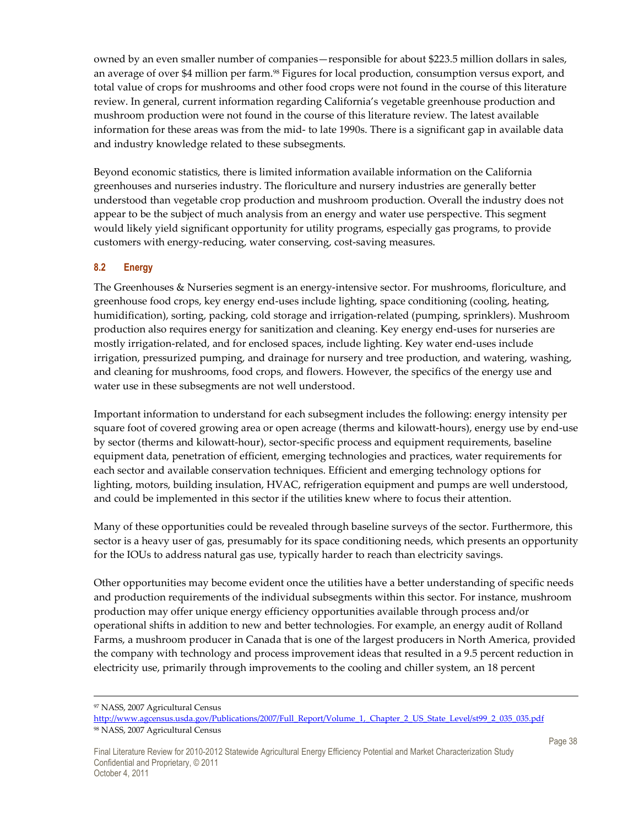owned by an even smaller number of companies—responsible for about \$223.5 million dollars in sales, an average of over \$4 million per farm.<sup>98</sup> Figures for local production, consumption versus export, and total value of crops for mushrooms and other food crops were not found in the course of this literature review. In general, current information regarding California's vegetable greenhouse production and mushroom production were not found in the course of this literature review. The latest available information for these areas was from the mid- to late 1990s. There is a significant gap in available data and industry knowledge related to these subsegments.

Beyond economic statistics, there is limited information available information on the California greenhouses and nurseries industry. The floriculture and nursery industries are generally better understood than vegetable crop production and mushroom production. Overall the industry does not appear to be the subject of much analysis from an energy and water use perspective. This segment would likely yield significant opportunity for utility programs, especially gas programs, to provide customers with energy-reducing, water conserving, cost-saving measures.

#### **8.2 Energy**

The Greenhouses & Nurseries segment is an energy-intensive sector. For mushrooms, floriculture, and greenhouse food crops, key energy end-uses include lighting, space conditioning (cooling, heating, humidification), sorting, packing, cold storage and irrigation-related (pumping, sprinklers). Mushroom production also requires energy for sanitization and cleaning. Key energy end-uses for nurseries are mostly irrigation-related, and for enclosed spaces, include lighting. Key water end-uses include irrigation, pressurized pumping, and drainage for nursery and tree production, and watering, washing, and cleaning for mushrooms, food crops, and flowers. However, the specifics of the energy use and water use in these subsegments are not well understood.

Important information to understand for each subsegment includes the following: energy intensity per square foot of covered growing area or open acreage (therms and kilowatt-hours), energy use by end-use by sector (therms and kilowatt-hour), sector-specific process and equipment requirements, baseline equipment data, penetration of efficient, emerging technologies and practices, water requirements for each sector and available conservation techniques. Efficient and emerging technology options for lighting, motors, building insulation, HVAC, refrigeration equipment and pumps are well understood, and could be implemented in this sector if the utilities knew where to focus their attention.

Many of these opportunities could be revealed through baseline surveys of the sector. Furthermore, this sector is a heavy user of gas, presumably for its space conditioning needs, which presents an opportunity for the IOUs to address natural gas use, typically harder to reach than electricity savings.

Other opportunities may become evident once the utilities have a better understanding of specific needs and production requirements of the individual subsegments within this sector. For instance, mushroom production may offer unique energy efficiency opportunities available through process and/or operational shifts in addition to new and better technologies. For example, an energy audit of Rolland Farms, a mushroom producer in Canada that is one of the largest producers in North America, provided the company with technology and process improvement ideas that resulted in a 9.5 percent reduction in electricity use, primarily through improvements to the cooling and chiller system, an 18 percent

 $\overline{a}$ <sup>97</sup> NASS, 2007 Agricultural Census

http://www.agcensus.usda.gov/Publications/2007/Full\_Report/Volume\_1,\_Chapter\_2\_US\_State\_Level/st99\_2\_035\_035.pdf 98 NASS, 2007 Agricultural Census

Final Literature Review for 2010-2012 Statewide Agricultural Energy Efficiency Potential and Market Characterization Study Confidential and Proprietary, © 2011 October 4, 2011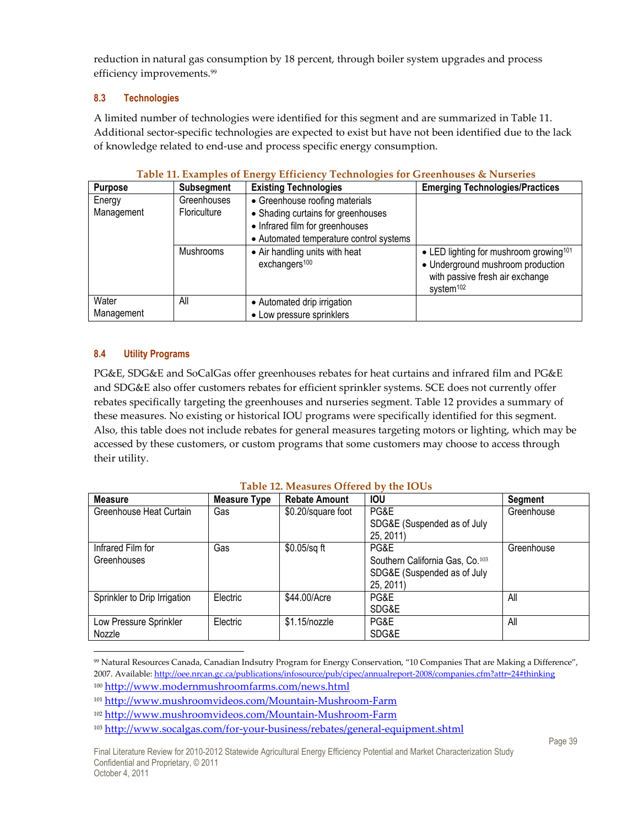reduction in natural gas consumption by 18 percent, through boiler system upgrades and process efficiency improvements.<sup>99</sup>

### **8.3 Technologies**

A limited number of technologies were identified for this segment and are summarized in Table 11. Additional sector-specific technologies are expected to exist but have not been identified due to the lack of knowledge related to end-use and process specific energy consumption.

| <b>Purpose</b>       | <b>Subsegment</b>                  | <b>Existing Technologies</b>                                                                                                                       | <b>Emerging Technologies/Practices</b>                                                                                                              |
|----------------------|------------------------------------|----------------------------------------------------------------------------------------------------------------------------------------------------|-----------------------------------------------------------------------------------------------------------------------------------------------------|
| Energy<br>Management | Greenhouses<br><b>Floriculture</b> | • Greenhouse roofing materials<br>• Shading curtains for greenhouses<br>• Infrared film for greenhouses<br>• Automated temperature control systems |                                                                                                                                                     |
|                      | <b>Mushrooms</b>                   | • Air handling units with heat<br>exchangers <sup>100</sup>                                                                                        | • LED lighting for mushroom growing <sup>101</sup><br>• Underground mushroom production<br>with passive fresh air exchange<br>system <sup>102</sup> |
| Water<br>Management  | All                                | • Automated drip irrigation<br>• Low pressure sprinklers                                                                                           |                                                                                                                                                     |

#### **Table 11. Examples of Energy Efficiency Technologies for Greenhouses & Nurseries**

### **8.4 Utility Programs**

PG&E, SDG&E and SoCalGas offer greenhouses rebates for heat curtains and infrared film and PG&E and SDG&E also offer customers rebates for efficient sprinkler systems. SCE does not currently offer rebates specifically targeting the greenhouses and nurseries segment. Table 12 provides a summary of these measures. No existing or historical IOU programs were specifically identified for this segment. Also, this table does not include rebates for general measures targeting motors or lighting, which may be accessed by these customers, or custom programs that some customers may choose to access through their utility.

# **Table 12. Measures Offered by the IOUs**

| <b>Measure</b>               | <b>Measure Type</b> | <b>Rebate Amount</b> | <b>IOU</b>                                  | <b>Segment</b> |
|------------------------------|---------------------|----------------------|---------------------------------------------|----------------|
| Greenhouse Heat Curtain      | Gas                 | \$0.20/square foot   | PG&E                                        | Greenhouse     |
|                              |                     |                      | SDG&E (Suspended as of July                 |                |
|                              |                     |                      | 25, 2011)                                   |                |
| Infrared Film for            | Gas                 | $$0.05$ /sq ft       | PG&E                                        | Greenhouse     |
| Greenhouses                  |                     |                      | Southern California Gas, Co. <sup>103</sup> |                |
|                              |                     |                      | SDG&E (Suspended as of July                 |                |
|                              |                     |                      | 25, 2011)                                   |                |
| Sprinkler to Drip Irrigation | Electric            | \$44.00/Acre         | PG&E                                        | All            |
|                              |                     |                      | SDG&E                                       |                |
| Low Pressure Sprinkler       | Electric            | $$1.15$ /nozzle      | PG&E                                        | All            |
| Nozzle                       |                     |                      | SDG&E                                       |                |

<sup>-</sup><sup>99</sup> Natural Resources Canada, Canadian Indsutry Program for Energy Conservation, "10 Companies That are Making a Difference", 2007. Available: http://oee.nrcan.gc.ca/publications/infosource/pub/cipec/annualreport-2008/companies.cfm?attr=24#thinking <sup>100</sup> http://www.modernmushroomfarms.com/news.html

<sup>101</sup> http://www.mushroomvideos.com/Mountain-Mushroom-Farm

<sup>102</sup> http://www.mushroomvideos.com/Mountain-Mushroom-Farm

<sup>103</sup> http://www.socalgas.com/for-your-business/rebates/general-equipment.shtml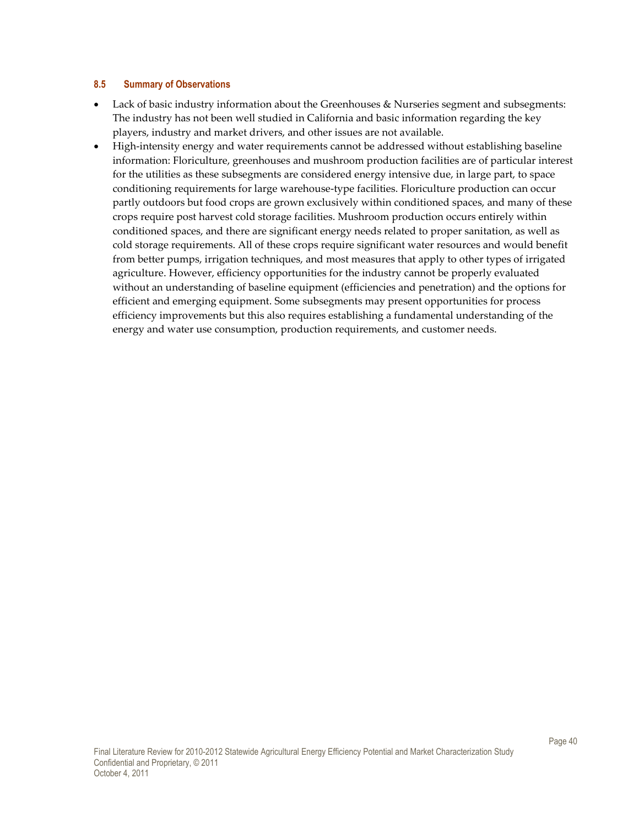#### **8.5 Summary of Observations**

- Lack of basic industry information about the Greenhouses & Nurseries segment and subsegments: The industry has not been well studied in California and basic information regarding the key players, industry and market drivers, and other issues are not available.
- High-intensity energy and water requirements cannot be addressed without establishing baseline information: Floriculture, greenhouses and mushroom production facilities are of particular interest for the utilities as these subsegments are considered energy intensive due, in large part, to space conditioning requirements for large warehouse-type facilities. Floriculture production can occur partly outdoors but food crops are grown exclusively within conditioned spaces, and many of these crops require post harvest cold storage facilities. Mushroom production occurs entirely within conditioned spaces, and there are significant energy needs related to proper sanitation, as well as cold storage requirements. All of these crops require significant water resources and would benefit from better pumps, irrigation techniques, and most measures that apply to other types of irrigated agriculture. However, efficiency opportunities for the industry cannot be properly evaluated without an understanding of baseline equipment (efficiencies and penetration) and the options for efficient and emerging equipment. Some subsegments may present opportunities for process efficiency improvements but this also requires establishing a fundamental understanding of the energy and water use consumption, production requirements, and customer needs.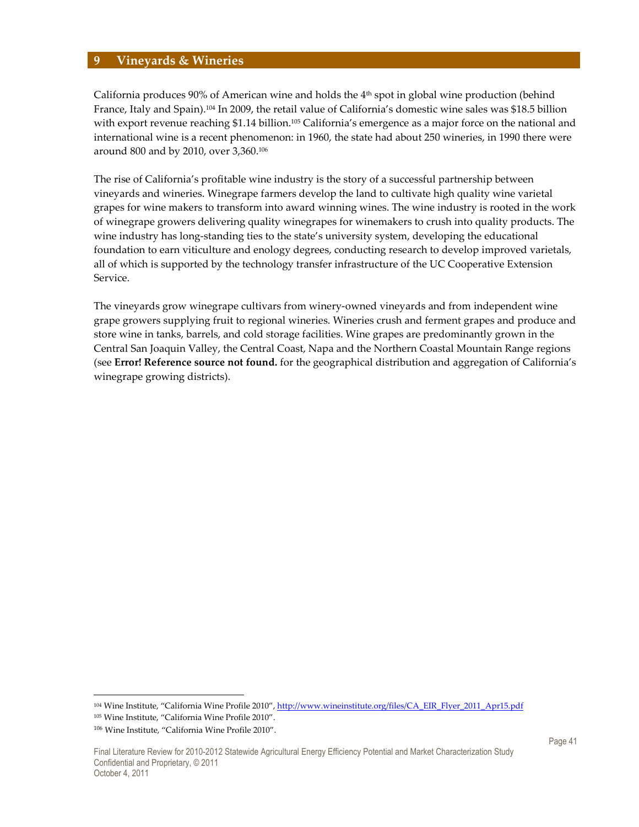#### **9 Vineyards & Wineries**

California produces 90% of American wine and holds the  $4<sup>th</sup>$  spot in global wine production (behind France, Italy and Spain).104 In 2009, the retail value of California's domestic wine sales was \$18.5 billion with export revenue reaching \$1.14 billion.<sup>105</sup> California's emergence as a major force on the national and international wine is a recent phenomenon: in 1960, the state had about 250 wineries, in 1990 there were around 800 and by 2010, over 3,360.<sup>106</sup>

The rise of California's profitable wine industry is the story of a successful partnership between vineyards and wineries. Winegrape farmers develop the land to cultivate high quality wine varietal grapes for wine makers to transform into award winning wines. The wine industry is rooted in the work of winegrape growers delivering quality winegrapes for winemakers to crush into quality products. The wine industry has long-standing ties to the state's university system, developing the educational foundation to earn viticulture and enology degrees, conducting research to develop improved varietals, all of which is supported by the technology transfer infrastructure of the UC Cooperative Extension Service.

The vineyards grow winegrape cultivars from winery-owned vineyards and from independent wine grape growers supplying fruit to regional wineries. Wineries crush and ferment grapes and produce and store wine in tanks, barrels, and cold storage facilities. Wine grapes are predominantly grown in the Central San Joaquin Valley, the Central Coast, Napa and the Northern Coastal Mountain Range regions (see **Error! Reference source not found.** for the geographical distribution and aggregation of California's winegrape growing districts).

 $\overline{a}$ 

<sup>&</sup>lt;sup>104</sup> Wine Institute, "California Wine Profile 2010", http://www.wineinstitute.org/files/CA\_EIR\_Flyer\_2011\_Apr15.pdf

<sup>105</sup> Wine Institute, "California Wine Profile 2010".

<sup>106</sup> Wine Institute, "California Wine Profile 2010".

Final Literature Review for 2010-2012 Statewide Agricultural Energy Efficiency Potential and Market Characterization Study Confidential and Proprietary, © 2011 October 4, 2011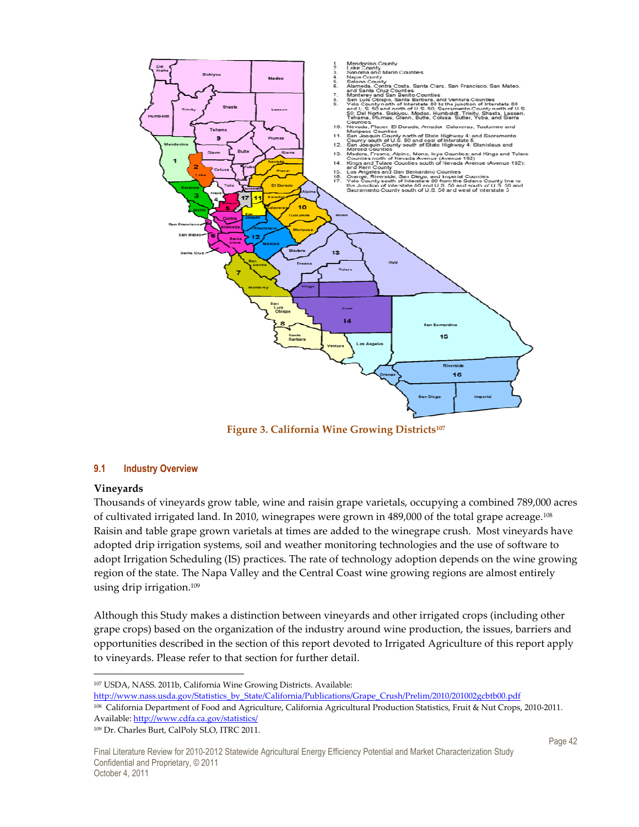

**Figure 3. California Wine Growing Districts<sup>107</sup>**

#### **9.1 Industry Overview**

#### **Vineyards**

-

Thousands of vineyards grow table, wine and raisin grape varietals, occupying a combined 789,000 acres of cultivated irrigated land. In 2010, winegrapes were grown in 489,000 of the total grape acreage.<sup>108</sup> Raisin and table grape grown varietals at times are added to the winegrape crush. Most vineyards have adopted drip irrigation systems, soil and weather monitoring technologies and the use of software to adopt Irrigation Scheduling (IS) practices. The rate of technology adoption depends on the wine growing region of the state. The Napa Valley and the Central Coast wine growing regions are almost entirely using drip irrigation.<sup>109</sup>

Although this Study makes a distinction between vineyards and other irrigated crops (including other grape crops) based on the organization of the industry around wine production, the issues, barriers and opportunities described in the section of this report devoted to Irrigated Agriculture of this report apply to vineyards. Please refer to that section for further detail.

<sup>107</sup> USDA, NASS. 2011b, California Wine Growing Districts. Available:

http://www.nass.usda.gov/Statistics\_by\_State/California/Publications/Grape\_Crush/Prelim/2010/201002gcbtb00.pdf

<sup>108</sup> California Department of Food and Agriculture, California Agricultural Production Statistics, Fruit & Nut Crops, 2010-2011. Available: http://www.cdfa.ca.gov/statistics/

109 Dr. Charles Burt, CalPoly SLO, ITRC 2011.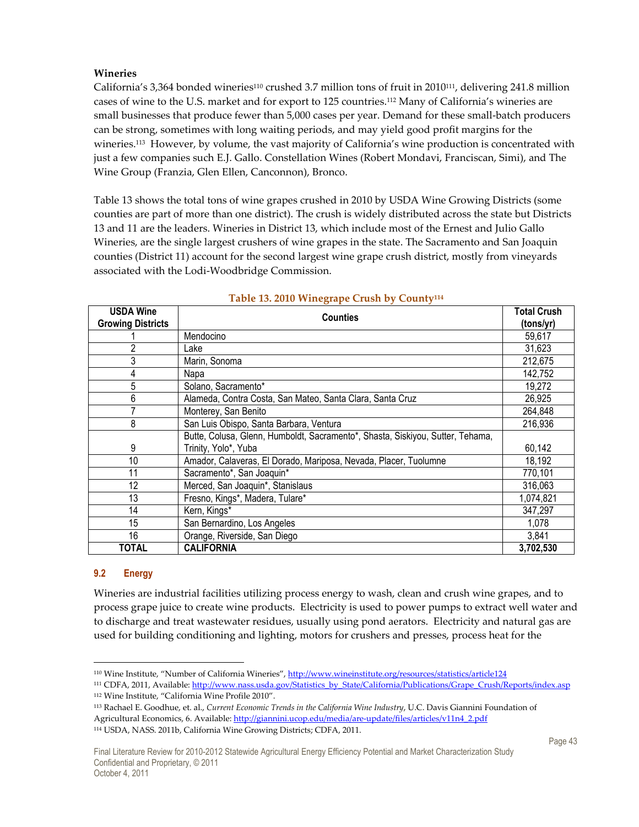#### **Wineries**

California's 3,364 bonded wineries<sup>110</sup> crushed 3.7 million tons of fruit in 2010<sup>111</sup>, delivering 241.8 million cases of wine to the U.S. market and for export to 125 countries.112 Many of California's wineries are small businesses that produce fewer than 5,000 cases per year. Demand for these small-batch producers can be strong, sometimes with long waiting periods, and may yield good profit margins for the wineries.<sup>113</sup> However, by volume, the vast majority of California's wine production is concentrated with just a few companies such E.J. Gallo. Constellation Wines (Robert Mondavi, Franciscan, Simi), and The Wine Group (Franzia, Glen Ellen, Canconnon), Bronco.

Table 13 shows the total tons of wine grapes crushed in 2010 by USDA Wine Growing Districts (some counties are part of more than one district). The crush is widely distributed across the state but Districts 13 and 11 are the leaders. Wineries in District 13, which include most of the Ernest and Julio Gallo Wineries, are the single largest crushers of wine grapes in the state. The Sacramento and San Joaquin counties (District 11) account for the second largest wine grape crush district, mostly from vineyards associated with the Lodi-Woodbridge Commission.

| <b>USDA Wine</b><br><b>Counties</b> |                                                                                |           |  |
|-------------------------------------|--------------------------------------------------------------------------------|-----------|--|
| <b>Growing Districts</b>            |                                                                                | (tons/yr) |  |
|                                     | Mendocino                                                                      | 59,617    |  |
| 2                                   | Lake                                                                           | 31,623    |  |
| 3                                   | Marin, Sonoma                                                                  | 212,675   |  |
| 4                                   | Napa                                                                           | 142,752   |  |
| 5                                   | Solano, Sacramento*                                                            | 19,272    |  |
| 6                                   | Alameda, Contra Costa, San Mateo, Santa Clara, Santa Cruz                      | 26,925    |  |
| 7                                   | Monterey, San Benito                                                           | 264,848   |  |
| 8                                   | San Luis Obispo, Santa Barbara, Ventura                                        | 216,936   |  |
|                                     | Butte, Colusa, Glenn, Humboldt, Sacramento*, Shasta, Siskiyou, Sutter, Tehama, |           |  |
| 9                                   | Trinity, Yolo*, Yuba                                                           | 60,142    |  |
| 10                                  | Amador, Calaveras, El Dorado, Mariposa, Nevada, Placer, Tuolumne               | 18,192    |  |
| 11                                  | Sacramento*, San Joaquin*                                                      | 770,101   |  |
| 12                                  | Merced, San Joaquin*, Stanislaus                                               | 316,063   |  |
| 13                                  | Fresno, Kings*, Madera, Tulare*                                                | 1,074,821 |  |
| 14                                  | Kern, Kings*                                                                   | 347,297   |  |
| 15                                  | San Bernardino, Los Angeles                                                    | 1,078     |  |
| 16                                  | Orange, Riverside, San Diego                                                   | 3,841     |  |
| TOTAL                               | <b>CALIFORNIA</b>                                                              | 3,702,530 |  |

#### **Table 13. 2010 Winegrape Crush by County<sup>114</sup>**

#### **9.2 Energy**

Wineries are industrial facilities utilizing process energy to wash, clean and crush wine grapes, and to process grape juice to create wine products. Electricity is used to power pumps to extract well water and to discharge and treat wastewater residues, usually using pond aerators. Electricity and natural gas are used for building conditioning and lighting, motors for crushers and presses, process heat for the

<sup>-</sup>110 Wine Institute, "Number of California Wineries", http://www.wineinstitute.org/resources/statistics/article124

<sup>111</sup> CDFA, 2011, Available: http://www.nass.usda.gov/Statistics\_by\_State/California/Publications/Grape\_Crush/Reports/index.asp <sup>112</sup> Wine Institute, "California Wine Profile 2010".

<sup>113</sup> Rachael E. Goodhue, et. al., *Current Economic Trends in the California Wine Industry*, U.C. Davis Giannini Foundation of Agricultural Economics, 6. Available: http://giannini.ucop.edu/media/are-update/files/articles/v11n4\_2.pdf 114 USDA, NASS. 2011b, California Wine Growing Districts; CDFA, 2011.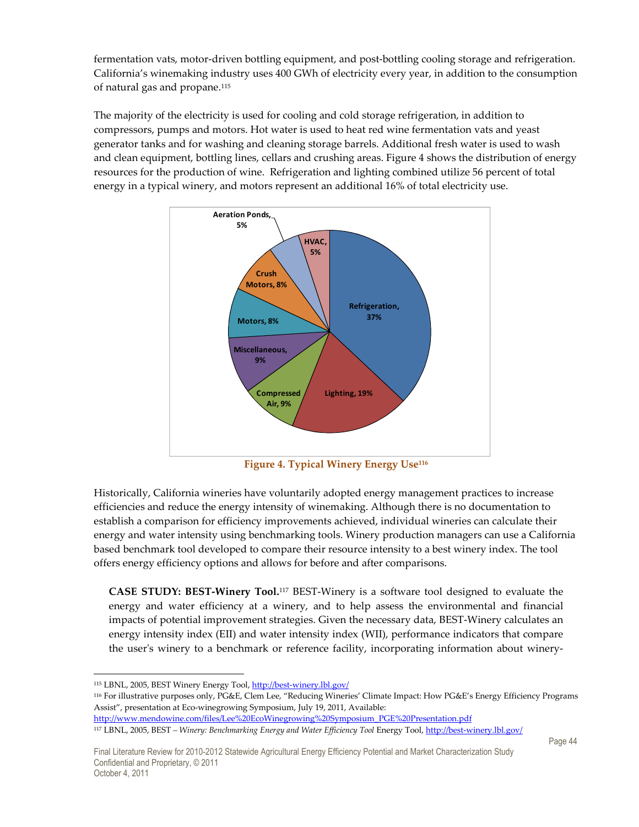fermentation vats, motor-driven bottling equipment, and post-bottling cooling storage and refrigeration. California's winemaking industry uses 400 GWh of electricity every year, in addition to the consumption of natural gas and propane.<sup>115</sup>

The majority of the electricity is used for cooling and cold storage refrigeration, in addition to compressors, pumps and motors. Hot water is used to heat red wine fermentation vats and yeast generator tanks and for washing and cleaning storage barrels. Additional fresh water is used to wash and clean equipment, bottling lines, cellars and crushing areas. Figure 4 shows the distribution of energy resources for the production of wine. Refrigeration and lighting combined utilize 56 percent of total energy in a typical winery, and motors represent an additional 16% of total electricity use.



**Figure 4. Typical Winery Energy Use<sup>116</sup>**

Historically, California wineries have voluntarily adopted energy management practices to increase efficiencies and reduce the energy intensity of winemaking. Although there is no documentation to establish a comparison for efficiency improvements achieved, individual wineries can calculate their energy and water intensity using benchmarking tools. Winery production managers can use a California based benchmark tool developed to compare their resource intensity to a best winery index. The tool offers energy efficiency options and allows for before and after comparisons.

**CASE STUDY: BEST-Winery Tool.**117 BEST-Winery is a software tool designed to evaluate the energy and water efficiency at a winery, and to help assess the environmental and financial impacts of potential improvement strategies. Given the necessary data, BEST-Winery calculates an energy intensity index (EII) and water intensity index (WII), performance indicators that compare the user's winery to a benchmark or reference facility, incorporating information about winery-

<sup>116</sup> For illustrative purposes only, PG&E, Clem Lee, "Reducing Wineries' Climate Impact: How PG&E's Energy Efficiency Programs Assist", presentation at Eco-winegrowing Symposium, July 19, 2011, Available:

<sup>-</sup>115 LBNL, 2005, BEST Winery Energy Tool, http://best-winery.lbl.gov/

http://www.mendowine.com/files/Lee%20EcoWinegrowing%20Symposium\_PGE%20Presentation.pdf

<sup>117</sup> LBNL, 2005, BEST *– Winery: Benchmarking Energy and Water Efficiency Tool* Energy Tool, http://best-winery.lbl.gov/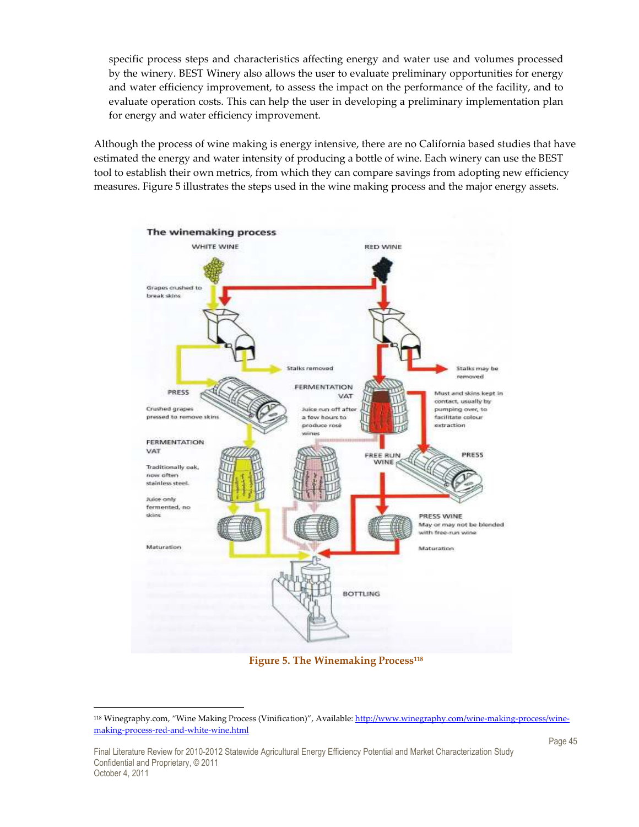specific process steps and characteristics affecting energy and water use and volumes processed by the winery. BEST Winery also allows the user to evaluate preliminary opportunities for energy and water efficiency improvement, to assess the impact on the performance of the facility, and to evaluate operation costs. This can help the user in developing a preliminary implementation plan for energy and water efficiency improvement.

Although the process of wine making is energy intensive, there are no California based studies that have estimated the energy and water intensity of producing a bottle of wine. Each winery can use the BEST tool to establish their own metrics, from which they can compare savings from adopting new efficiency measures. Figure 5 illustrates the steps used in the wine making process and the major energy assets.



**Figure 5. The Winemaking Process<sup>118</sup>**

<sup>118</sup> Winegraphy.com, "Wine Making Process (Vinification)", Available: http://www.winegraphy.com/wine-making-process/winemaking-process-red-and-white-wine.html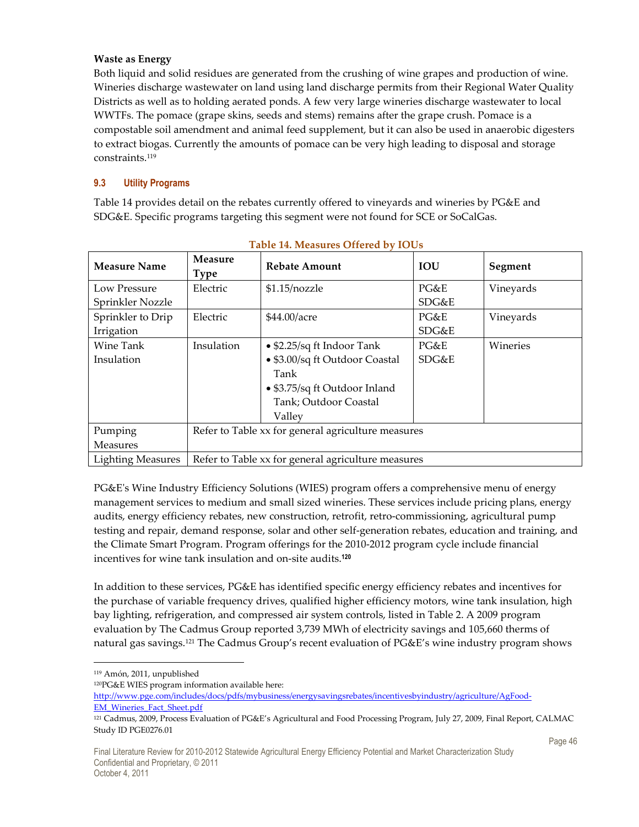#### **Waste as Energy**

Both liquid and solid residues are generated from the crushing of wine grapes and production of wine. Wineries discharge wastewater on land using land discharge permits from their Regional Water Quality Districts as well as to holding aerated ponds. A few very large wineries discharge wastewater to local WWTFs. The pomace (grape skins, seeds and stems) remains after the grape crush. Pomace is a compostable soil amendment and animal feed supplement, but it can also be used in anaerobic digesters to extract biogas. Currently the amounts of pomace can be very high leading to disposal and storage constraints.<sup>119</sup>

### **9.3 Utility Programs**

Table 14 provides detail on the rebates currently offered to vineyards and wineries by PG&E and SDG&E. Specific programs targeting this segment were not found for SCE or SoCalGas.

| <b>Measure Name</b>      | <b>Measure</b><br><b>Type</b>                      | <b>Rebate Amount</b>                               | <b>IOU</b> | Segment   |
|--------------------------|----------------------------------------------------|----------------------------------------------------|------------|-----------|
| Low Pressure             | Electric                                           | $$1.15$ /nozzle                                    | PG&E       | Vineyards |
| Sprinkler Nozzle         |                                                    |                                                    | SDG&E      |           |
| Sprinkler to Drip        | Electric                                           | \$44.00/acre                                       | PG&E       | Vineyards |
| Irrigation               |                                                    |                                                    | SDG&E      |           |
| Wine Tank                | Insulation                                         | • \$2.25/sq ft Indoor Tank                         | PG&E       | Wineries  |
| Insulation               |                                                    | • \$3.00/sq ft Outdoor Coastal                     | SDG&E      |           |
|                          |                                                    | Tank                                               |            |           |
|                          |                                                    | • \$3.75/sq ft Outdoor Inland                      |            |           |
|                          |                                                    | Tank; Outdoor Coastal                              |            |           |
|                          |                                                    | Valley                                             |            |           |
| Pumping                  | Refer to Table xx for general agriculture measures |                                                    |            |           |
| Measures                 |                                                    |                                                    |            |           |
| <b>Lighting Measures</b> |                                                    | Refer to Table xx for general agriculture measures |            |           |

# **Table 14. Measures Offered by IOUs**

PG&E's Wine Industry Efficiency Solutions (WIES) program offers a comprehensive menu of energy management services to medium and small sized wineries. These services include pricing plans, energy audits, energy efficiency rebates, new construction, retrofit, retro-commissioning, agricultural pump testing and repair, demand response, solar and other self-generation rebates, education and training, and the Climate Smart Program. Program offerings for the 2010-2012 program cycle include financial incentives for wine tank insulation and on-site audits.**<sup>120</sup>**

In addition to these services, PG&E has identified specific energy efficiency rebates and incentives for the purchase of variable frequency drives, qualified higher efficiency motors, wine tank insulation, high bay lighting, refrigeration, and compressed air system controls, listed in Table 2. A 2009 program evaluation by The Cadmus Group reported 3,739 MWh of electricity savings and 105,660 therms of natural gas savings.<sup>121</sup> The Cadmus Group's recent evaluation of PG&E's wine industry program shows

-

http://www.pge.com/includes/docs/pdfs/mybusiness/energysavingsrebates/incentivesbyindustry/agriculture/AgFood-EM\_Wineries\_Fact\_Sheet.pdf

<sup>119</sup> Amón, 2011, unpublished

<sup>120</sup>PG&E WIES program information available here:

<sup>121</sup> Cadmus, 2009, Process Evaluation of PG&E's Agricultural and Food Processing Program, July 27, 2009, Final Report, CALMAC Study ID PGE0276.01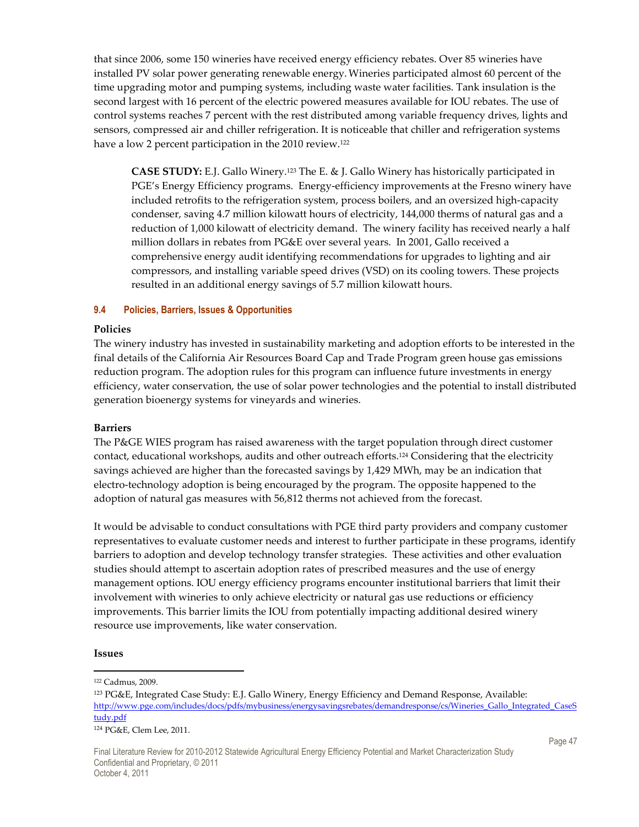that since 2006, some 150 wineries have received energy efficiency rebates. Over 85 wineries have installed PV solar power generating renewable energy.Wineries participated almost 60 percent of the time upgrading motor and pumping systems, including waste water facilities. Tank insulation is the second largest with 16 percent of the electric powered measures available for IOU rebates. The use of control systems reaches 7 percent with the rest distributed among variable frequency drives, lights and sensors, compressed air and chiller refrigeration. It is noticeable that chiller and refrigeration systems have a low 2 percent participation in the 2010 review.<sup>122</sup>

**CASE STUDY:** E.J. Gallo Winery.123 The E. & J. Gallo Winery has historically participated in PGE's Energy Efficiency programs. Energy-efficiency improvements at the Fresno winery have included retrofits to the refrigeration system, process boilers, and an oversized high-capacity condenser, saving 4.7 million kilowatt hours of electricity, 144,000 therms of natural gas and a reduction of 1,000 kilowatt of electricity demand. The winery facility has received nearly a half million dollars in rebates from PG&E over several years. In 2001, Gallo received a comprehensive energy audit identifying recommendations for upgrades to lighting and air compressors, and installing variable speed drives (VSD) on its cooling towers. These projects resulted in an additional energy savings of 5.7 million kilowatt hours.

#### **9.4 Policies, Barriers, Issues & Opportunities**

#### **Policies**

The winery industry has invested in sustainability marketing and adoption efforts to be interested in the final details of the California Air Resources Board Cap and Trade Program green house gas emissions reduction program. The adoption rules for this program can influence future investments in energy efficiency, water conservation, the use of solar power technologies and the potential to install distributed generation bioenergy systems for vineyards and wineries.

#### **Barriers**

The P&GE WIES program has raised awareness with the target population through direct customer contact, educational workshops, audits and other outreach efforts.124 Considering that the electricity savings achieved are higher than the forecasted savings by 1,429 MWh, may be an indication that electro-technology adoption is being encouraged by the program. The opposite happened to the adoption of natural gas measures with 56,812 therms not achieved from the forecast.

It would be advisable to conduct consultations with PGE third party providers and company customer representatives to evaluate customer needs and interest to further participate in these programs, identify barriers to adoption and develop technology transfer strategies. These activities and other evaluation studies should attempt to ascertain adoption rates of prescribed measures and the use of energy management options. IOU energy efficiency programs encounter institutional barriers that limit their involvement with wineries to only achieve electricity or natural gas use reductions or efficiency improvements. This barrier limits the IOU from potentially impacting additional desired winery resource use improvements, like water conservation.

#### **Issues**

-

<sup>122</sup> Cadmus, 2009.

<sup>123</sup> PG&E, Integrated Case Study: E.J. Gallo Winery, Energy Efficiency and Demand Response, Available: http://www.pge.com/includes/docs/pdfs/mybusiness/energysavingsrebates/demandresponse/cs/Wineries\_Gallo\_Integrated\_CaseS tudy.pdf

<sup>124</sup> PG&E, Clem Lee, 2011.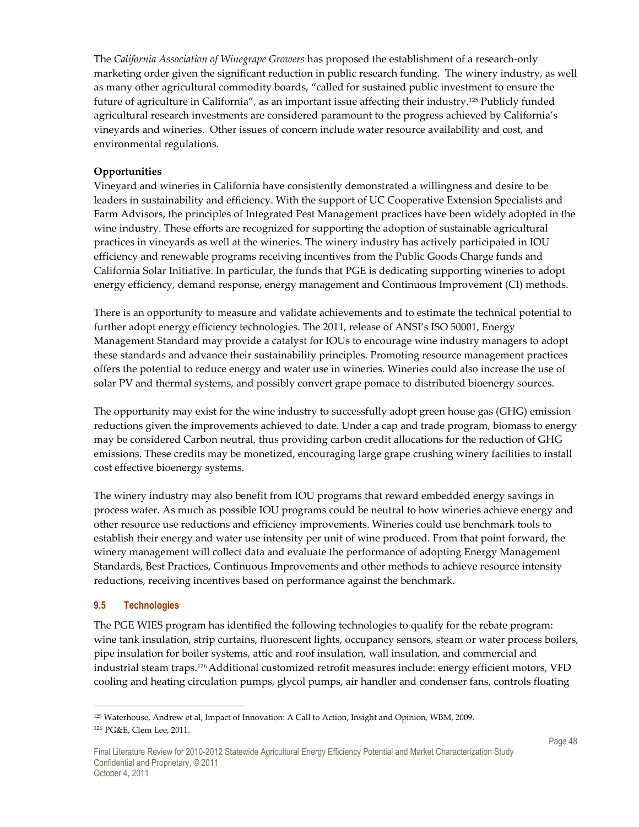The *California Association of Winegrape Growers* has proposed the establishment of a research-only marketing order given the significant reduction in public research funding. The winery industry, as well as many other agricultural commodity boards, "called for sustained public investment to ensure the future of agriculture in California", as an important issue affecting their industry.125 Publicly funded agricultural research investments are considered paramount to the progress achieved by California's vineyards and wineries. Other issues of concern include water resource availability and cost, and environmental regulations.

### **Opportunities**

Vineyard and wineries in California have consistently demonstrated a willingness and desire to be leaders in sustainability and efficiency. With the support of UC Cooperative Extension Specialists and Farm Advisors, the principles of Integrated Pest Management practices have been widely adopted in the wine industry. These efforts are recognized for supporting the adoption of sustainable agricultural practices in vineyards as well at the wineries. The winery industry has actively participated in IOU efficiency and renewable programs receiving incentives from the Public Goods Charge funds and California Solar Initiative. In particular, the funds that PGE is dedicating supporting wineries to adopt energy efficiency, demand response, energy management and Continuous Improvement (CI) methods.

There is an opportunity to measure and validate achievements and to estimate the technical potential to further adopt energy efficiency technologies. The 2011, release of ANSI's ISO 50001, Energy Management Standard may provide a catalyst for IOUs to encourage wine industry managers to adopt these standards and advance their sustainability principles. Promoting resource management practices offers the potential to reduce energy and water use in wineries. Wineries could also increase the use of solar PV and thermal systems, and possibly convert grape pomace to distributed bioenergy sources.

The opportunity may exist for the wine industry to successfully adopt green house gas (GHG) emission reductions given the improvements achieved to date. Under a cap and trade program, biomass to energy may be considered Carbon neutral, thus providing carbon credit allocations for the reduction of GHG emissions. These credits may be monetized, encouraging large grape crushing winery facilities to install cost effective bioenergy systems.

The winery industry may also benefit from IOU programs that reward embedded energy savings in process water. As much as possible IOU programs could be neutral to how wineries achieve energy and other resource use reductions and efficiency improvements. Wineries could use benchmark tools to establish their energy and water use intensity per unit of wine produced. From that point forward, the winery management will collect data and evaluate the performance of adopting Energy Management Standards, Best Practices, Continuous Improvements and other methods to achieve resource intensity reductions, receiving incentives based on performance against the benchmark.

#### **9.5 Technologies**

 $\overline{a}$ 

The PGE WIES program has identified the following technologies to qualify for the rebate program: wine tank insulation, strip curtains, fluorescent lights, occupancy sensors, steam or water process boilers, pipe insulation for boiler systems, attic and roof insulation, wall insulation, and commercial and industrial steam traps.126 Additional customized retrofit measures include: energy efficient motors, VFD cooling and heating circulation pumps, glycol pumps, air handler and condenser fans, controls floating

<sup>125</sup> Waterhouse, Andrew et al, Impact of Innovation: A Call to Action, Insight and Opinion, WBM, 2009. <sup>126</sup> PG&E, Clem Lee, 2011.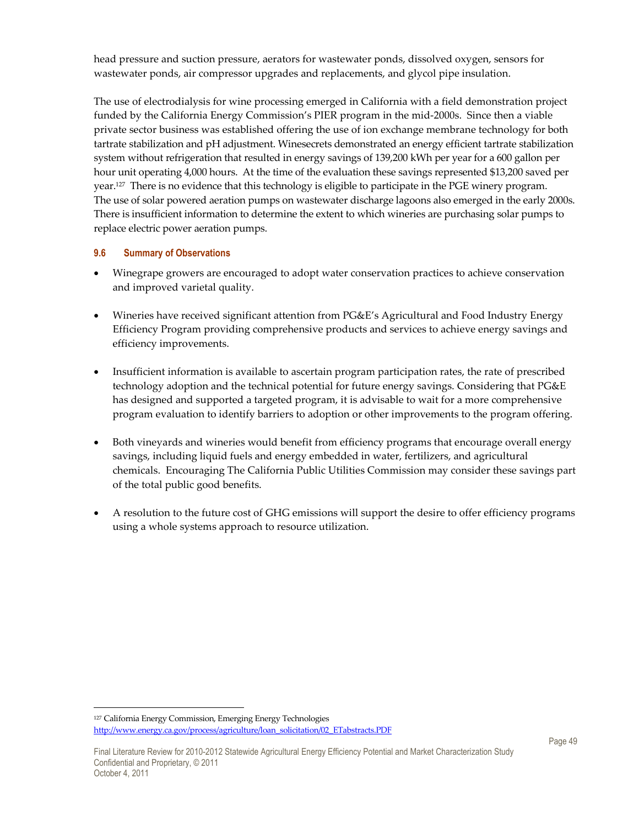head pressure and suction pressure, aerators for wastewater ponds, dissolved oxygen, sensors for wastewater ponds, air compressor upgrades and replacements, and glycol pipe insulation.

The use of electrodialysis for wine processing emerged in California with a field demonstration project funded by the California Energy Commission's PIER program in the mid-2000s. Since then a viable private sector business was established offering the use of ion exchange membrane technology for both tartrate stabilization and pH adjustment. Winesecrets demonstrated an energy efficient tartrate stabilization system without refrigeration that resulted in energy savings of 139,200 kWh per year for a 600 gallon per hour unit operating 4,000 hours. At the time of the evaluation these savings represented \$13,200 saved per year.127 There is no evidence that this technology is eligible to participate in the PGE winery program. The use of solar powered aeration pumps on wastewater discharge lagoons also emerged in the early 2000s. There is insufficient information to determine the extent to which wineries are purchasing solar pumps to replace electric power aeration pumps.

#### **9.6 Summary of Observations**

- Winegrape growers are encouraged to adopt water conservation practices to achieve conservation and improved varietal quality.
- Wineries have received significant attention from PG&E's Agricultural and Food Industry Energy Efficiency Program providing comprehensive products and services to achieve energy savings and efficiency improvements.
- Insufficient information is available to ascertain program participation rates, the rate of prescribed technology adoption and the technical potential for future energy savings. Considering that PG&E has designed and supported a targeted program, it is advisable to wait for a more comprehensive program evaluation to identify barriers to adoption or other improvements to the program offering.
- Both vineyards and wineries would benefit from efficiency programs that encourage overall energy savings, including liquid fuels and energy embedded in water, fertilizers, and agricultural chemicals. Encouraging The California Public Utilities Commission may consider these savings part of the total public good benefits.
- A resolution to the future cost of GHG emissions will support the desire to offer efficiency programs using a whole systems approach to resource utilization.

<sup>127</sup> California Energy Commission, Emerging Energy Technologies http://www.energy.ca.gov/process/agriculture/loan\_solicitation/02\_ETabstracts.PDF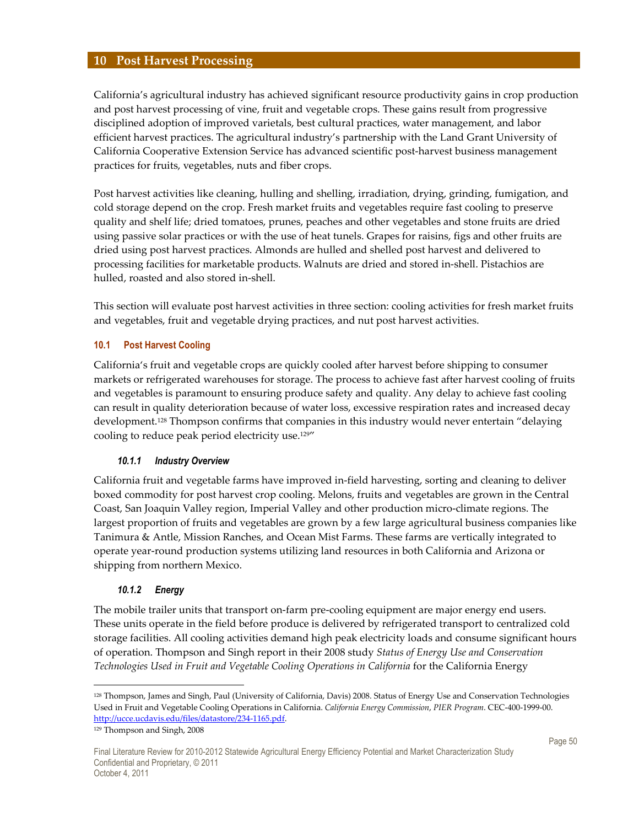### **10 Post Harvest Processing**

California's agricultural industry has achieved significant resource productivity gains in crop production and post harvest processing of vine, fruit and vegetable crops. These gains result from progressive disciplined adoption of improved varietals, best cultural practices, water management, and labor efficient harvest practices. The agricultural industry's partnership with the Land Grant University of California Cooperative Extension Service has advanced scientific post-harvest business management practices for fruits, vegetables, nuts and fiber crops.

Post harvest activities like cleaning, hulling and shelling, irradiation, drying, grinding, fumigation, and cold storage depend on the crop. Fresh market fruits and vegetables require fast cooling to preserve quality and shelf life; dried tomatoes, prunes, peaches and other vegetables and stone fruits are dried using passive solar practices or with the use of heat tunels. Grapes for raisins, figs and other fruits are dried using post harvest practices. Almonds are hulled and shelled post harvest and delivered to processing facilities for marketable products. Walnuts are dried and stored in-shell. Pistachios are hulled, roasted and also stored in-shell.

This section will evaluate post harvest activities in three section: cooling activities for fresh market fruits and vegetables, fruit and vegetable drying practices, and nut post harvest activities.

#### **10.1 Post Harvest Cooling**

California's fruit and vegetable crops are quickly cooled after harvest before shipping to consumer markets or refrigerated warehouses for storage. The process to achieve fast after harvest cooling of fruits and vegetables is paramount to ensuring produce safety and quality. Any delay to achieve fast cooling can result in quality deterioration because of water loss, excessive respiration rates and increased decay development.128 Thompson confirms that companies in this industry would never entertain "delaying cooling to reduce peak period electricity use.129"

#### *10.1.1 Industry Overview*

California fruit and vegetable farms have improved in-field harvesting, sorting and cleaning to deliver boxed commodity for post harvest crop cooling. Melons, fruits and vegetables are grown in the Central Coast, San Joaquin Valley region, Imperial Valley and other production micro-climate regions. The largest proportion of fruits and vegetables are grown by a few large agricultural business companies like Tanimura & Antle, Mission Ranches, and Ocean Mist Farms. These farms are vertically integrated to operate year-round production systems utilizing land resources in both California and Arizona or shipping from northern Mexico.

#### *10.1.2 Energy*

The mobile trailer units that transport on-farm pre-cooling equipment are major energy end users. These units operate in the field before produce is delivered by refrigerated transport to centralized cold storage facilities. All cooling activities demand high peak electricity loads and consume significant hours of operation. Thompson and Singh report in their 2008 study *Status of Energy Use and Conservation Technologies Used in Fruit and Vegetable Cooling Operations in California* for the California Energy

 $\overline{a}$ 

<sup>128</sup> Thompson, James and Singh, Paul (University of California, Davis) 2008. Status of Energy Use and Conservation Technologies Used in Fruit and Vegetable Cooling Operations in California. *California Energy Commission*, *PIER Program*. CEC-400-1999-00. http://ucce.ucdavis.edu/files/datastore/234-1165.pdf.

<sup>129</sup> Thompson and Singh, 2008

Final Literature Review for 2010-2012 Statewide Agricultural Energy Efficiency Potential and Market Characterization Study Confidential and Proprietary, © 2011 October 4, 2011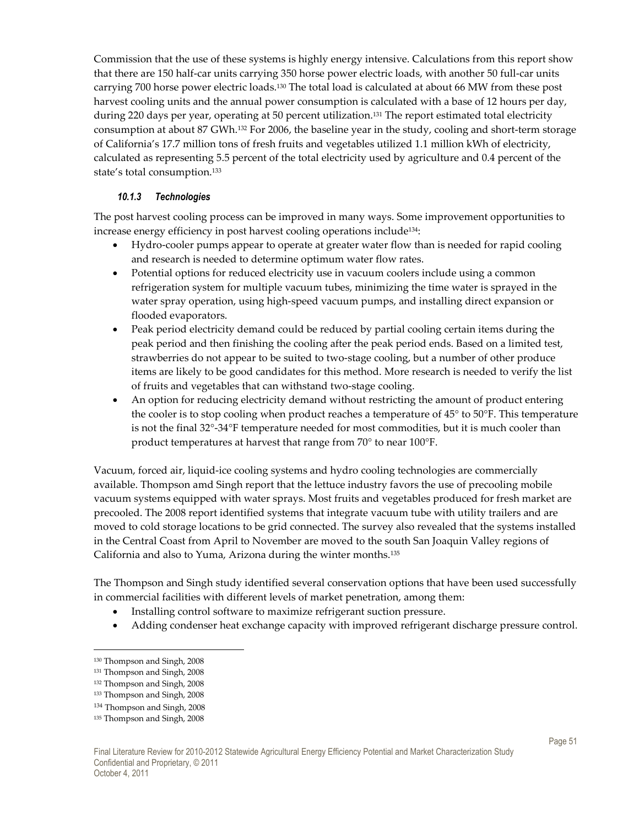Commission that the use of these systems is highly energy intensive. Calculations from this report show that there are 150 half-car units carrying 350 horse power electric loads, with another 50 full-car units carrying 700 horse power electric loads.130 The total load is calculated at about 66 MW from these post harvest cooling units and the annual power consumption is calculated with a base of 12 hours per day, during 220 days per year, operating at 50 percent utilization.<sup>131</sup> The report estimated total electricity consumption at about 87 GWh.132 For 2006, the baseline year in the study, cooling and short-term storage of California's 17.7 million tons of fresh fruits and vegetables utilized 1.1 million kWh of electricity, calculated as representing 5.5 percent of the total electricity used by agriculture and 0.4 percent of the state's total consumption.<sup>133</sup>

### *10.1.3 Technologies*

The post harvest cooling process can be improved in many ways. Some improvement opportunities to increase energy efficiency in post harvest cooling operations include134:

- Hydro-cooler pumps appear to operate at greater water flow than is needed for rapid cooling and research is needed to determine optimum water flow rates.
- Potential options for reduced electricity use in vacuum coolers include using a common refrigeration system for multiple vacuum tubes, minimizing the time water is sprayed in the water spray operation, using high-speed vacuum pumps, and installing direct expansion or flooded evaporators.
- Peak period electricity demand could be reduced by partial cooling certain items during the peak period and then finishing the cooling after the peak period ends. Based on a limited test, strawberries do not appear to be suited to two-stage cooling, but a number of other produce items are likely to be good candidates for this method. More research is needed to verify the list of fruits and vegetables that can withstand two-stage cooling.
- An option for reducing electricity demand without restricting the amount of product entering the cooler is to stop cooling when product reaches a temperature of 45° to 50°F. This temperature is not the final 32°-34°F temperature needed for most commodities, but it is much cooler than product temperatures at harvest that range from 70° to near 100°F.

Vacuum, forced air, liquid-ice cooling systems and hydro cooling technologies are commercially available. Thompson amd Singh report that the lettuce industry favors the use of precooling mobile vacuum systems equipped with water sprays. Most fruits and vegetables produced for fresh market are precooled. The 2008 report identified systems that integrate vacuum tube with utility trailers and are moved to cold storage locations to be grid connected. The survey also revealed that the systems installed in the Central Coast from April to November are moved to the south San Joaquin Valley regions of California and also to Yuma, Arizona during the winter months.<sup>135</sup>

The Thompson and Singh study identified several conservation options that have been used successfully in commercial facilities with different levels of market penetration, among them:

- Installing control software to maximize refrigerant suction pressure.
- Adding condenser heat exchange capacity with improved refrigerant discharge pressure control.

 $\overline{a}$ 

<sup>130</sup> Thompson and Singh, 2008

<sup>131</sup> Thompson and Singh, 2008

<sup>132</sup> Thompson and Singh, 2008

<sup>133</sup> Thompson and Singh, 2008

<sup>134</sup> Thompson and Singh, 2008

<sup>135</sup> Thompson and Singh, 2008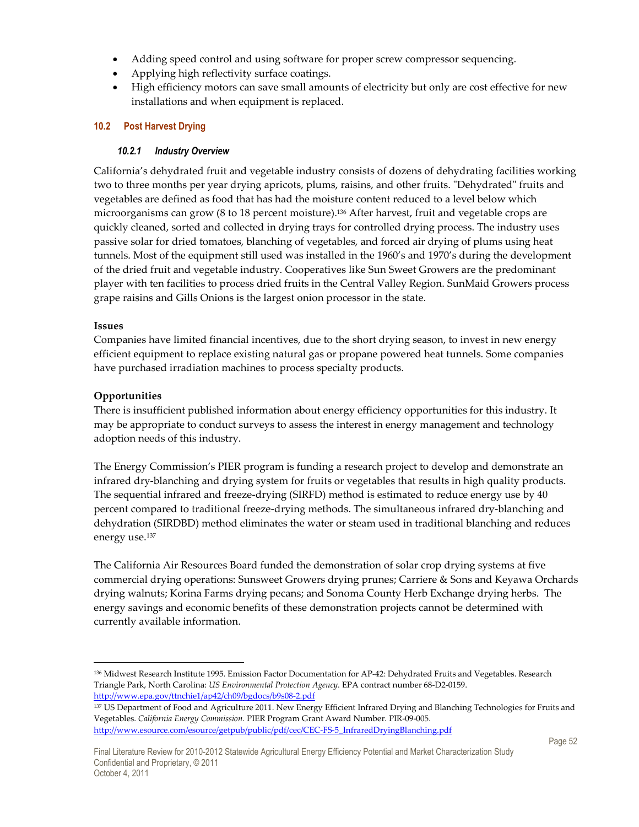- Adding speed control and using software for proper screw compressor sequencing.
- Applying high reflectivity surface coatings.
- High efficiency motors can save small amounts of electricity but only are cost effective for new installations and when equipment is replaced.

#### **10.2 Post Harvest Drying**

#### *10.2.1 Industry Overview*

California's dehydrated fruit and vegetable industry consists of dozens of dehydrating facilities working two to three months per year drying apricots, plums, raisins, and other fruits. "Dehydrated" fruits and vegetables are defined as food that has had the moisture content reduced to a level below which microorganisms can grow (8 to 18 percent moisture).136 After harvest, fruit and vegetable crops are quickly cleaned, sorted and collected in drying trays for controlled drying process. The industry uses passive solar for dried tomatoes, blanching of vegetables, and forced air drying of plums using heat tunnels. Most of the equipment still used was installed in the 1960's and 1970's during the development of the dried fruit and vegetable industry. Cooperatives like Sun Sweet Growers are the predominant player with ten facilities to process dried fruits in the Central Valley Region. SunMaid Growers process grape raisins and Gills Onions is the largest onion processor in the state.

#### **Issues**

-

Companies have limited financial incentives, due to the short drying season, to invest in new energy efficient equipment to replace existing natural gas or propane powered heat tunnels. Some companies have purchased irradiation machines to process specialty products.

#### **Opportunities**

There is insufficient published information about energy efficiency opportunities for this industry. It may be appropriate to conduct surveys to assess the interest in energy management and technology adoption needs of this industry.

The Energy Commission's PIER program is funding a research project to develop and demonstrate an infrared dry-blanching and drying system for fruits or vegetables that results in high quality products. The sequential infrared and freeze-drying (SIRFD) method is estimated to reduce energy use by 40 percent compared to traditional freeze-drying methods. The simultaneous infrared dry-blanching and dehydration (SIRDBD) method eliminates the water or steam used in traditional blanching and reduces energy use.<sup>137</sup>

The California Air Resources Board funded the demonstration of solar crop drying systems at five commercial drying operations: Sunsweet Growers drying prunes; Carriere & Sons and Keyawa Orchards drying walnuts; Korina Farms drying pecans; and Sonoma County Herb Exchange drying herbs. The energy savings and economic benefits of these demonstration projects cannot be determined with currently available information.

<sup>136</sup> Midwest Research Institute 1995. Emission Factor Documentation for AP-42: Dehydrated Fruits and Vegetables. Research Triangle Park, North Carolina: *US Environmental Protection Agency*. EPA contract number 68-D2-0159. http://www.epa.gov/ttnchie1/ap42/ch09/bgdocs/b9s08-2.pdf

<sup>137</sup> US Department of Food and Agriculture 2011. New Energy Efficient Infrared Drying and Blanching Technologies for Fruits and Vegetables. *California Energy Commission.* PIER Program Grant Award Number. PIR-09-005. http://www.esource.com/esource/getpub/public/pdf/cec/CEC-FS-5\_InfraredDryingBlanching.pdf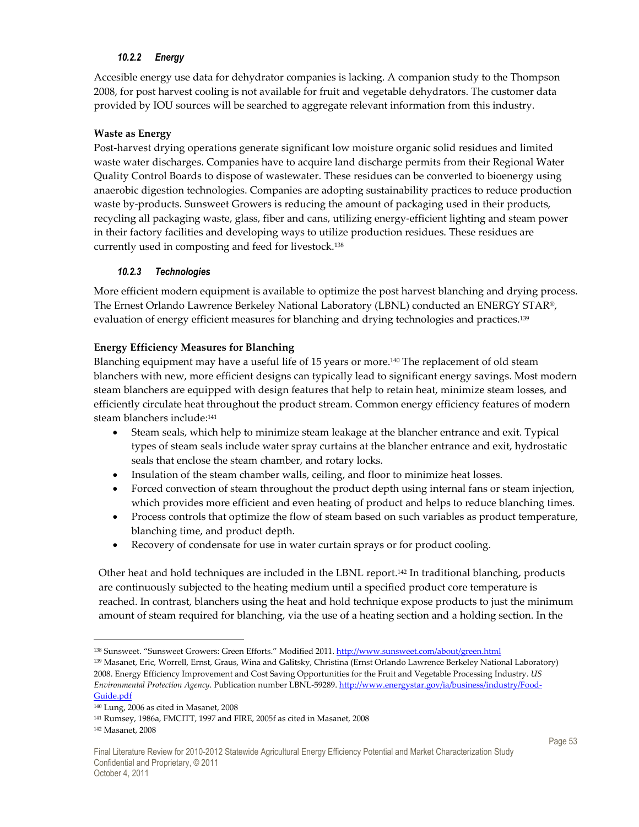#### *10.2.2 Energy*

Accesible energy use data for dehydrator companies is lacking. A companion study to the Thompson 2008, for post harvest cooling is not available for fruit and vegetable dehydrators. The customer data provided by IOU sources will be searched to aggregate relevant information from this industry.

#### **Waste as Energy**

Post-harvest drying operations generate significant low moisture organic solid residues and limited waste water discharges. Companies have to acquire land discharge permits from their Regional Water Quality Control Boards to dispose of wastewater. These residues can be converted to bioenergy using anaerobic digestion technologies. Companies are adopting sustainability practices to reduce production waste by-products. Sunsweet Growers is reducing the amount of packaging used in their products, recycling all packaging waste, glass, fiber and cans, utilizing energy-efficient lighting and steam power in their factory facilities and developing ways to utilize production residues. These residues are currently used in composting and feed for livestock. 138

#### *10.2.3 Technologies*

More efficient modern equipment is available to optimize the post harvest blanching and drying process. The Ernest Orlando Lawrence Berkeley National Laboratory (LBNL) conducted an ENERGY STAR®, evaluation of energy efficient measures for blanching and drying technologies and practices.<sup>139</sup>

#### **Energy Efficiency Measures for Blanching**

Blanching equipment may have a useful life of 15 years or more.<sup>140</sup> The replacement of old steam blanchers with new, more efficient designs can typically lead to significant energy savings. Most modern steam blanchers are equipped with design features that help to retain heat, minimize steam losses, and efficiently circulate heat throughout the product stream. Common energy efficiency features of modern steam blanchers include:<sup>141</sup>

- Steam seals, which help to minimize steam leakage at the blancher entrance and exit. Typical types of steam seals include water spray curtains at the blancher entrance and exit, hydrostatic seals that enclose the steam chamber, and rotary locks.
- Insulation of the steam chamber walls, ceiling, and floor to minimize heat losses.
- Forced convection of steam throughout the product depth using internal fans or steam injection, which provides more efficient and even heating of product and helps to reduce blanching times.
- Process controls that optimize the flow of steam based on such variables as product temperature, blanching time, and product depth.
- Recovery of condensate for use in water curtain sprays or for product cooling.

Other heat and hold techniques are included in the LBNL report.142 In traditional blanching, products are continuously subjected to the heating medium until a specified product core temperature is reached. In contrast, blanchers using the heat and hold technique expose products to just the minimum amount of steam required for blanching, via the use of a heating section and a holding section. In the

<sup>138</sup> Sunsweet. "Sunsweet Growers: Green Efforts." Modified 2011. http://www.sunsweet.com/about/green.html

<sup>139</sup> Masanet, Eric, Worrell, Ernst, Graus, Wina and Galitsky, Christina (Ernst Orlando Lawrence Berkeley National Laboratory) 2008. Energy Efficiency Improvement and Cost Saving Opportunities for the Fruit and Vegetable Processing Industry. *US Environmental Protection Agency*. Publication number LBNL-59289. http://www.energystar.gov/ia/business/industry/Food-Guide.pdf

<sup>140</sup> Lung, 2006 as cited in Masanet, 2008

<sup>141</sup> Rumsey, 1986a, FMCITT, 1997 and FIRE, 2005f as cited in Masanet, 2008

<sup>142</sup> Masanet, 2008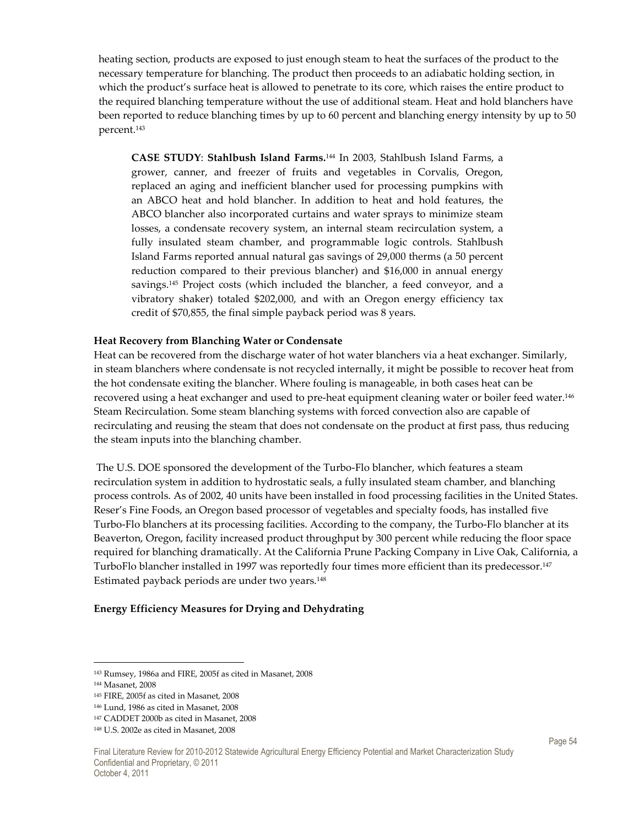heating section, products are exposed to just enough steam to heat the surfaces of the product to the necessary temperature for blanching. The product then proceeds to an adiabatic holding section, in which the product's surface heat is allowed to penetrate to its core, which raises the entire product to the required blanching temperature without the use of additional steam. Heat and hold blanchers have been reported to reduce blanching times by up to 60 percent and blanching energy intensity by up to 50 percent.<sup>143</sup>

**CASE STUDY**: **Stahlbush Island Farms.**144 In 2003, Stahlbush Island Farms, a grower, canner, and freezer of fruits and vegetables in Corvalis, Oregon, replaced an aging and inefficient blancher used for processing pumpkins with an ABCO heat and hold blancher. In addition to heat and hold features, the ABCO blancher also incorporated curtains and water sprays to minimize steam losses, a condensate recovery system, an internal steam recirculation system, a fully insulated steam chamber, and programmable logic controls. Stahlbush Island Farms reported annual natural gas savings of 29,000 therms (a 50 percent reduction compared to their previous blancher) and \$16,000 in annual energy savings.145 Project costs (which included the blancher, a feed conveyor, and a vibratory shaker) totaled \$202,000, and with an Oregon energy efficiency tax credit of \$70,855, the final simple payback period was 8 years.

#### **Heat Recovery from Blanching Water or Condensate**

Heat can be recovered from the discharge water of hot water blanchers via a heat exchanger. Similarly, in steam blanchers where condensate is not recycled internally, it might be possible to recover heat from the hot condensate exiting the blancher. Where fouling is manageable, in both cases heat can be recovered using a heat exchanger and used to pre-heat equipment cleaning water or boiler feed water.<sup>146</sup> Steam Recirculation. Some steam blanching systems with forced convection also are capable of recirculating and reusing the steam that does not condensate on the product at first pass, thus reducing the steam inputs into the blanching chamber.

 The U.S. DOE sponsored the development of the Turbo-Flo blancher, which features a steam recirculation system in addition to hydrostatic seals, a fully insulated steam chamber, and blanching process controls. As of 2002, 40 units have been installed in food processing facilities in the United States. Reser's Fine Foods, an Oregon based processor of vegetables and specialty foods, has installed five Turbo-Flo blanchers at its processing facilities. According to the company, the Turbo-Flo blancher at its Beaverton, Oregon, facility increased product throughput by 300 percent while reducing the floor space required for blanching dramatically. At the California Prune Packing Company in Live Oak, California, a TurboFlo blancher installed in 1997 was reportedly four times more efficient than its predecessor.<sup>147</sup> Estimated payback periods are under two years.<sup>148</sup>

#### **Energy Efficiency Measures for Drying and Dehydrating**

 $\overline{a}$ 

<sup>143</sup> Rumsey, 1986a and FIRE, 2005f as cited in Masanet, 2008

<sup>144</sup> Masanet, 2008

<sup>145</sup> FIRE, 2005f as cited in Masanet, 2008

<sup>146</sup> Lund, 1986 as cited in Masanet, 2008

<sup>147</sup> CADDET 2000b as cited in Masanet, 2008

<sup>148</sup> U.S. 2002e as cited in Masanet, 2008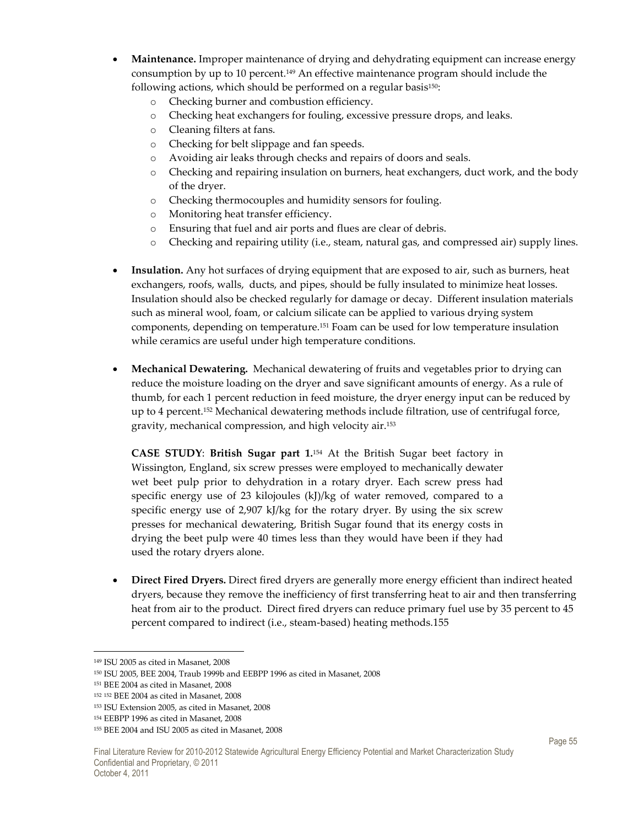- **Maintenance.** Improper maintenance of drying and dehydrating equipment can increase energy consumption by up to 10 percent.149 An effective maintenance program should include the following actions, which should be performed on a regular basis<sup>150</sup>:
	- o Checking burner and combustion efficiency.
	- o Checking heat exchangers for fouling, excessive pressure drops, and leaks.
	- o Cleaning filters at fans.
	- o Checking for belt slippage and fan speeds.
	- o Avoiding air leaks through checks and repairs of doors and seals.
	- o Checking and repairing insulation on burners, heat exchangers, duct work, and the body of the dryer.
	- o Checking thermocouples and humidity sensors for fouling.
	- o Monitoring heat transfer efficiency.
	- o Ensuring that fuel and air ports and flues are clear of debris.
	- o Checking and repairing utility (i.e., steam, natural gas, and compressed air) supply lines.
- **Insulation.** Any hot surfaces of drying equipment that are exposed to air, such as burners, heat exchangers, roofs, walls, ducts, and pipes, should be fully insulated to minimize heat losses. Insulation should also be checked regularly for damage or decay. Different insulation materials such as mineral wool, foam, or calcium silicate can be applied to various drying system components, depending on temperature.151 Foam can be used for low temperature insulation while ceramics are useful under high temperature conditions.
- **Mechanical Dewatering.** Mechanical dewatering of fruits and vegetables prior to drying can reduce the moisture loading on the dryer and save significant amounts of energy. As a rule of thumb, for each 1 percent reduction in feed moisture, the dryer energy input can be reduced by up to 4 percent.152 Mechanical dewatering methods include filtration, use of centrifugal force, gravity, mechanical compression, and high velocity air.<sup>153</sup>

**CASE STUDY**: **British Sugar part 1.**<sup>154</sup> At the British Sugar beet factory in Wissington, England, six screw presses were employed to mechanically dewater wet beet pulp prior to dehydration in a rotary dryer. Each screw press had specific energy use of 23 kilojoules (kJ)/kg of water removed, compared to a specific energy use of 2,907 kJ/kg for the rotary dryer. By using the six screw presses for mechanical dewatering, British Sugar found that its energy costs in drying the beet pulp were 40 times less than they would have been if they had used the rotary dryers alone.

• **Direct Fired Dryers.** Direct fired dryers are generally more energy efficient than indirect heated dryers, because they remove the inefficiency of first transferring heat to air and then transferring heat from air to the product. Direct fired dryers can reduce primary fuel use by 35 percent to 45 percent compared to indirect (i.e., steam-based) heating methods.155

 $\overline{a}$ <sup>149</sup> ISU 2005 as cited in Masanet, 2008

<sup>150</sup> ISU 2005, BEE 2004, Traub 1999b and EEBPP 1996 as cited in Masanet, 2008

<sup>151</sup> BEE 2004 as cited in Masanet, 2008

<sup>152</sup> <sup>152</sup> BEE 2004 as cited in Masanet, 2008

<sup>153</sup> ISU Extension 2005, as cited in Masanet, 2008

<sup>154</sup> EEBPP 1996 as cited in Masanet, 2008

<sup>155</sup> BEE 2004 and ISU 2005 as cited in Masanet, 2008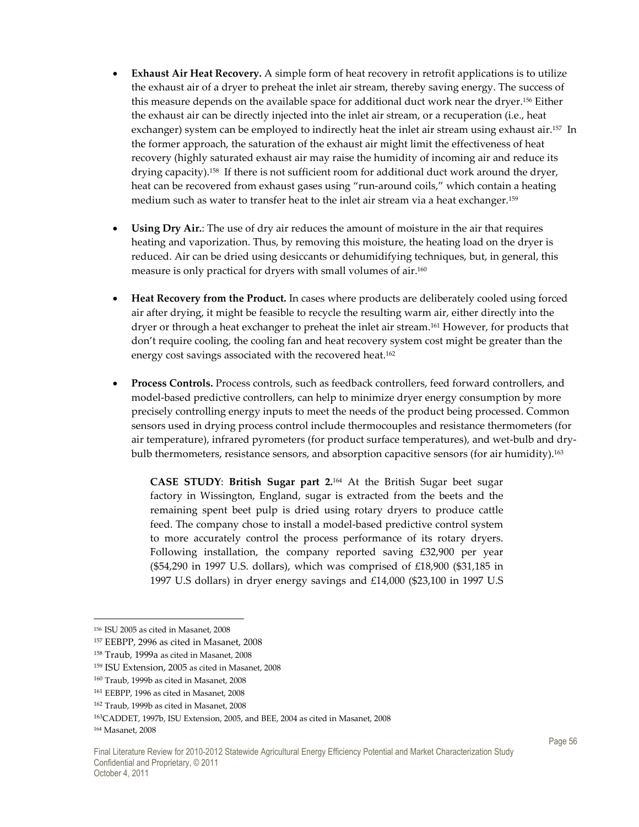- **Exhaust Air Heat Recovery.** A simple form of heat recovery in retrofit applications is to utilize the exhaust air of a dryer to preheat the inlet air stream, thereby saving energy. The success of this measure depends on the available space for additional duct work near the dryer.156 Either the exhaust air can be directly injected into the inlet air stream, or a recuperation (i.e., heat exchanger) system can be employed to indirectly heat the inlet air stream using exhaust air.<sup>157</sup> In the former approach, the saturation of the exhaust air might limit the effectiveness of heat recovery (highly saturated exhaust air may raise the humidity of incoming air and reduce its drying capacity).158 If there is not sufficient room for additional duct work around the dryer, heat can be recovered from exhaust gases using "run-around coils," which contain a heating medium such as water to transfer heat to the inlet air stream via a heat exchanger.<sup>159</sup>
- **Using Dry Air.**: The use of dry air reduces the amount of moisture in the air that requires heating and vaporization. Thus, by removing this moisture, the heating load on the dryer is reduced. Air can be dried using desiccants or dehumidifying techniques, but, in general, this measure is only practical for dryers with small volumes of air. $^{160}$
- **Heat Recovery from the Product.** In cases where products are deliberately cooled using forced air after drying, it might be feasible to recycle the resulting warm air, either directly into the dryer or through a heat exchanger to preheat the inlet air stream.161 However, for products that don't require cooling, the cooling fan and heat recovery system cost might be greater than the energy cost savings associated with the recovered heat.<sup>162</sup>
- **Process Controls.** Process controls, such as feedback controllers, feed forward controllers, and model-based predictive controllers, can help to minimize dryer energy consumption by more precisely controlling energy inputs to meet the needs of the product being processed. Common sensors used in drying process control include thermocouples and resistance thermometers (for air temperature), infrared pyrometers (for product surface temperatures), and wet-bulb and drybulb thermometers, resistance sensors, and absorption capacitive sensors (for air humidity).<sup>163</sup>

**CASE STUDY**: **British Sugar part 2.**164 At the British Sugar beet sugar factory in Wissington, England, sugar is extracted from the beets and the remaining spent beet pulp is dried using rotary dryers to produce cattle feed. The company chose to install a model-based predictive control system to more accurately control the process performance of its rotary dryers. Following installation, the company reported saving £32,900 per year (\$54,290 in 1997 U.S. dollars), which was comprised of £18,900 (\$31,185 in 1997 U.S dollars) in dryer energy savings and £14,000 (\$23,100 in 1997 U.S

<sup>156</sup> ISU 2005 as cited in Masanet, 2008

<sup>157</sup> EEBPP, 2996 as cited in Masanet, 2008

<sup>158</sup> Traub, 1999a as cited in Masanet, 2008

<sup>159</sup> ISU Extension, 2005 as cited in Masanet, 2008

<sup>160</sup> Traub, 1999b as cited in Masanet, 2008

<sup>161</sup> EEBPP, 1996 as cited in Masanet, 2008

<sup>162</sup> Traub, 1999b as cited in Masanet, 2008

<sup>163</sup>CADDET, 1997b, ISU Extension, 2005, and BEE, 2004 as cited in Masanet, 2008

<sup>164</sup> Masanet, 2008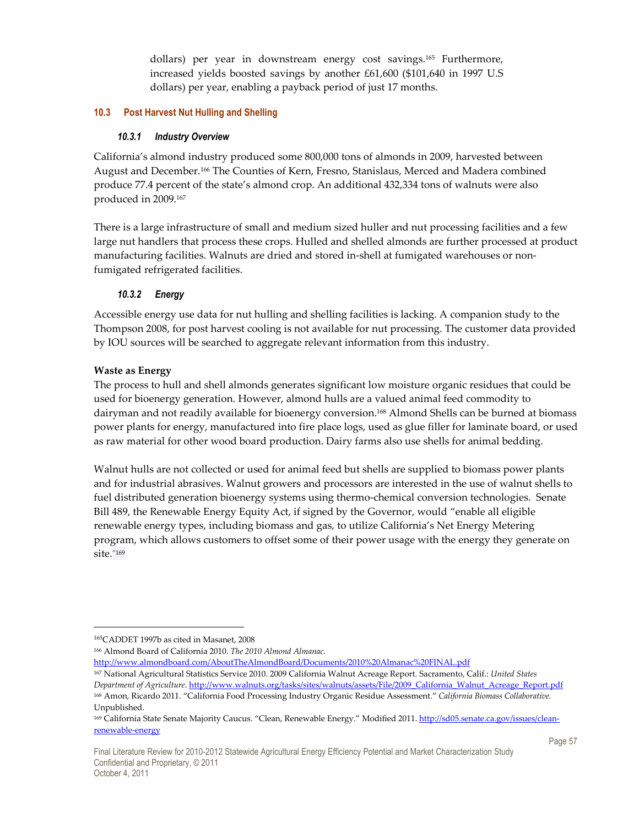dollars) per year in downstream energy cost savings. <sup>165</sup> Furthermore, increased yields boosted savings by another £61,600 (\$101,640 in 1997 U.S dollars) per year, enabling a payback period of just 17 months.

#### **10.3 Post Harvest Nut Hulling and Shelling**

#### *10.3.1 Industry Overview*

California's almond industry produced some 800,000 tons of almonds in 2009, harvested between August and December.166 The Counties of Kern, Fresno, Stanislaus, Merced and Madera combined produce 77.4 percent of the state's almond crop. An additional 432,334 tons of walnuts were also produced in 2009.<sup>167</sup>

There is a large infrastructure of small and medium sized huller and nut processing facilities and a few large nut handlers that process these crops. Hulled and shelled almonds are further processed at product manufacturing facilities. Walnuts are dried and stored in-shell at fumigated warehouses or nonfumigated refrigerated facilities.

### *10.3.2 Energy*

Accessible energy use data for nut hulling and shelling facilities is lacking. A companion study to the Thompson 2008, for post harvest cooling is not available for nut processing. The customer data provided by IOU sources will be searched to aggregate relevant information from this industry.

#### **Waste as Energy**

The process to hull and shell almonds generates significant low moisture organic residues that could be used for bioenergy generation. However, almond hulls are a valued animal feed commodity to dairyman and not readily available for bioenergy conversion.168 Almond Shells can be burned at biomass power plants for energy, manufactured into fire place logs, used as glue filler for laminate board, or used as raw material for other wood board production. Dairy farms also use shells for animal bedding.

Walnut hulls are not collected or used for animal feed but shells are supplied to biomass power plants and for industrial abrasives. Walnut growers and processors are interested in the use of walnut shells to fuel distributed generation bioenergy systems using thermo-chemical conversion technologies. Senate Bill 489, the Renewable Energy Equity Act, if signed by the Governor, would "enable all eligible renewable energy types, including biomass and gas, to utilize California's Net Energy Metering program, which allows customers to offset some of their power usage with the energy they generate on site."169

-

http://www.almondboard.com/AboutTheAlmondBoard/Documents/2010%20Almanac%20FINAL.pdf

<sup>165</sup>CADDET 1997b as cited in Masanet, 2008

<sup>166</sup> Almond Board of California 2010. *The 2010 Almond Almanac*.

<sup>167</sup> National Agricultural Statistics Service 2010. 2009 California Walnut Acreage Report. Sacramento, Calif.: *United States Department of Agriculture*. http://www.walnuts.org/tasks/sites/walnuts/assets/File/2009\_California\_Walnut\_Acreage\_Report.pdf <sup>168</sup> Amon, Ricardo 2011. "California Food Processing Industry Organic Residue Assessment." *California Biomass Collaborative.*  Unpublished.

<sup>&</sup>lt;sup>169</sup> California State Senate Majority Caucus. "Clean, Renewable Energy." Modified 2011. http://sd05.senate.ca.gov/issues/cleanrenewable-energy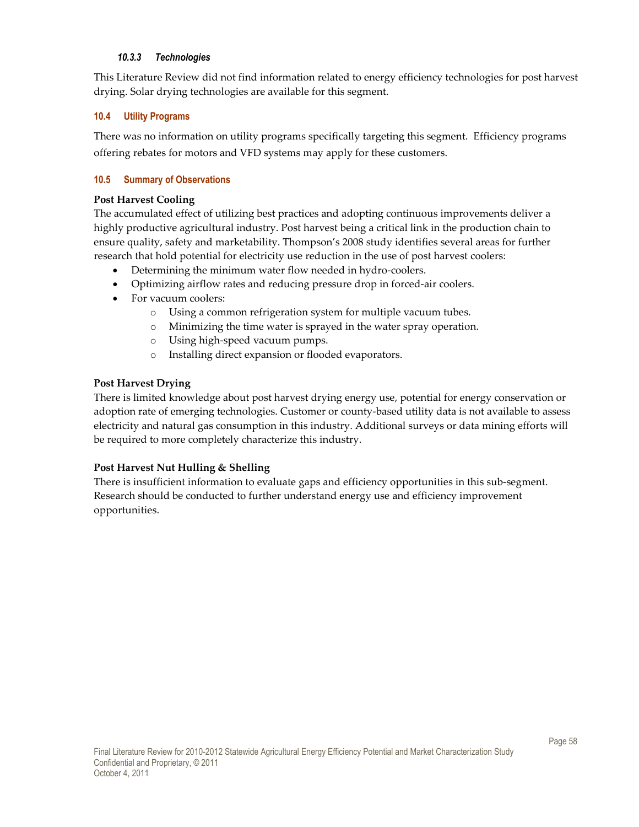#### *10.3.3 Technologies*

This Literature Review did not find information related to energy efficiency technologies for post harvest drying. Solar drying technologies are available for this segment.

#### **10.4 Utility Programs**

There was no information on utility programs specifically targeting this segment. Efficiency programs offering rebates for motors and VFD systems may apply for these customers.

#### **10.5 Summary of Observations**

#### **Post Harvest Cooling**

The accumulated effect of utilizing best practices and adopting continuous improvements deliver a highly productive agricultural industry. Post harvest being a critical link in the production chain to ensure quality, safety and marketability. Thompson's 2008 study identifies several areas for further research that hold potential for electricity use reduction in the use of post harvest coolers:

- Determining the minimum water flow needed in hydro-coolers.
- Optimizing airflow rates and reducing pressure drop in forced-air coolers.
- For vacuum coolers:
	- o Using a common refrigeration system for multiple vacuum tubes.
	- o Minimizing the time water is sprayed in the water spray operation.
	- o Using high-speed vacuum pumps.
	- o Installing direct expansion or flooded evaporators.

#### **Post Harvest Drying**

There is limited knowledge about post harvest drying energy use, potential for energy conservation or adoption rate of emerging technologies. Customer or county-based utility data is not available to assess electricity and natural gas consumption in this industry. Additional surveys or data mining efforts will be required to more completely characterize this industry.

#### **Post Harvest Nut Hulling & Shelling**

There is insufficient information to evaluate gaps and efficiency opportunities in this sub-segment. Research should be conducted to further understand energy use and efficiency improvement opportunities.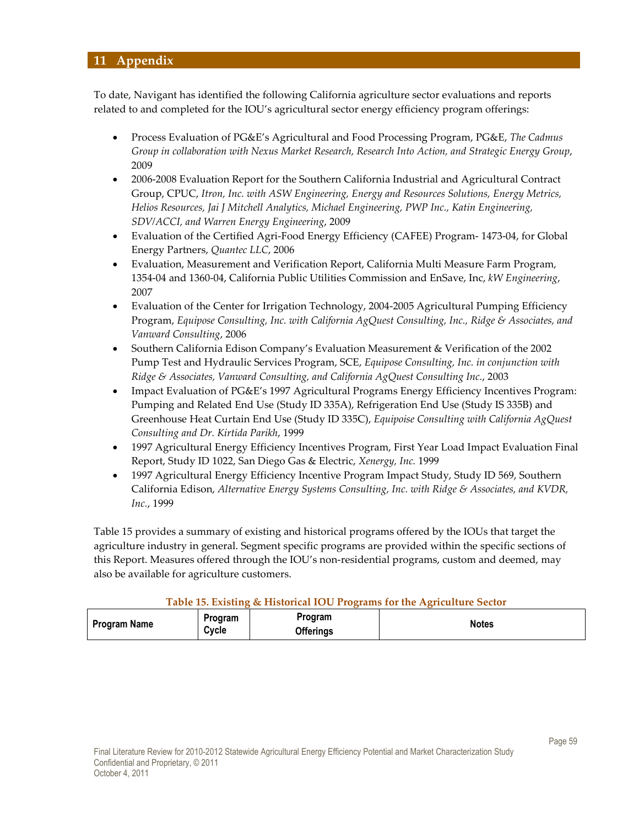# **11 Appendix**

To date, Navigant has identified the following California agriculture sector evaluations and reports related to and completed for the IOU's agricultural sector energy efficiency program offerings:

- Process Evaluation of PG&E's Agricultural and Food Processing Program, PG&E, *The Cadmus Group in collaboration with Nexus Market Research, Research Into Action, and Strategic Energy Group*, 2009
- 2006-2008 Evaluation Report for the Southern California Industrial and Agricultural Contract Group, CPUC, *Itron, Inc. with ASW Engineering, Energy and Resources Solutions, Energy Metrics, Helios Resources, Jai J Mitchell Analytics, Michael Engineering, PWP Inc., Katin Engineering, SDV/ACCI, and Warren Energy Engineering*, 2009
- Evaluation of the Certified Agri-Food Energy Efficiency (CAFEE) Program- 1473-04, for Global Energy Partners, *Quantec LLC*, 2006
- Evaluation, Measurement and Verification Report, California Multi Measure Farm Program, 1354-04 and 1360-04, California Public Utilities Commission and EnSave, Inc, *kW Engineering*, 2007
- Evaluation of the Center for Irrigation Technology, 2004-2005 Agricultural Pumping Efficiency Program, *Equipose Consulting, Inc. with California AgQuest Consulting, Inc., Ridge & Associates, and Vanward Consulting*, 2006
- Southern California Edison Company's Evaluation Measurement & Verification of the 2002 Pump Test and Hydraulic Services Program, SCE, *Equipose Consulting, Inc. in conjunction with Ridge & Associates, Vanward Consulting, and California AgQuest Consulting Inc.*, 2003
- Impact Evaluation of PG&E's 1997 Agricultural Programs Energy Efficiency Incentives Program: Pumping and Related End Use (Study ID 335A), Refrigeration End Use (Study IS 335B) and Greenhouse Heat Curtain End Use (Study ID 335C), *Equipoise Consulting with California AgQuest Consulting and Dr. Kirtida Parikh*, 1999
- 1997 Agricultural Energy Efficiency Incentives Program, First Year Load Impact Evaluation Final Report, Study ID 1022, San Diego Gas & Electric, *Xenergy, Inc.* 1999
- 1997 Agricultural Energy Efficiency Incentive Program Impact Study, Study ID 569, Southern California Edison, *Alternative Energy Systems Consulting, Inc. with Ridge & Associates, and KVDR, Inc.*, 1999

Table 15 provides a summary of existing and historical programs offered by the IOUs that target the agriculture industry in general. Segment specific programs are provided within the specific sections of this Report. Measures offered through the IOU's non-residential programs, custom and deemed, may also be available for agriculture customers.

#### **Table 15. Existing & Historical IOU Programs for the Agriculture Sector**

| <b>Program Name</b> | Program<br>Cvcle | Program<br><b>Offerings</b> | <b>Notes</b> |
|---------------------|------------------|-----------------------------|--------------|
|                     |                  |                             |              |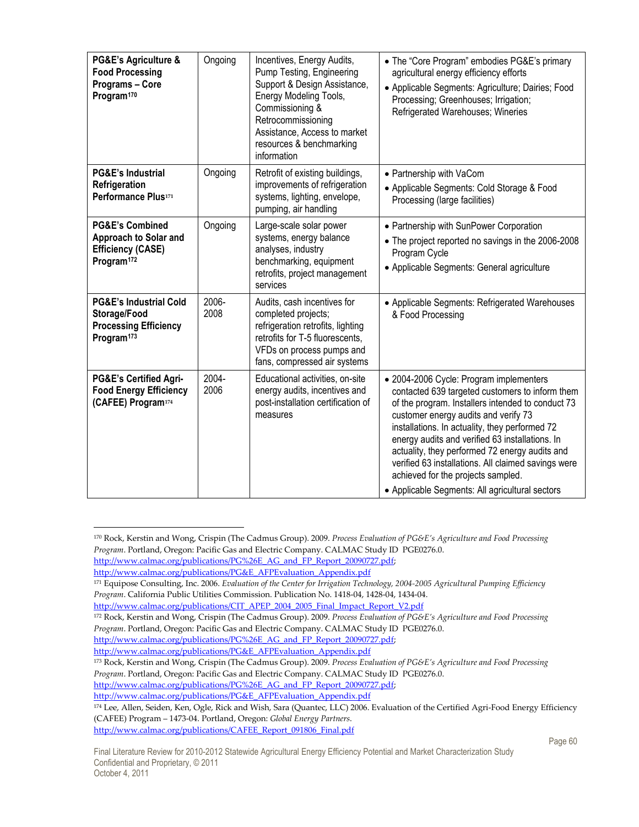| PG&E's Agriculture &<br><b>Food Processing</b><br>Programs - Core<br>Program <sup>170</sup>                 | Ongoing       | Incentives, Energy Audits,<br>Pump Testing, Engineering<br>Support & Design Assistance,<br>Energy Modeling Tools,<br>Commissioning &<br>Retrocommissioning<br>Assistance, Access to market<br>resources & benchmarking<br>information | • The "Core Program" embodies PG&E's primary<br>agricultural energy efficiency efforts<br>• Applicable Segments: Agriculture; Dairies; Food<br>Processing; Greenhouses; Irrigation;<br>Refrigerated Warehouses; Wineries                                                                                                                                                                                                                                                                       |
|-------------------------------------------------------------------------------------------------------------|---------------|---------------------------------------------------------------------------------------------------------------------------------------------------------------------------------------------------------------------------------------|------------------------------------------------------------------------------------------------------------------------------------------------------------------------------------------------------------------------------------------------------------------------------------------------------------------------------------------------------------------------------------------------------------------------------------------------------------------------------------------------|
| <b>PG&amp;E's Industrial</b><br>Refrigeration<br>Performance Plus171                                        | Ongoing       | Retrofit of existing buildings,<br>improvements of refrigeration<br>systems, lighting, envelope,<br>pumping, air handling                                                                                                             | • Partnership with VaCom<br>• Applicable Segments: Cold Storage & Food<br>Processing (large facilities)                                                                                                                                                                                                                                                                                                                                                                                        |
| <b>PG&amp;E's Combined</b><br>Approach to Solar and<br><b>Efficiency (CASE)</b><br>Program <sup>172</sup>   | Ongoing       | Large-scale solar power<br>systems, energy balance<br>analyses, industry<br>benchmarking, equipment<br>retrofits, project management<br>services                                                                                      | • Partnership with SunPower Corporation<br>• The project reported no savings in the 2006-2008<br>Program Cycle<br>• Applicable Segments: General agriculture                                                                                                                                                                                                                                                                                                                                   |
| <b>PG&amp;E's Industrial Cold</b><br>Storage/Food<br><b>Processing Efficiency</b><br>Program <sup>173</sup> | 2006-<br>2008 | Audits, cash incentives for<br>completed projects;<br>refrigeration retrofits, lighting<br>retrofits for T-5 fluorescents,<br>VFDs on process pumps and<br>fans, compressed air systems                                               | • Applicable Segments: Refrigerated Warehouses<br>& Food Processing                                                                                                                                                                                                                                                                                                                                                                                                                            |
| <b>PG&amp;E's Certified Agri-</b><br><b>Food Energy Efficiency</b><br>(CAFEE) Program174                    | 2004-<br>2006 | Educational activities, on-site<br>energy audits, incentives and<br>post-installation certification of<br>measures                                                                                                                    | • 2004-2006 Cycle: Program implementers<br>contacted 639 targeted customers to inform them<br>of the program. Installers intended to conduct 73<br>customer energy audits and verify 73<br>installations. In actuality, they performed 72<br>energy audits and verified 63 installations. In<br>actuality, they performed 72 energy audits and<br>verified 63 installations. All claimed savings were<br>achieved for the projects sampled.<br>• Applicable Segments: All agricultural sectors |

<sup>170</sup> Rock, Kerstin and Wong, Crispin (The Cadmus Group). 2009. *Process Evaluation of PG&E's Agriculture and Food Processing Program*. Portland, Oregon: Pacific Gas and Electric Company. CALMAC Study ID PGE0276.0.

http://www.calmac.org/publications/PG%26E\_AG\_and\_FP\_Report\_20090727.pdf;

http://www.calmac.org/publications/PG&E\_AFPEvaluation\_Appendix.pdf

<sup>171</sup> Equipose Consulting, Inc. 2006. *Evaluation of the Center for Irrigation Technology, 2004-2005 Agricultural Pumping Efficiency Program*. California Public Utilities Commission. Publication No. 1418-04, 1428-04, 1434-04.

http://www.calmac.org/publications/CIT\_APEP\_2004\_2005\_Final\_Impact\_Report\_V2.pdf

<sup>172</sup> Rock, Kerstin and Wong, Crispin (The Cadmus Group). 2009. *Process Evaluation of PG&E's Agriculture and Food Processing Program*. Portland, Oregon: Pacific Gas and Electric Company. CALMAC Study ID PGE0276.0.

http://www.calmac.org/publications/PG%26E\_AG\_and\_FP\_Report\_20090727.pdf; http://www.calmac.org/publications/PG&E\_AFPEvaluation\_Appendix.pdf

<sup>173</sup> Rock, Kerstin and Wong, Crispin (The Cadmus Group). 2009. *Process Evaluation of PG&E's Agriculture and Food Processing Program*. Portland, Oregon: Pacific Gas and Electric Company. CALMAC Study ID PGE0276.0. http://www.calmac.org/publications/PG%26E\_AG\_and\_FP\_Report\_20090727.pdf;

http://www.calmac.org/publications/PG&E\_AFPEvaluation\_Appendix.pdf

<sup>174</sup> Lee, Allen, Seiden, Ken, Ogle, Rick and Wish, Sara (Quantec, LLC) 2006. Evaluation of the Certified Agri-Food Energy Efficiency (CAFEE) Program – 1473-04. Portland, Oregon: *Global Energy Partners*. http://www.calmac.org/publications/CAFEE\_Report\_091806\_Final.pdf